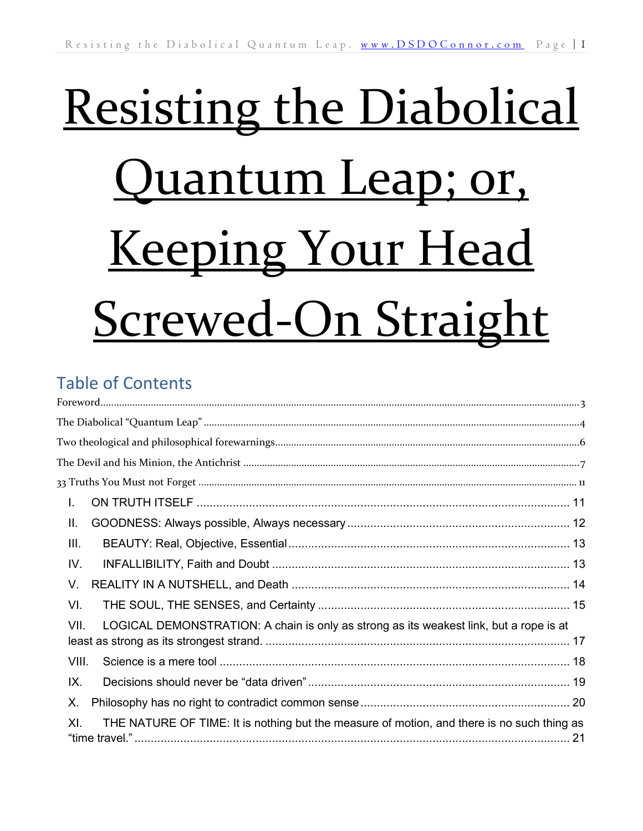# Resisting the Diabolical Quantum Leap; or, **Keeping Your Head** Screwed-On Straight

## Table of Contents

| L.                                                                                                |  |
|---------------------------------------------------------------------------------------------------|--|
| Ш.                                                                                                |  |
| III.                                                                                              |  |
| IV.                                                                                               |  |
| V.                                                                                                |  |
| VI.                                                                                               |  |
| VII.<br>LOGICAL DEMONSTRATION: A chain is only as strong as its weakest link, but a rope is at    |  |
| VIII.                                                                                             |  |
| IX.                                                                                               |  |
| Х.                                                                                                |  |
| THE NATURE OF TIME: It is nothing but the measure of motion, and there is no such thing as<br>XI. |  |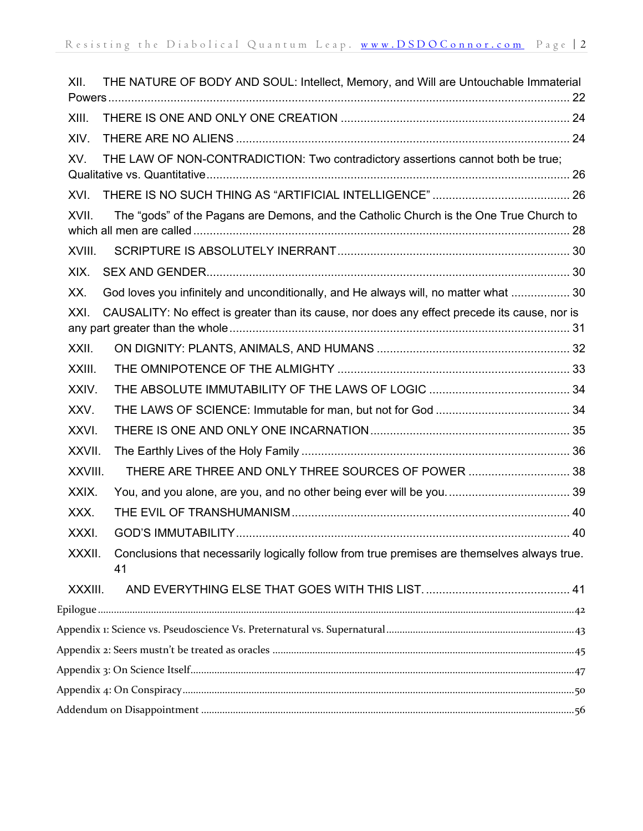| XII.    | THE NATURE OF BODY AND SOUL: Intellect, Memory, and Will are Untouchable Immaterial                |  |
|---------|----------------------------------------------------------------------------------------------------|--|
| XIII.   |                                                                                                    |  |
| XIV.    |                                                                                                    |  |
| XV.     | THE LAW OF NON-CONTRADICTION: Two contradictory assertions cannot both be true;                    |  |
| XVI.    |                                                                                                    |  |
| XVII.   | The "gods" of the Pagans are Demons, and the Catholic Church is the One True Church to             |  |
| XVIII.  |                                                                                                    |  |
| XIX.    |                                                                                                    |  |
| XX.     | God loves you infinitely and unconditionally, and He always will, no matter what  30               |  |
| XXI.    | CAUSALITY: No effect is greater than its cause, nor does any effect precede its cause, nor is      |  |
| XXII.   |                                                                                                    |  |
| XXIII.  |                                                                                                    |  |
| XXIV.   |                                                                                                    |  |
| XXV.    |                                                                                                    |  |
| XXVI.   |                                                                                                    |  |
| XXVII.  |                                                                                                    |  |
| XXVIII. | THERE ARE THREE AND ONLY THREE SOURCES OF POWER  38                                                |  |
| XXIX.   |                                                                                                    |  |
| XXX.    |                                                                                                    |  |
| XXXI.   |                                                                                                    |  |
| XXXII.  | Conclusions that necessarily logically follow from true premises are themselves always true.<br>41 |  |
| XXXIII. |                                                                                                    |  |
|         |                                                                                                    |  |
|         |                                                                                                    |  |
|         |                                                                                                    |  |
|         |                                                                                                    |  |
|         |                                                                                                    |  |
|         |                                                                                                    |  |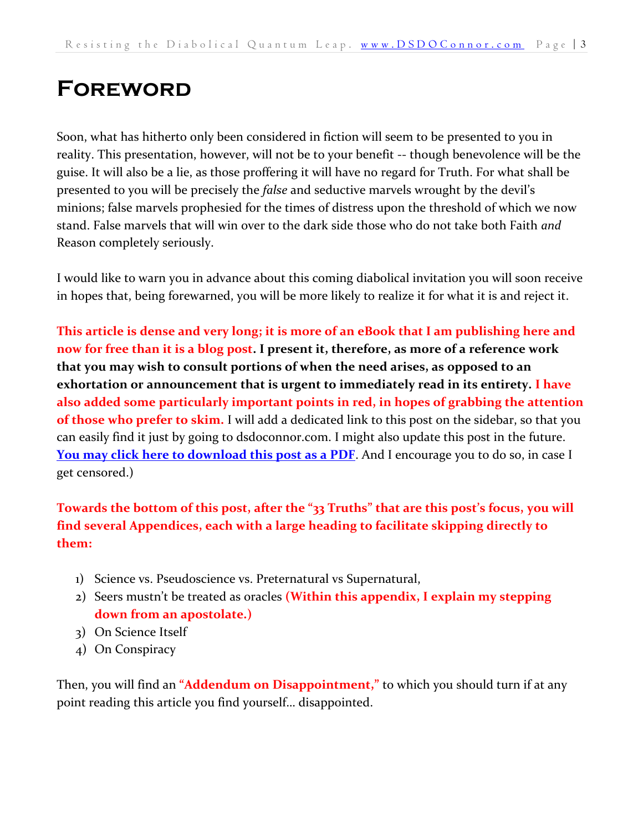# <span id="page-2-0"></span>**Foreword**

Soon, what has hitherto only been considered in fiction will seem to be presented to you in reality. This presentation, however, will not be to your benefit -- though benevolence will be the guise. It will also be a lie, as those proffering it will have no regard for Truth. For what shall be presented to you will be precisely the *false* and seductive marvels wrought by the devil's minions; false marvels prophesied for the times of distress upon the threshold of which we now stand. False marvels that will win over to the dark side those who do not take both Faith *and* Reason completely seriously.

I would like to warn you in advance about this coming diabolical invitation you will soon receive in hopes that, being forewarned, you will be more likely to realize it for what it is and reject it.

**This article is dense and very long; it is more of an eBook that I am publishing here and now for free than it is a blog post. I present it, therefore, as more of a reference work that you may wish to consult portions of when the need arises, as opposed to an exhortation or announcement that is urgent to immediately read in its entirety. I have also added some particularly important points in red, in hopes of grabbing the attention of those who prefer to skim.** I will add a dedicated link to this post on the sidebar, so that you can easily find it just by going to dsdoconnor.com. I might also update this post in the future. **[You may click here to download this post as a PDF](http://www.dsdoconnor.com/)**. And I encourage you to do so, in case I get censored.)

**Towards the bottom of this post, after the "33 Truths" that are this post's focus, you will find several Appendices, each with a large heading to facilitate skipping directly to them:** 

- 1) Science vs. Pseudoscience vs. Preternatural vs Supernatural,
- 2) Seers mustn't be treated as oracles **(Within this appendix, I explain my stepping down from an apostolate.)**
- 3) On Science Itself
- 4) On Conspiracy

Then, you will find an **"Addendum on Disappointment,"** to which you should turn if at any point reading this article you find yourself… disappointed.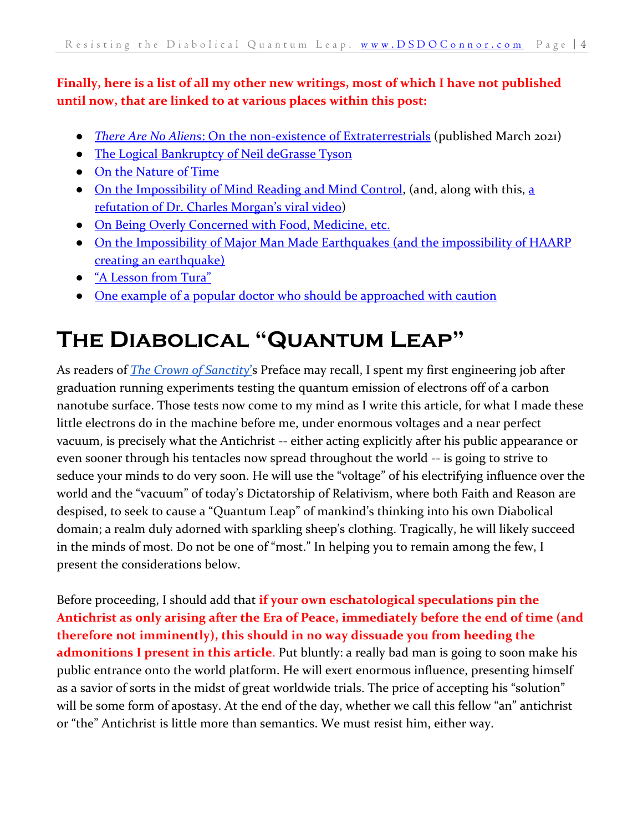#### **Finally, here is a list of all my other new writings, most of which I have not published until now, that are linked to at various places within this post:**

- *There Are No Aliens*[: On the non-existence of](https://dsdoconnor.com/2021/03/06/there-are-no-aliens/) Extraterrestrials (published March 2021)
- [The Logical Bankruptcy of Neil deGrasse Tyson](https://dsdoconnor.com/tyson/)
- [On the Nature of Time](https://dsdoconnor.com/time/)
- [On the Impossibility of Mind Reading and Mind Control,](https://dsdoconnor.com/mind/) (and, along with this, a [refutation of Dr. Charles Morgan](https://dsdoconnor.com/morgan/)'s viral video)
- [On Being Overly Concerned with Food, Medicine, etc.](https://dsdoconnor.com/against-obsession-with-bodily-health/)
- [On the Impossibility of Major Man Made Earthquakes](https://dsdoconnor.com/haarp/) (and the impossibility of HAARP [creating an earthquake\)](https://dsdoconnor.com/haarp/)
- ["A Lesson from Tura"](https://dsdoconnor.com/tura/)
- [One example of a popular doctor who should be approached with caution](http://www.dsdoconnor.com/mercola)

# <span id="page-3-0"></span>**The Diabolical "Quantum Leap"**

As readers of *[The Crown of Sanctity](https://danieloconnor.files.wordpress.com/2019/07/the-crown-of-sanctity.pdf)*'s Preface may recall, I spent my first engineering job after graduation running experiments testing the quantum emission of electrons off of a carbon nanotube surface. Those tests now come to my mind as I write this article, for what I made these little electrons do in the machine before me, under enormous voltages and a near perfect vacuum, is precisely what the Antichrist -- either acting explicitly after his public appearance or even sooner through his tentacles now spread throughout the world -- is going to strive to seduce your minds to do very soon. He will use the "voltage" of his electrifying influence over the world and the "vacuum" of today's Dictatorship of Relativism, where both Faith and Reason are despised, to seek to cause a "Quantum Leap" of mankind's thinking into his own Diabolical domain; a realm duly adorned with sparkling sheep's clothing. Tragically, he will likely succeed in the minds of most. Do not be one of "most." In helping you to remain among the few, I present the considerations below.

Before proceeding, I should add that **if your own eschatological speculations pin the Antichrist as only arising after the Era of Peace, immediately before the end of time (and therefore not imminently), this should in no way dissuade you from heeding the admonitions I present in this article**. Put bluntly: a really bad man is going to soon make his public entrance onto the world platform. He will exert enormous influence, presenting himself as a savior of sorts in the midst of great worldwide trials. The price of accepting his "solution" will be some form of apostasy. At the end of the day, whether we call this fellow "an" antichrist or "the" Antichrist is little more than semantics. We must resist him, either way.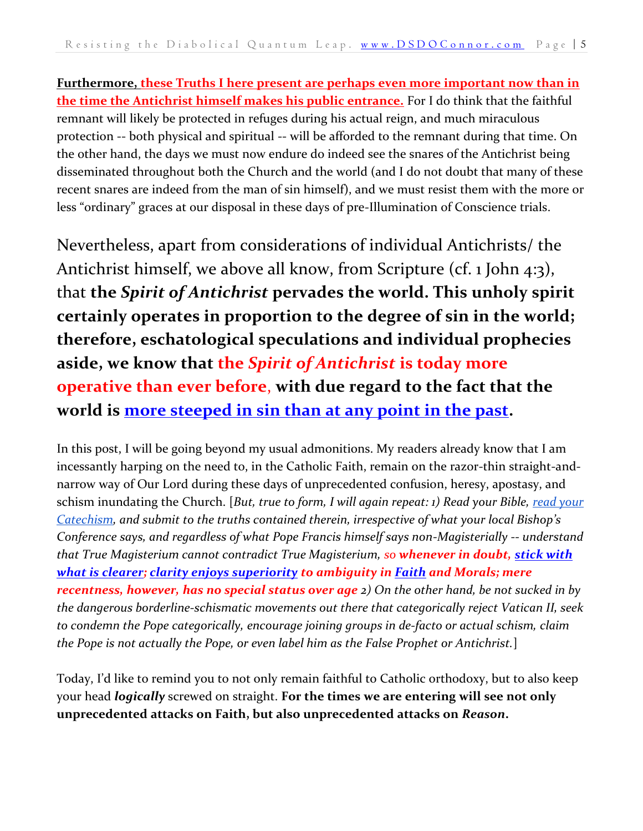**Furthermore, these Truths I here present are perhaps even more important now than in the time the Antichrist himself makes his public entrance.** For I do think that the faithful remnant will likely be protected in refuges during his actual reign, and much miraculous protection -- both physical and spiritual -- will be afforded to the remnant during that time. On the other hand, the days we must now endure do indeed see the snares of the Antichrist being disseminated throughout both the Church and the world (and I do not doubt that many of these recent snares are indeed from the man of sin himself), and we must resist them with the more or less "ordinary" graces at our disposal in these days of pre-Illumination of Conscience trials.

Nevertheless, apart from considerations of individual Antichrists/ the Antichrist himself, we above all know, from Scripture (cf. 1 John 4:3), that **the** *Spirit of Antichrist* **pervades the world. This unholy spirit certainly operates in proportion to the degree of sin in the world; therefore, eschatological speculations and individual prophecies aside, we know that the** *Spirit of Antichrist* **is today more operative than ever before**, **with due regard to the fact that the world is [more steeped in sin than at any point in the past.](https://www.vatican.va/content/pius-x/en/encyclicals/documents/hf_p-x_enc_04101903_e-supremi.html)**

In this post, I will be going beyond my usual admonitions. My readers already know that I am incessantly harping on the need to, in the Catholic Faith, remain on the razor-thin straight-andnarrow way of Our Lord during these days of unprecedented confusion, heresy, apostasy, and schism inundating the Church. [*But, true to form, I will again repeat: 1) Read your Bible, [read your](https://www.vatican.va/archive/ENG0015/_INDEX.HTM)  [Catechism](https://www.vatican.va/archive/ENG0015/_INDEX.HTM), and submit to the truths contained therein, irrespective of what your local Bishop's Conference says, and regardless of what Pope Francis himself says non-Magisterially -- understand that True Magisterium cannot contradict True Magisterium, so whenever in doubt, [stick with](https://www.vatican.va/content/john-paul-ii/en/apost_exhortations/documents/hf_jp-ii_exh_19811122_familiaris-consortio.html)  [what is clearer;](https://www.vatican.va/content/john-paul-ii/en/apost_exhortations/documents/hf_jp-ii_exh_19811122_familiaris-consortio.html) [clarity enjoys superiority](https://www.vatican.va/content/john-paul-ii/en/encyclicals/documents/hf_jp-ii_enc_06081993_veritatis-splendor.html) to ambiguity in [Faith](https://www.ewtn.com/catholicism/library/syllabus-of-errors-9048) and Morals; mere recentness, however, has no special status over age 2) On the other hand, be not sucked in by the dangerous borderline-schismatic movements out there that categorically reject Vatican II, seek to condemn the Pope categorically, encourage joining groups in de-facto or actual schism, claim the Pope is not actually the Pope, or even label him as the False Prophet or Antichrist.*]

Today, I'd like to remind you to not only remain faithful to Catholic orthodoxy, but to also keep your head *logically* screwed on straight. **For the times we are entering will see not only unprecedented attacks on Faith, but also unprecedented attacks on** *Reason***.**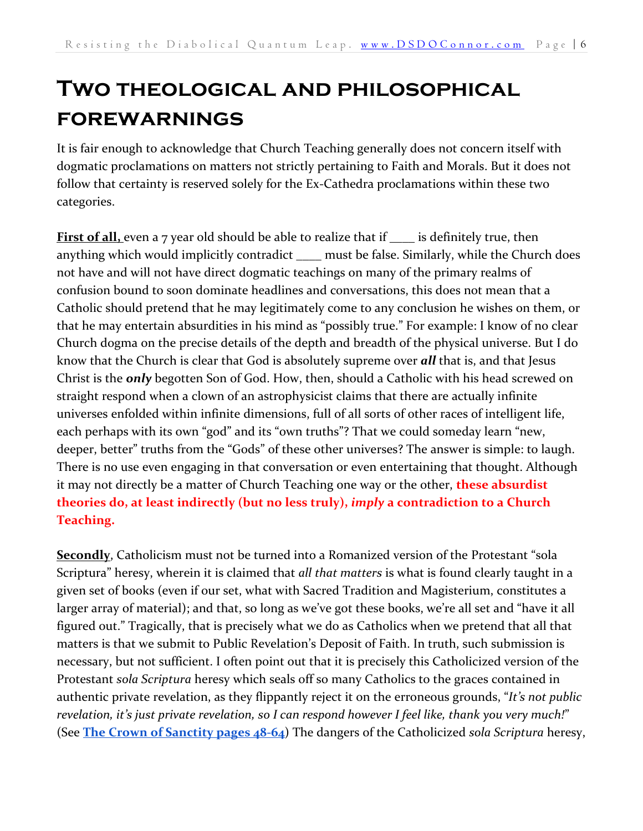# <span id="page-5-0"></span>**Two theological and philosophical forewarnings**

It is fair enough to acknowledge that Church Teaching generally does not concern itself with dogmatic proclamations on matters not strictly pertaining to Faith and Morals. But it does not follow that certainty is reserved solely for the Ex-Cathedra proclamations within these two categories.

**First of all,** even a 7 year old should be able to realize that if \_\_\_\_ is definitely true, then anything which would implicitly contradict \_\_\_\_ must be false. Similarly, while the Church does not have and will not have direct dogmatic teachings on many of the primary realms of confusion bound to soon dominate headlines and conversations, this does not mean that a Catholic should pretend that he may legitimately come to any conclusion he wishes on them, or that he may entertain absurdities in his mind as "possibly true." For example: I know of no clear Church dogma on the precise details of the depth and breadth of the physical universe. But I do know that the Church is clear that God is absolutely supreme over *all* that is, and that Jesus Christ is the *only* begotten Son of God. How, then, should a Catholic with his head screwed on straight respond when a clown of an astrophysicist claims that there are actually infinite universes enfolded within infinite dimensions, full of all sorts of other races of intelligent life, each perhaps with its own "god" and its "own truths"? That we could someday learn "new, deeper, better" truths from the "Gods" of these other universes? The answer is simple: to laugh. There is no use even engaging in that conversation or even entertaining that thought. Although it may not directly be a matter of Church Teaching one way or the other, **these absurdist theories do, at least indirectly (but no less truly),** *imply* **a contradiction to a Church Teaching.**

**Secondly**, Catholicism must not be turned into a Romanized version of the Protestant "sola Scriptura" heresy, wherein it is claimed that *all that matters* is what is found clearly taught in a given set of books (even if our set, what with Sacred Tradition and Magisterium, constitutes a larger array of material); and that, so long as we've got these books, we're all set and "have it all figured out." Tragically, that is precisely what we do as Catholics when we pretend that all that matters is that we submit to Public Revelation's Deposit of Faith. In truth, such submission is necessary, but not sufficient. I often point out that it is precisely this Catholicized version of the Protestant *sola Scriptura* heresy which seals off so many Catholics to the graces contained in authentic private revelation, as they flippantly reject it on the erroneous grounds, "*It's not public revelation, it's just private revelation, so I can respond however I feel like, thank you very much!*" (See **[The Crown of Sanctity pages 48-64](https://danieloconnor.files.wordpress.com/2019/07/the-crown-of-sanctity.pdf)**) The dangers of the Catholicized *sola Scriptura* heresy,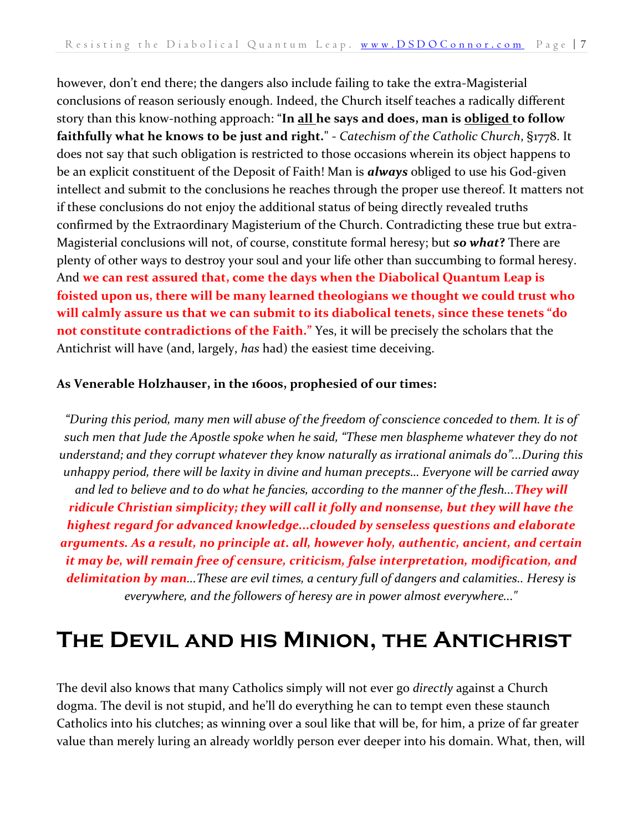however, don't end there; the dangers also include failing to take the extra-Magisterial conclusions of reason seriously enough. Indeed, the Church itself teaches a radically different story than this know-nothing approach: "**In all he says and does, man is obliged to follow faithfully what he knows to be just and right.**" - *Catechism of the Catholic Church*, §1778. It does not say that such obligation is restricted to those occasions wherein its object happens to be an explicit constituent of the Deposit of Faith! Man is *always* obliged to use his God-given intellect and submit to the conclusions he reaches through the proper use thereof. It matters not if these conclusions do not enjoy the additional status of being directly revealed truths confirmed by the Extraordinary Magisterium of the Church. Contradicting these true but extra-Magisterial conclusions will not, of course, constitute formal heresy; but *so what***?** There are plenty of other ways to destroy your soul and your life other than succumbing to formal heresy. And **we can rest assured that, come the days when the Diabolical Quantum Leap is foisted upon us, there will be many learned theologians we thought we could trust who will calmly assure us that we can submit to its diabolical tenets, since these tenets "do not constitute contradictions of the Faith."** Yes, it will be precisely the scholars that the Antichrist will have (and, largely, *has* had) the easiest time deceiving.

#### **As Venerable Holzhauser, in the 1600s, prophesied of our times:**

*"During this period, many men will abuse of the freedom of conscience conceded to them. It is of such men that Jude the Apostle spoke when he said, "These men blaspheme whatever they do not understand; and they corrupt whatever they know naturally as irrational animals do"...During this unhappy period, there will be laxity in divine and human precepts… Everyone will be carried away and led to believe and to do what he fancies, according to the manner of the flesh...They will ridicule Christian simplicity; they will call it folly and nonsense, but they will have the highest regard for advanced knowledge...clouded by senseless questions and elaborate arguments. As a result, no principle at. all, however holy, authentic, ancient, and certain it may be, will remain free of censure, criticism, false interpretation, modification, and delimitation by man...These are evil times, a century full of dangers and calamities.. Heresy is everywhere, and the followers of heresy are in power almost everywhere..."*

## <span id="page-6-0"></span>**The Devil and his Minion, the Antichrist**

The devil also knows that many Catholics simply will not ever go *directly* against a Church dogma. The devil is not stupid, and he'll do everything he can to tempt even these staunch Catholics into his clutches; as winning over a soul like that will be, for him, a prize of far greater value than merely luring an already worldly person ever deeper into his domain. What, then, will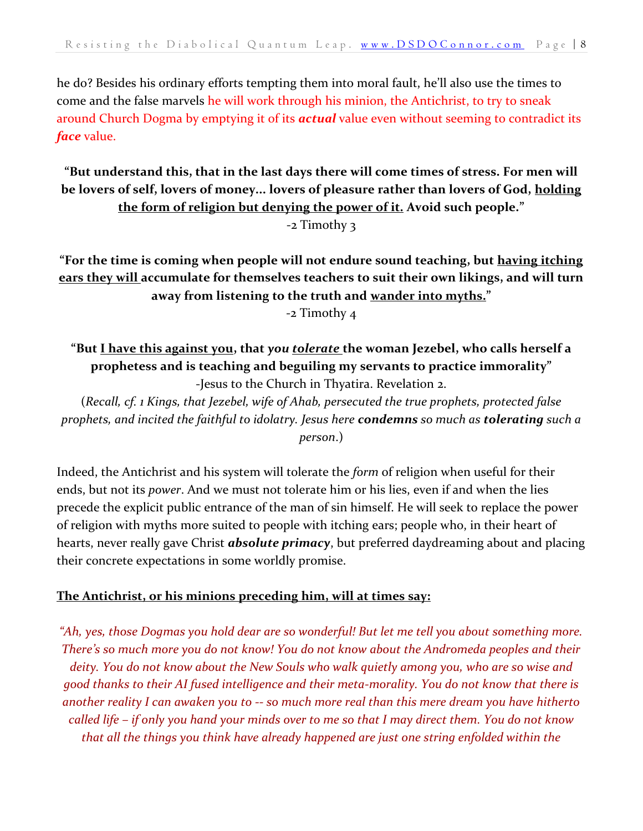he do? Besides his ordinary efforts tempting them into moral fault, he'll also use the times to come and the false marvels he will work through his minion, the Antichrist, to try to sneak around Church Dogma by emptying it of its *actual* value even without seeming to contradict its *face* value.

#### **"But understand this, that in the last days there will come times of stress. For men will be lovers of self, lovers of money... lovers of pleasure rather than lovers of God, holding the form of religion but denying the power of it. Avoid such people."** -2 Timothy 3

**"For the time is coming when people will not endure sound teaching, but having itching ears they will accumulate for themselves teachers to suit their own likings, and will turn away from listening to the truth and wander into myths."**

-2 Timothy 4

#### **"But I have this against you, that** *you tolerate* **the woman Jezebel, who calls herself a prophetess and is teaching and beguiling my servants to practice immorality"** -Jesus to the Church in Thyatira. Revelation 2.

(*Recall, cf. 1 Kings, that Jezebel, wife of Ahab, persecuted the true prophets, protected false prophets, and incited the faithful to idolatry. Jesus here condemns so much as tolerating such a person*.)

Indeed, the Antichrist and his system will tolerate the *form* of religion when useful for their ends, but not its *power*. And we must not tolerate him or his lies, even if and when the lies precede the explicit public entrance of the man of sin himself. He will seek to replace the power of religion with myths more suited to people with itching ears; people who, in their heart of hearts, never really gave Christ *absolute primacy*, but preferred daydreaming about and placing their concrete expectations in some worldly promise.

#### **The Antichrist, or his minions preceding him, will at times say:**

*"Ah, yes, those Dogmas you hold dear are so wonderful! But let me tell you about something more. There's so much more you do not know! You do not know about the Andromeda peoples and their deity. You do not know about the New Souls who walk quietly among you, who are so wise and good thanks to their AI fused intelligence and their meta-morality. You do not know that there is another reality I can awaken you to -- so much more real than this mere dream you have hitherto called life – if only you hand your minds over to me so that I may direct them. You do not know that all the things you think have already happened are just one string enfolded within the*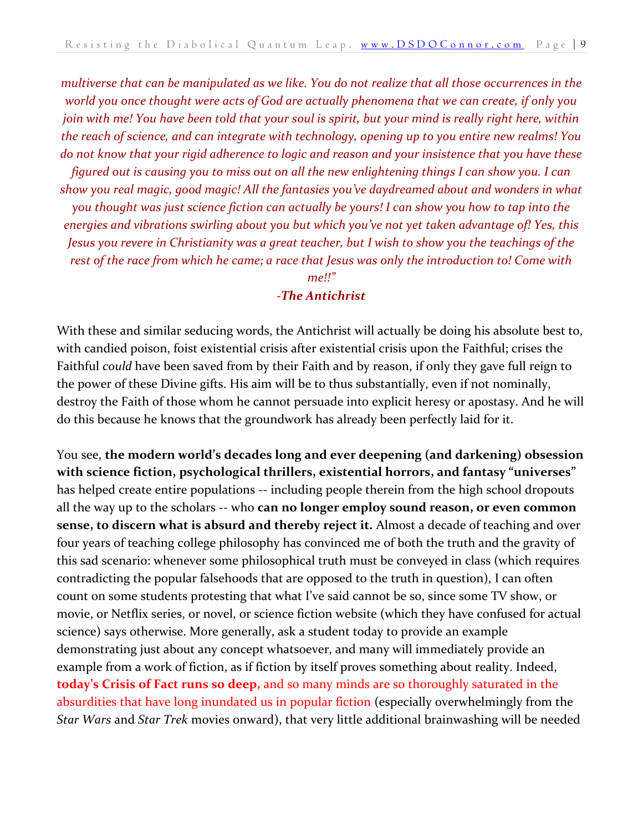*multiverse that can be manipulated as we like. You do not realize that all those occurrences in the world you once thought were acts of God are actually phenomena that we can create, if only you join with me! You have been told that your soul is spirit, but your mind is really right here, within the reach of science, and can integrate with technology, opening up to you entire new realms! You do not know that your rigid adherence to logic and reason and your insistence that you have these figured out is causing you to miss out on all the new enlightening things I can show you. I can show you real magic, good magic! All the fantasies you've daydreamed about and wonders in what you thought was just science fiction can actually be yours! I can show you how to tap into the energies and vibrations swirling about you but which you've not yet taken advantage of! Yes, this Jesus you revere in Christianity was a great teacher, but I wish to show you the teachings of the rest of the race from which he came; a race that Jesus was only the introduction to! Come with me!!"*

#### *-The Antichrist*

With these and similar seducing words, the Antichrist will actually be doing his absolute best to, with candied poison, foist existential crisis after existential crisis upon the Faithful; crises the Faithful *could* have been saved from by their Faith and by reason, if only they gave full reign to the power of these Divine gifts. His aim will be to thus substantially, even if not nominally, destroy the Faith of those whom he cannot persuade into explicit heresy or apostasy. And he will do this because he knows that the groundwork has already been perfectly laid for it.

You see, **the modern world's decades long and ever deepening (and darkening) obsession with science fiction, psychological thrillers, existential horrors, and fantasy "universes"** has helped create entire populations -- including people therein from the high school dropouts all the way up to the scholars -- who **can no longer employ sound reason, or even common sense, to discern what is absurd and thereby reject it.** Almost a decade of teaching and over four years of teaching college philosophy has convinced me of both the truth and the gravity of this sad scenario: whenever some philosophical truth must be conveyed in class (which requires contradicting the popular falsehoods that are opposed to the truth in question), I can often count on some students protesting that what I've said cannot be so, since some TV show, or movie, or Netflix series, or novel, or science fiction website (which they have confused for actual science) says otherwise. More generally, ask a student today to provide an example demonstrating just about any concept whatsoever, and many will immediately provide an example from a work of fiction, as if fiction by itself proves something about reality. Indeed, **today's Crisis of Fact runs so deep,** and so many minds are so thoroughly saturated in the absurdities that have long inundated us in popular fiction (especially overwhelmingly from the *Star Wars* and *Star Trek* movies onward), that very little additional brainwashing will be needed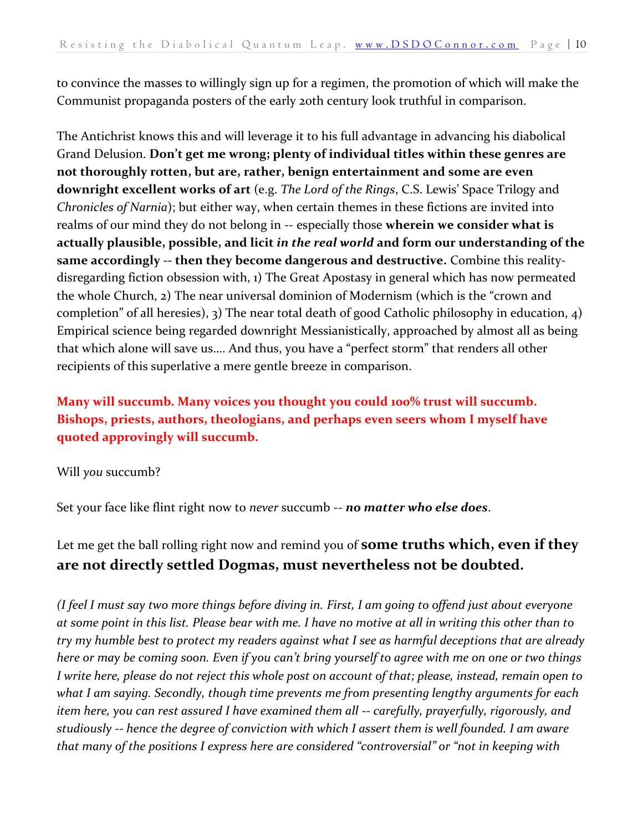to convince the masses to willingly sign up for a regimen, the promotion of which will make the Communist propaganda posters of the early 20th century look truthful in comparison.

The Antichrist knows this and will leverage it to his full advantage in advancing his diabolical Grand Delusion. **Don't get me wrong; plenty of individual titles within these genres are not thoroughly rotten, but are, rather, benign entertainment and some are even downright excellent works of art** (e.g. *The Lord of the Rings*, C.S. Lewis' Space Trilogy and *Chronicles of Narnia*); but either way, when certain themes in these fictions are invited into realms of our mind they do not belong in -- especially those **wherein we consider what is actually plausible, possible, and licit** *in the real world* **and form our understanding of the same accordingly -- then they become dangerous and destructive.** Combine this realitydisregarding fiction obsession with, 1) The Great Apostasy in general which has now permeated the whole Church, 2) The near universal dominion of Modernism (which is the "crown and completion" of all heresies), 3) The near total death of good Catholic philosophy in education, 4) Empirical science being regarded downright Messianistically, approached by almost all as being that which alone will save us…. And thus, you have a "perfect storm" that renders all other recipients of this superlative a mere gentle breeze in comparison.

#### **Many will succumb. Many voices you thought you could 100% trust will succumb. Bishops, priests, authors, theologians, and perhaps even seers whom I myself have quoted approvingly will succumb.**

#### Will *you* succumb?

Set your face like flint right now to *never* succumb -- *no matter who else does*.

#### Let me get the ball rolling right now and remind you of **some truths which, even if they are not directly settled Dogmas, must nevertheless not be doubted.**

*(I feel I must say two more things before diving in. First, I am going to offend just about everyone at some point in this list. Please bear with me. I have no motive at all in writing this other than to try my humble best to protect my readers against what I see as harmful deceptions that are already here or may be coming soon. Even if you can't bring yourself to agree with me on one or two things I write here, please do not reject this whole post on account of that; please, instead, remain open to what I am saying. Secondly, though time prevents me from presenting lengthy arguments for each item here, you can rest assured I have examined them all -- carefully, prayerfully, rigorously, and studiously -- hence the degree of conviction with which I assert them is well founded. I am aware that many of the positions I express here are considered "controversial" or "not in keeping with*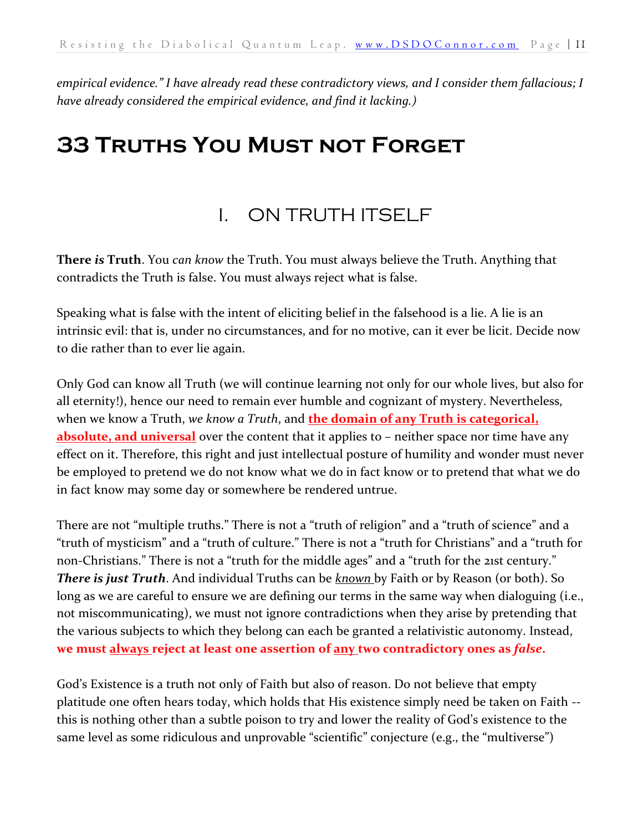*empirical evidence." I have already read these contradictory views, and I consider them fallacious; I have already considered the empirical evidence, and find it lacking.)*

## <span id="page-10-1"></span><span id="page-10-0"></span>**33 Truths You Must not Forget**

## I. ON TRUTH ITSELF

**There** *is* **Truth**. You *can know* the Truth. You must always believe the Truth. Anything that contradicts the Truth is false. You must always reject what is false.

Speaking what is false with the intent of eliciting belief in the falsehood is a lie. A lie is an intrinsic evil: that is, under no circumstances, and for no motive, can it ever be licit. Decide now to die rather than to ever lie again.

Only God can know all Truth (we will continue learning not only for our whole lives, but also for all eternity!), hence our need to remain ever humble and cognizant of mystery. Nevertheless, when we know a Truth, *we know a Truth*, and **the domain of any Truth is categorical, absolute, and universal** over the content that it applies to – neither space nor time have any effect on it. Therefore, this right and just intellectual posture of humility and wonder must never be employed to pretend we do not know what we do in fact know or to pretend that what we do in fact know may some day or somewhere be rendered untrue.

There are not "multiple truths." There is not a "truth of religion" and a "truth of science" and a "truth of mysticism" and a "truth of culture." There is not a "truth for Christians" and a "truth for non-Christians." There is not a "truth for the middle ages" and a "truth for the 21st century." *There is just Truth*. And individual Truths can be *known* by Faith or by Reason (or both). So long as we are careful to ensure we are defining our terms in the same way when dialoguing (i.e., not miscommunicating), we must not ignore contradictions when they arise by pretending that the various subjects to which they belong can each be granted a relativistic autonomy. Instead, **we must always reject at least one assertion of any two contradictory ones as** *false***.** 

God's Existence is a truth not only of Faith but also of reason. Do not believe that empty platitude one often hears today, which holds that His existence simply need be taken on Faith - this is nothing other than a subtle poison to try and lower the reality of God's existence to the same level as some ridiculous and unprovable "scientific" conjecture (e.g., the "multiverse")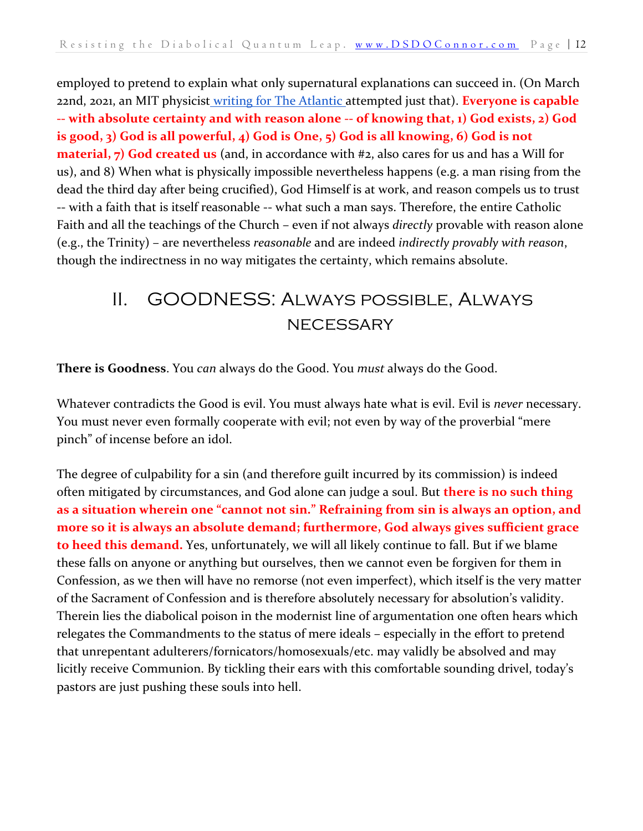employed to pretend to explain what only supernatural explanations can succeed in. (On March 22nd, 2021, an MIT physicist [writing for The Atlantic a](https://www.theatlantic.com/science/archive/2021/03/miracles-and-multiverses/618349/)ttempted just that). **Everyone is capable -- with absolute certainty and with reason alone -- of knowing that, 1) God exists, 2) God is good, 3) God is all powerful, 4) God is One, 5) God is all knowing, 6) God is not material, 7) God created us** (and, in accordance with #2, also cares for us and has a Will for us), and 8) When what is physically impossible nevertheless happens (e.g. a man rising from the dead the third day after being crucified), God Himself is at work, and reason compels us to trust -- with a faith that is itself reasonable -- what such a man says. Therefore, the entire Catholic Faith and all the teachings of the Church – even if not always *directly* provable with reason alone (e.g., the Trinity) – are nevertheless *reasonable* and are indeed *indirectly provably with reason*, though the indirectness in no way mitigates the certainty, which remains absolute.

## <span id="page-11-0"></span>II. GOODNESS: Always possible, Always **NECESSARY**

**There is Goodness**. You *can* always do the Good. You *must* always do the Good.

Whatever contradicts the Good is evil. You must always hate what is evil. Evil is *never* necessary. You must never even formally cooperate with evil; not even by way of the proverbial "mere pinch" of incense before an idol.

The degree of culpability for a sin (and therefore guilt incurred by its commission) is indeed often mitigated by circumstances, and God alone can judge a soul. But **there is no such thing as a situation wherein one "cannot not sin." Refraining from sin is always an option, and more so it is always an absolute demand; furthermore, God always gives sufficient grace to heed this demand.** Yes, unfortunately, we will all likely continue to fall. But if we blame these falls on anyone or anything but ourselves, then we cannot even be forgiven for them in Confession, as we then will have no remorse (not even imperfect), which itself is the very matter of the Sacrament of Confession and is therefore absolutely necessary for absolution's validity. Therein lies the diabolical poison in the modernist line of argumentation one often hears which relegates the Commandments to the status of mere ideals – especially in the effort to pretend that unrepentant adulterers/fornicators/homosexuals/etc. may validly be absolved and may licitly receive Communion. By tickling their ears with this comfortable sounding drivel, today's pastors are just pushing these souls into hell.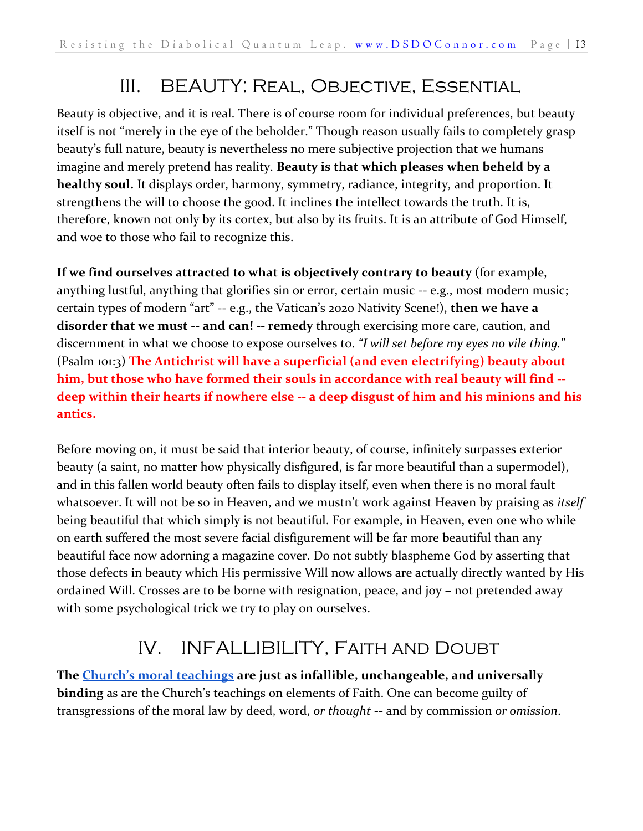## III. BEAUTY: Real, Objective, Essential

<span id="page-12-0"></span>Beauty is objective, and it is real. There is of course room for individual preferences, but beauty itself is not "merely in the eye of the beholder." Though reason usually fails to completely grasp beauty's full nature, beauty is nevertheless no mere subjective projection that we humans imagine and merely pretend has reality. **Beauty is that which pleases when beheld by a healthy soul.** It displays order, harmony, symmetry, radiance, integrity, and proportion. It strengthens the will to choose the good. It inclines the intellect towards the truth. It is, therefore, known not only by its cortex, but also by its fruits. It is an attribute of God Himself, and woe to those who fail to recognize this.

**If we find ourselves attracted to what is objectively contrary to beauty** (for example, anything lustful, anything that glorifies sin or error, certain music -- e.g., most modern music; certain types of modern "art" -- e.g., the Vatican's 2020 Nativity Scene!), **then we have a disorder that we must -- and can! -- remedy** through exercising more care, caution, and discernment in what we choose to expose ourselves to. *"I will set before my eyes no vile thing.*" (Psalm 101:3) **The Antichrist will have a superficial (and even electrifying) beauty about him, but those who have formed their souls in accordance with real beauty will find - deep within their hearts if nowhere else -- a deep disgust of him and his minions and his antics.**

Before moving on, it must be said that interior beauty, of course, infinitely surpasses exterior beauty (a saint, no matter how physically disfigured, is far more beautiful than a supermodel), and in this fallen world beauty often fails to display itself, even when there is no moral fault whatsoever. It will not be so in Heaven, and we mustn't work against Heaven by praising as *itself* being beautiful that which simply is not beautiful. For example, in Heaven, even one who while on earth suffered the most severe facial disfigurement will be far more beautiful than any beautiful face now adorning a magazine cover. Do not subtly blaspheme God by asserting that those defects in beauty which His permissive Will now allows are actually directly wanted by His ordained Will. Crosses are to be borne with resignation, peace, and joy – not pretended away with some psychological trick we try to play on ourselves.

## IV. INFALLIBILITY, Faith and Doubt

<span id="page-12-1"></span>**The [Church's moral teachings](https://www.catholicscomehome.org/your-questions/moral-issues/) are just as infallible, unchangeable, and universally binding** as are the Church's teachings on elements of Faith. One can become guilty of transgressions of the moral law by deed, word, *or thought* -- and by commission *or omission*.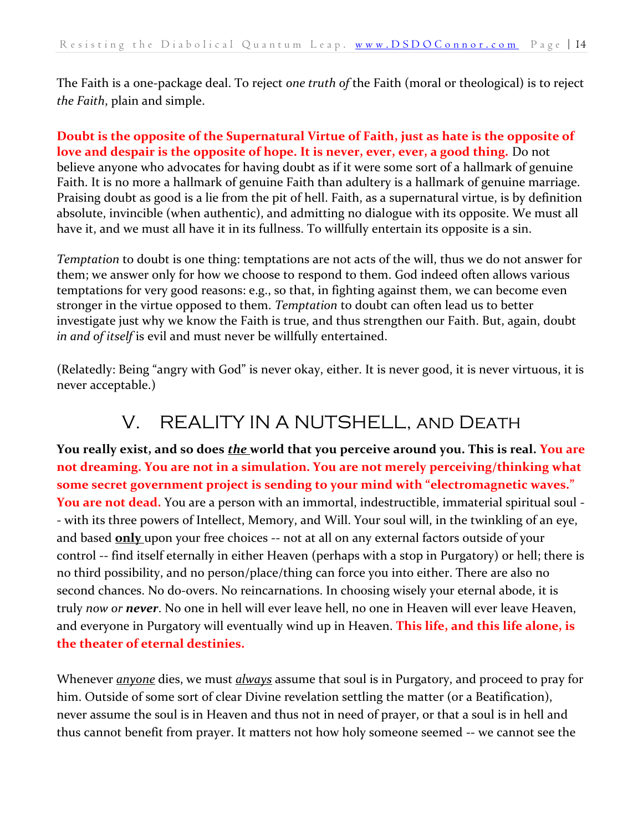The Faith is a one-package deal. To reject *one truth of* the Faith (moral or theological) is to reject *the Faith*, plain and simple.

**Doubt is the opposite of the Supernatural Virtue of Faith, just as hate is the opposite of love and despair is the opposite of hope. It is never, ever, ever, a good thing.** Do not believe anyone who advocates for having doubt as if it were some sort of a hallmark of genuine Faith. It is no more a hallmark of genuine Faith than adultery is a hallmark of genuine marriage. Praising doubt as good is a lie from the pit of hell. Faith, as a supernatural virtue, is by definition absolute, invincible (when authentic), and admitting no dialogue with its opposite. We must all have it, and we must all have it in its fullness. To willfully entertain its opposite is a sin.

*Temptation* to doubt is one thing: temptations are not acts of the will, thus we do not answer for them; we answer only for how we choose to respond to them. God indeed often allows various temptations for very good reasons: e.g., so that, in fighting against them, we can become even stronger in the virtue opposed to them. *Temptation* to doubt can often lead us to better investigate just why we know the Faith is true, and thus strengthen our Faith. But, again, doubt *in and of itself* is evil and must never be willfully entertained.

<span id="page-13-0"></span>(Relatedly: Being "angry with God" is never okay, either. It is never good, it is never virtuous, it is never acceptable.)

## V. REALITY IN A NUTSHELL, and Death

**You really exist, and so does** *the* **world that you perceive around you. This is real. You are not dreaming. You are not in a simulation. You are not merely perceiving/thinking what some secret government project is sending to your mind with "electromagnetic waves." You are not dead.** You are a person with an immortal, indestructible, immaterial spiritual soul - - with its three powers of Intellect, Memory, and Will. Your soul will, in the twinkling of an eye, and based **only** upon your free choices -- not at all on any external factors outside of your control -- find itself eternally in either Heaven (perhaps with a stop in Purgatory) or hell; there is no third possibility, and no person/place/thing can force you into either. There are also no second chances. No do-overs. No reincarnations. In choosing wisely your eternal abode, it is truly *now or never*. No one in hell will ever leave hell, no one in Heaven will ever leave Heaven, and everyone in Purgatory will eventually wind up in Heaven. **This life, and this life alone, is the theater of eternal destinies.**

Whenever *anyone* dies, we must *always* assume that soul is in Purgatory, and proceed to pray for him. Outside of some sort of clear Divine revelation settling the matter (or a Beatification), never assume the soul is in Heaven and thus not in need of prayer, or that a soul is in hell and thus cannot benefit from prayer. It matters not how holy someone seemed -- we cannot see the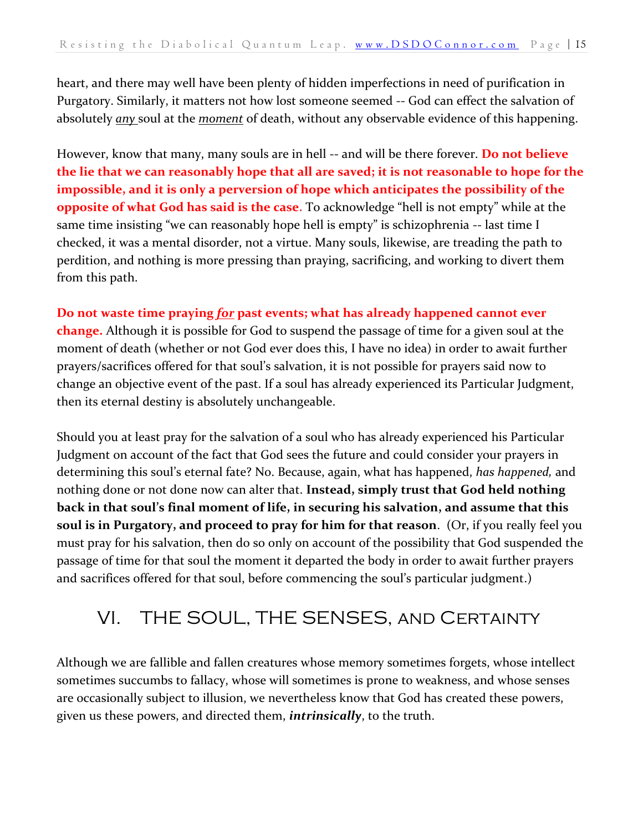heart, and there may well have been plenty of hidden imperfections in need of purification in Purgatory. Similarly, it matters not how lost someone seemed -- God can effect the salvation of absolutely *any* soul at the *moment* of death, without any observable evidence of this happening.

However, know that many, many souls are in hell -- and will be there forever. **Do not believe the lie that we can reasonably hope that all are saved; it is not reasonable to hope for the impossible, and it is only a perversion of hope which anticipates the possibility of the opposite of what God has said is the case.** To acknowledge "hell is not empty" while at the same time insisting "we can reasonably hope hell is empty" is schizophrenia -- last time I checked, it was a mental disorder, not a virtue. Many souls, likewise, are treading the path to perdition, and nothing is more pressing than praying, sacrificing, and working to divert them from this path.

#### **Do not waste time praying** *for* **past events; what has already happened cannot ever**

**change.** Although it is possible for God to suspend the passage of time for a given soul at the moment of death (whether or not God ever does this, I have no idea) in order to await further prayers/sacrifices offered for that soul's salvation, it is not possible for prayers said now to change an objective event of the past. If a soul has already experienced its Particular Judgment, then its eternal destiny is absolutely unchangeable.

Should you at least pray for the salvation of a soul who has already experienced his Particular Judgment on account of the fact that God sees the future and could consider your prayers in determining this soul's eternal fate? No. Because, again, what has happened, *has happened,* and nothing done or not done now can alter that. **Instead, simply trust that God held nothing back in that soul's final moment of life, in securing his salvation, and assume that this soul is in Purgatory, and proceed to pray for him for that reason**. (Or, if you really feel you must pray for his salvation, then do so only on account of the possibility that God suspended the passage of time for that soul the moment it departed the body in order to await further prayers and sacrifices offered for that soul, before commencing the soul's particular judgment.)

#### <span id="page-14-0"></span>VI. THE SOUL, THE SENSES, and Certainty

Although we are fallible and fallen creatures whose memory sometimes forgets, whose intellect sometimes succumbs to fallacy, whose will sometimes is prone to weakness, and whose senses are occasionally subject to illusion, we nevertheless know that God has created these powers, given us these powers, and directed them, *intrinsically*, to the truth.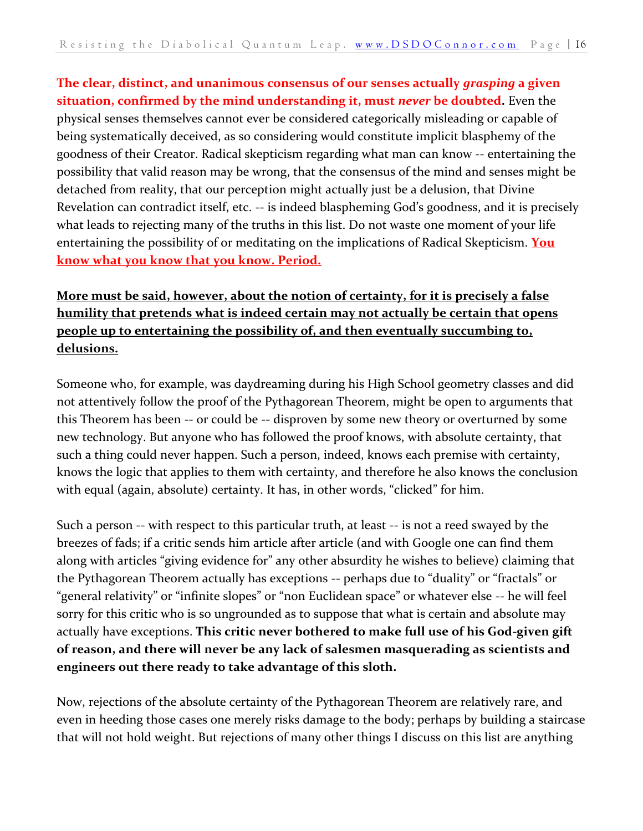**The clear, distinct, and unanimous consensus of our senses actually** *grasping* **a given situation, confirmed by the mind understanding it, must** *never* **be doubted.** Even the physical senses themselves cannot ever be considered categorically misleading or capable of being systematically deceived, as so considering would constitute implicit blasphemy of the goodness of their Creator. Radical skepticism regarding what man can know -- entertaining the possibility that valid reason may be wrong, that the consensus of the mind and senses might be detached from reality, that our perception might actually just be a delusion, that Divine Revelation can contradict itself, etc. -- is indeed blaspheming God's goodness, and it is precisely what leads to rejecting many of the truths in this list. Do not waste one moment of your life entertaining the possibility of or meditating on the implications of Radical Skepticism. **You know what you know that you know. Period.** 

#### **More must be said, however, about the notion of certainty, for it is precisely a false humility that pretends what is indeed certain may not actually be certain that opens people up to entertaining the possibility of, and then eventually succumbing to, delusions.**

Someone who, for example, was daydreaming during his High School geometry classes and did not attentively follow the proof of the Pythagorean Theorem, might be open to arguments that this Theorem has been -- or could be -- disproven by some new theory or overturned by some new technology. But anyone who has followed the proof knows, with absolute certainty, that such a thing could never happen. Such a person, indeed, knows each premise with certainty, knows the logic that applies to them with certainty, and therefore he also knows the conclusion with equal (again, absolute) certainty. It has, in other words, "clicked" for him.

Such a person -- with respect to this particular truth, at least -- is not a reed swayed by the breezes of fads; if a critic sends him article after article (and with Google one can find them along with articles "giving evidence for" any other absurdity he wishes to believe) claiming that the Pythagorean Theorem actually has exceptions -- perhaps due to "duality" or "fractals" or "general relativity" or "infinite slopes" or "non Euclidean space" or whatever else -- he will feel sorry for this critic who is so ungrounded as to suppose that what is certain and absolute may actually have exceptions. **This critic never bothered to make full use of his God-given gift of reason, and there will never be any lack of salesmen masquerading as scientists and engineers out there ready to take advantage of this sloth.**

Now, rejections of the absolute certainty of the Pythagorean Theorem are relatively rare, and even in heeding those cases one merely risks damage to the body; perhaps by building a staircase that will not hold weight. But rejections of many other things I discuss on this list are anything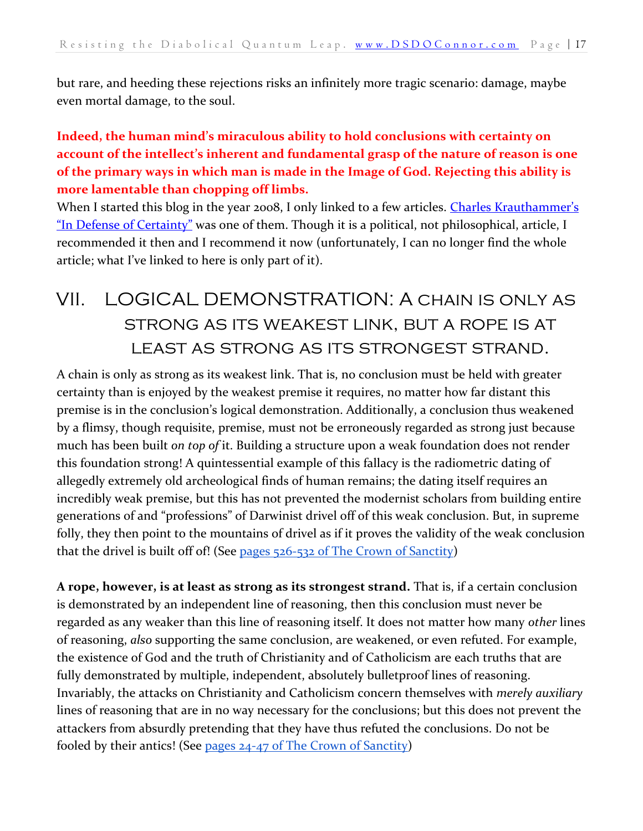but rare, and heeding these rejections risks an infinitely more tragic scenario: damage, maybe even mortal damage, to the soul.

#### **Indeed, the human mind's miraculous ability to hold conclusions with certainty on account of the intellect's inherent and fundamental grasp of the nature of reason is one of the primary ways in which man is made in the Image of God. Rejecting this ability is more lamentable than chopping off limbs.**

When I started this blog in the year 2008, I only linked to a few articles. Charles Krauthammer's ["In Defense of Certainty"](http://content.time.com/time/subscriber/article/0,33009,1066928,00.html) was one of them. Though it is a political, not philosophical, article, I recommended it then and I recommend it now (unfortunately, I can no longer find the whole article; what I've linked to here is only part of it).

## <span id="page-16-0"></span>VII. LOGICAL DEMONSTRATION: A chain is only as strong as its weakest link, but a rope is at least as strong as its strongest strand.

A chain is only as strong as its weakest link. That is, no conclusion must be held with greater certainty than is enjoyed by the weakest premise it requires, no matter how far distant this premise is in the conclusion's logical demonstration. Additionally, a conclusion thus weakened by a flimsy, though requisite, premise, must not be erroneously regarded as strong just because much has been built *on top of* it. Building a structure upon a weak foundation does not render this foundation strong! A quintessential example of this fallacy is the radiometric dating of allegedly extremely old archeological finds of human remains; the dating itself requires an incredibly weak premise, but this has not prevented the modernist scholars from building entire generations of and "professions" of Darwinist drivel off of this weak conclusion. But, in supreme folly, they then point to the mountains of drivel as if it proves the validity of the weak conclusion that the drivel is built off of! (See [pages 526-532 of The Crown of Sanctity\)](https://danieloconnor.files.wordpress.com/2019/07/the-crown-of-sanctity.pdf)

**A rope, however, is at least as strong as its strongest strand.** That is, if a certain conclusion is demonstrated by an independent line of reasoning, then this conclusion must never be regarded as any weaker than this line of reasoning itself. It does not matter how many *other* lines of reasoning, *also* supporting the same conclusion, are weakened, or even refuted. For example, the existence of God and the truth of Christianity and of Catholicism are each truths that are fully demonstrated by multiple, independent, absolutely bulletproof lines of reasoning. Invariably, the attacks on Christianity and Catholicism concern themselves with *merely auxiliary*  lines of reasoning that are in no way necessary for the conclusions; but this does not prevent the attackers from absurdly pretending that they have thus refuted the conclusions. Do not be fooled by their antics! (See [pages 24-47 of The Crown of Sanctity\)](https://danieloconnor.files.wordpress.com/2019/07/the-crown-of-sanctity.pdf)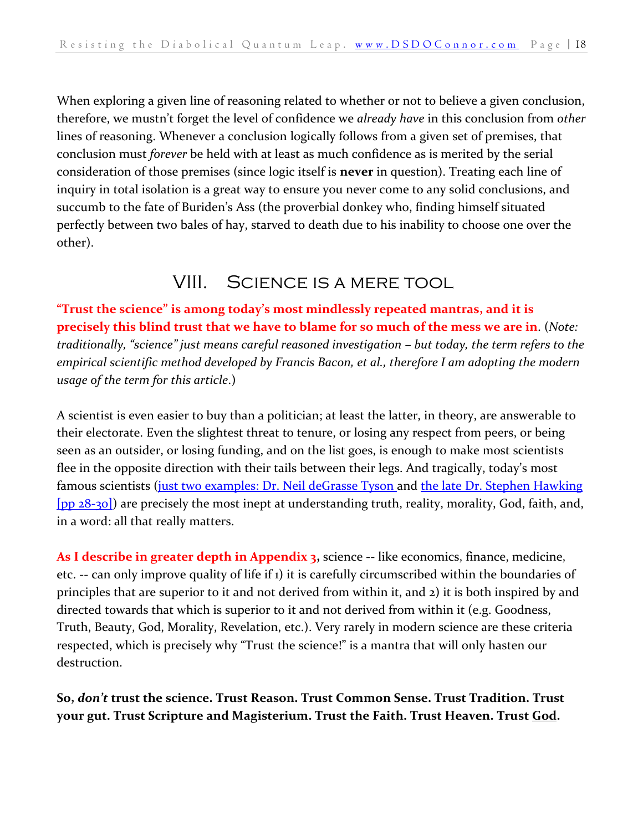When exploring a given line of reasoning related to whether or not to believe a given conclusion, therefore, we mustn't forget the level of confidence we *already have* in this conclusion from *other*  lines of reasoning. Whenever a conclusion logically follows from a given set of premises, that conclusion must *forever* be held with at least as much confidence as is merited by the serial consideration of those premises (since logic itself is **never** in question). Treating each line of inquiry in total isolation is a great way to ensure you never come to any solid conclusions, and succumb to the fate of Buriden's Ass (the proverbial donkey who, finding himself situated perfectly between two bales of hay, starved to death due to his inability to choose one over the other).

#### VIII. Science is a mere tool

<span id="page-17-0"></span>**"Trust the science" is among today's most mindlessly repeated mantras, and it is precisely this blind trust that we have to blame for so much of the mess we are in**. (*Note: traditionally, "science" just means careful reasoned investigation – but today, the term refers to the empirical scientific method developed by Francis Bacon, et al., therefore I am adopting the modern usage of the term for this article*.)

A scientist is even easier to buy than a politician; at least the latter, in theory, are answerable to their electorate. Even the slightest threat to tenure, or losing any respect from peers, or being seen as an outsider, or losing funding, and on the list goes, is enough to make most scientists flee in the opposite direction with their tails between their legs. And tragically, today's most famous scientists [\(just two examples: Dr. Neil deGrasse Tyson](https://dsdoconnor.com/tyson/) and the late Dr. Stephen Hawking [\[pp 28-30\]\)](https://danieloconnor.files.wordpress.com/2019/07/the-crown-of-sanctity.pdf) are precisely the most inept at understanding truth, reality, morality, God, faith, and, in a word: all that really matters.

**As I describe in greater depth in Appendix 3,** science -- like economics, finance, medicine, etc. -- can only improve quality of life if 1) it is carefully circumscribed within the boundaries of principles that are superior to it and not derived from within it, and 2) it is both inspired by and directed towards that which is superior to it and not derived from within it (e.g. Goodness, Truth, Beauty, God, Morality, Revelation, etc.). Very rarely in modern science are these criteria respected, which is precisely why "Trust the science!" is a mantra that will only hasten our destruction.

**So,** *don't* **trust the science. Trust Reason. Trust Common Sense. Trust Tradition. Trust your gut. Trust Scripture and Magisterium. Trust the Faith. Trust Heaven. Trust God.**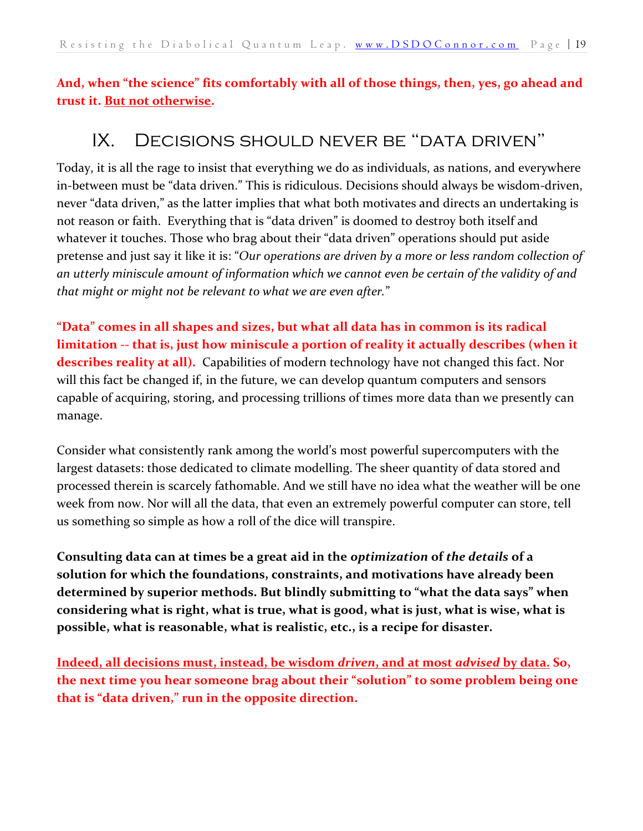<span id="page-18-0"></span>**And, when "the science" fits comfortably with all of those things, then, yes, go ahead and trust it. But not otherwise.**

#### IX. Decisions should never be "data driven"

Today, it is all the rage to insist that everything we do as individuals, as nations, and everywhere in-between must be "data driven." This is ridiculous. Decisions should always be wisdom-driven, never "data driven," as the latter implies that what both motivates and directs an undertaking is not reason or faith. Everything that is "data driven" is doomed to destroy both itself and whatever it touches. Those who brag about their "data driven" operations should put aside pretense and just say it like it is: "*Our operations are driven by a more or less random collection of an utterly miniscule amount of information which we cannot even be certain of the validity of and that might or might not be relevant to what we are even after.*"

**"Data" comes in all shapes and sizes, but what all data has in common is its radical limitation -- that is, just how miniscule a portion of reality it actually describes (when it describes reality at all).** Capabilities of modern technology have not changed this fact. Nor will this fact be changed if, in the future, we can develop quantum computers and sensors capable of acquiring, storing, and processing trillions of times more data than we presently can manage.

Consider what consistently rank among the world's most powerful supercomputers with the largest datasets: those dedicated to climate modelling. The sheer quantity of data stored and processed therein is scarcely fathomable. And we still have no idea what the weather will be one week from now. Nor will all the data, that even an extremely powerful computer can store, tell us something so simple as how a roll of the dice will transpire.

**Consulting data can at times be a great aid in the** *optimization* **of** *the details* **of a solution for which the foundations, constraints, and motivations have already been determined by superior methods. But blindly submitting to "what the data says" when considering what is right, what is true, what is good, what is just, what is wise, what is possible, what is reasonable, what is realistic, etc., is a recipe for disaster.** 

**Indeed, all decisions must, instead, be wisdom** *driven***, and at most** *advised* **by data. So, the next time you hear someone brag about their "solution" to some problem being one that is "data driven," run in the opposite direction.**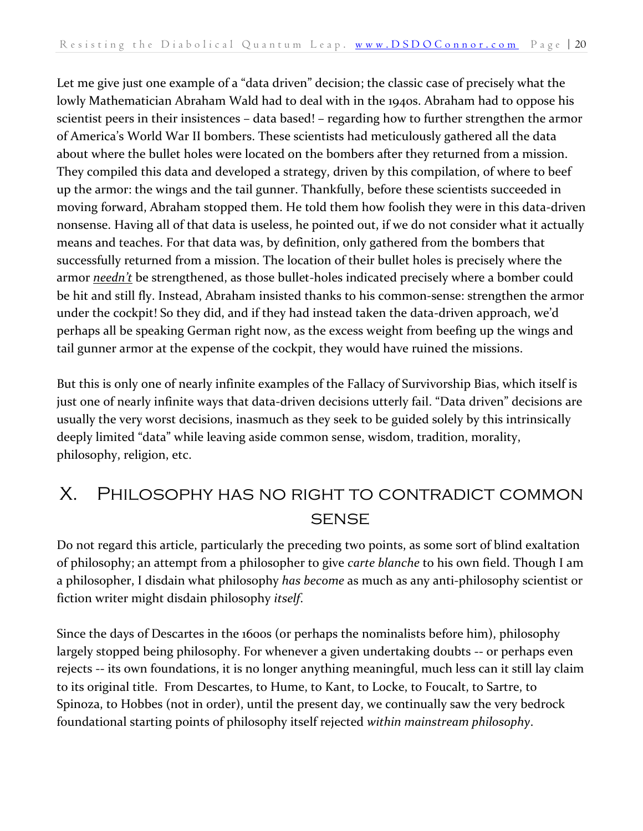Let me give just one example of a "data driven" decision; the classic case of precisely what the lowly Mathematician Abraham Wald had to deal with in the 1940s. Abraham had to oppose his scientist peers in their insistences – data based! – regarding how to further strengthen the armor of America's World War II bombers. These scientists had meticulously gathered all the data about where the bullet holes were located on the bombers after they returned from a mission. They compiled this data and developed a strategy, driven by this compilation, of where to beef up the armor: the wings and the tail gunner. Thankfully, before these scientists succeeded in moving forward, Abraham stopped them. He told them how foolish they were in this data-driven nonsense. Having all of that data is useless, he pointed out, if we do not consider what it actually means and teaches. For that data was, by definition, only gathered from the bombers that successfully returned from a mission. The location of their bullet holes is precisely where the armor *needn't* be strengthened, as those bullet-holes indicated precisely where a bomber could be hit and still fly. Instead, Abraham insisted thanks to his common-sense: strengthen the armor under the cockpit! So they did, and if they had instead taken the data-driven approach, we'd perhaps all be speaking German right now, as the excess weight from beefing up the wings and tail gunner armor at the expense of the cockpit, they would have ruined the missions.

But this is only one of nearly infinite examples of the Fallacy of Survivorship Bias, which itself is just one of nearly infinite ways that data-driven decisions utterly fail. "Data driven" decisions are usually the very worst decisions, inasmuch as they seek to be guided solely by this intrinsically deeply limited "data" while leaving aside common sense, wisdom, tradition, morality, philosophy, religion, etc.

#### <span id="page-19-0"></span>X. Philosophy has no right to contradict common **SENSE**

Do not regard this article, particularly the preceding two points, as some sort of blind exaltation of philosophy; an attempt from a philosopher to give *carte blanche* to his own field. Though I am a philosopher, I disdain what philosophy *has become* as much as any anti-philosophy scientist or fiction writer might disdain philosophy *itself*.

Since the days of Descartes in the 1600s (or perhaps the nominalists before him), philosophy largely stopped being philosophy. For whenever a given undertaking doubts -- or perhaps even rejects -- its own foundations, it is no longer anything meaningful, much less can it still lay claim to its original title. From Descartes, to Hume, to Kant, to Locke, to Foucalt, to Sartre, to Spinoza, to Hobbes (not in order), until the present day, we continually saw the very bedrock foundational starting points of philosophy itself rejected *within mainstream philosophy*.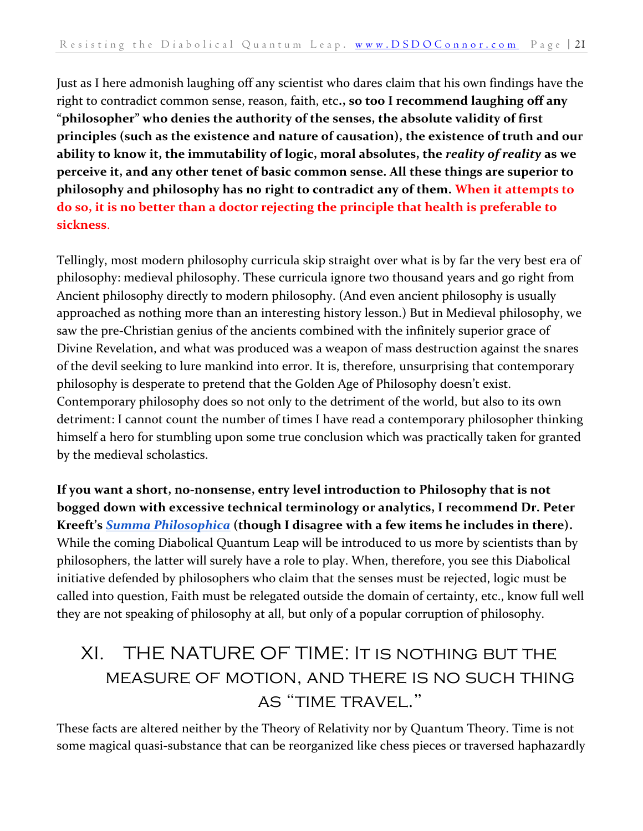Just as I here admonish laughing off any scientist who dares claim that his own findings have the right to contradict common sense, reason, faith, etc**., so too I recommend laughing off any "philosopher" who denies the authority of the senses, the absolute validity of first principles (such as the existence and nature of causation), the existence of truth and our ability to know it, the immutability of logic, moral absolutes, the** *reality of reality* **as we perceive it, and any other tenet of basic common sense. All these things are superior to philosophy and philosophy has no right to contradict any of them. When it attempts to do so, it is no better than a doctor rejecting the principle that health is preferable to sickness**.

Tellingly, most modern philosophy curricula skip straight over what is by far the very best era of philosophy: medieval philosophy. These curricula ignore two thousand years and go right from Ancient philosophy directly to modern philosophy. (And even ancient philosophy is usually approached as nothing more than an interesting history lesson.) But in Medieval philosophy, we saw the pre-Christian genius of the ancients combined with the infinitely superior grace of Divine Revelation, and what was produced was a weapon of mass destruction against the snares of the devil seeking to lure mankind into error. It is, therefore, unsurprising that contemporary philosophy is desperate to pretend that the Golden Age of Philosophy doesn't exist. Contemporary philosophy does so not only to the detriment of the world, but also to its own detriment: I cannot count the number of times I have read a contemporary philosopher thinking himself a hero for stumbling upon some true conclusion which was practically taken for granted by the medieval scholastics.

**If you want a short, no-nonsense, entry level introduction to Philosophy that is not bogged down with excessive technical terminology or analytics, I recommend Dr. Peter Kreeft's** *[Summa Philosophica](https://www.amazon.com/gp/offer-listing/1587318253/ref=tmm_hrd_used_olp_0?ie=UTF8&condition=used)* **(though I disagree with a few items he includes in there).**  While the coming Diabolical Quantum Leap will be introduced to us more by scientists than by philosophers, the latter will surely have a role to play. When, therefore, you see this Diabolical initiative defended by philosophers who claim that the senses must be rejected, logic must be called into question, Faith must be relegated outside the domain of certainty, etc., know full well they are not speaking of philosophy at all, but only of a popular corruption of philosophy.

## <span id="page-20-0"></span>XI. THE NATURE OF TIME: It is nothing but the measure of motion, and there is no such thing as "time travel."

These facts are altered neither by the Theory of Relativity nor by Quantum Theory. Time is not some magical quasi-substance that can be reorganized like chess pieces or traversed haphazardly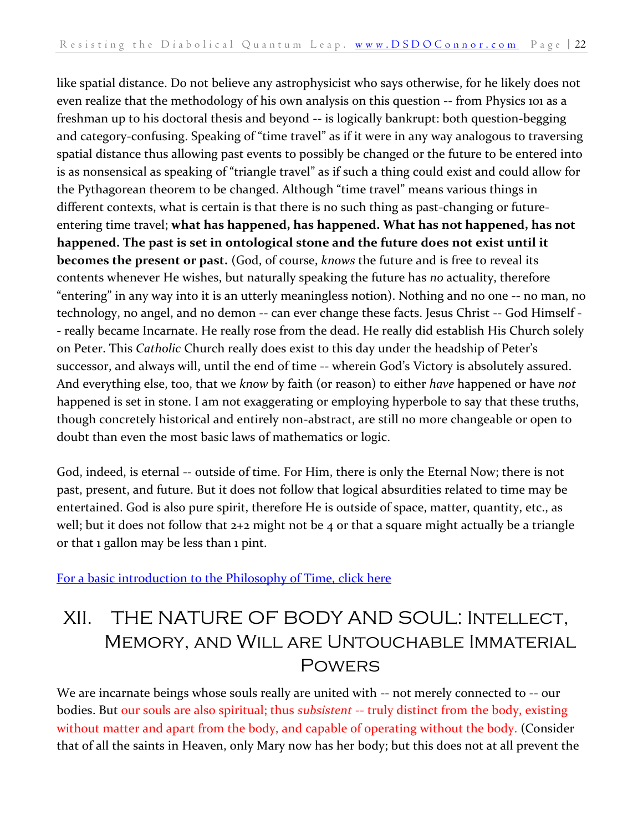like spatial distance. Do not believe any astrophysicist who says otherwise, for he likely does not even realize that the methodology of his own analysis on this question -- from Physics 101 as a freshman up to his doctoral thesis and beyond -- is logically bankrupt: both question-begging and category-confusing. Speaking of "time travel" as if it were in any way analogous to traversing spatial distance thus allowing past events to possibly be changed or the future to be entered into is as nonsensical as speaking of "triangle travel" as if such a thing could exist and could allow for the Pythagorean theorem to be changed. Although "time travel" means various things in different contexts, what is certain is that there is no such thing as past-changing or futureentering time travel; **what has happened, has happened. What has not happened, has not happened. The past is set in ontological stone and the future does not exist until it becomes the present or past.** (God, of course, *knows* the future and is free to reveal its contents whenever He wishes, but naturally speaking the future has *no* actuality, therefore "entering" in any way into it is an utterly meaningless notion). Nothing and no one -- no man, no technology, no angel, and no demon -- can ever change these facts. Jesus Christ -- God Himself - - really became Incarnate. He really rose from the dead. He really did establish His Church solely on Peter. This *Catholic* Church really does exist to this day under the headship of Peter's successor, and always will, until the end of time -- wherein God's Victory is absolutely assured. And everything else, too, that we *know* by faith (or reason) to either *have* happened or have *not* happened is set in stone. I am not exaggerating or employing hyperbole to say that these truths, though concretely historical and entirely non-abstract, are still no more changeable or open to doubt than even the most basic laws of mathematics or logic.

God, indeed, is eternal -- outside of time. For Him, there is only the Eternal Now; there is not past, present, and future. But it does not follow that logical absurdities related to time may be entertained. God is also pure spirit, therefore He is outside of space, matter, quantity, etc., as well; but it does not follow that 2+2 might not be 4 or that a square might actually be a triangle or that 1 gallon may be less than 1 pint.

<span id="page-21-0"></span>[For a basic introduction to the Philosophy of Time, click here](https://dsdoconnor.com/time/)

## XII. THE NATURE OF BODY AND SOUL: Intellect, Memory, and Will are Untouchable Immaterial **POWERS**

We are incarnate beings whose souls really are united with -- not merely connected to -- our bodies. But our souls are also spiritual; thus *subsistent* -- truly distinct from the body, existing without matter and apart from the body, and capable of operating without the body. (Consider that of all the saints in Heaven, only Mary now has her body; but this does not at all prevent the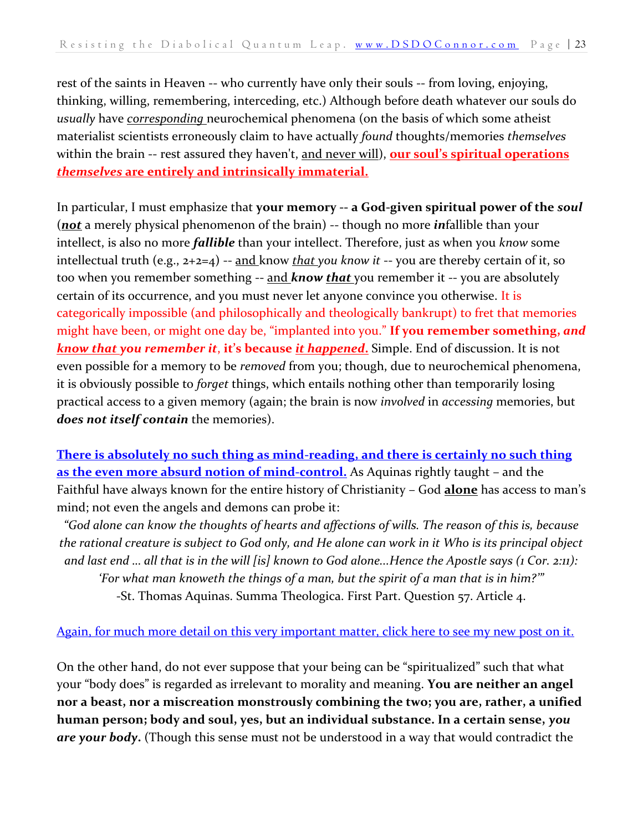rest of the saints in Heaven -- who currently have only their souls -- from loving, enjoying, thinking, willing, remembering, interceding, etc.) Although before death whatever our souls do *usually* have *corresponding* neurochemical phenomena (on the basis of which some atheist materialist scientists erroneously claim to have actually *found* thoughts/memories *themselves*  within the brain -- rest assured they haven't, and never will), **our soul's spiritual operations**  *themselves* **are entirely and intrinsically immaterial.** 

In particular, I must emphasize that **your memory -- a God-given spiritual power of the** *soul* (*not* a merely physical phenomenon of the brain) -- though no more *in*fallible than your intellect, is also no more *fallible* than your intellect. Therefore, just as when you *know* some intellectual truth (e.g., 2+2=4) -- and know *that you know it* -- you are thereby certain of it, so too when you remember something -- and *know that* you remember it -- you are absolutely certain of its occurrence, and you must never let anyone convince you otherwise. It is categorically impossible (and philosophically and theologically bankrupt) to fret that memories might have been, or might one day be, "implanted into you." **If you remember something,** *and know that you remember it*, **it's because** *it happened***.** Simple. End of discussion. It is not even possible for a memory to be *removed* from you; though, due to neurochemical phenomena, it is obviously possible to *forget* things, which entails nothing other than temporarily losing practical access to a given memory (again; the brain is now *involved* in *accessing* memories, but *does not itself contain* the memories).

**[There is absolutely no such thing as mind-reading, and there is certainly no such thing](https://dsdoconnor.com/mind/)  [as the even more absurd notion of mind-control.](https://dsdoconnor.com/mind/)** As Aquinas rightly taught – and the Faithful have always known for the entire history of Christianity – God **alone** has access to man's mind; not even the angels and demons can probe it:

*"God alone can know the thoughts of hearts and affections of wills. The reason of this is, because the rational creature is subject to God only, and He alone can work in it Who is its principal object and last end … all that is in the will [is] known to God alone...Hence the Apostle says (1 Cor. 2:11): 'For what man knoweth the things of a man, but the spirit of a man that is in him?'"* -St. Thomas Aquinas. Summa Theologica. First Part. Question 57. Article 4.

#### Again, for much more detail on this [very important matter, click here to see my new post on it.](https://dsdoconnor.com/mind/)

On the other hand, do not ever suppose that your being can be "spiritualized" such that what your "body does" is regarded as irrelevant to morality and meaning. **You are neither an angel nor a beast, nor a miscreation monstrously combining the two; you are, rather, a unified human person; body and soul, yes, but an individual substance. In a certain sense,** *you are your body***.** (Though this sense must not be understood in a way that would contradict the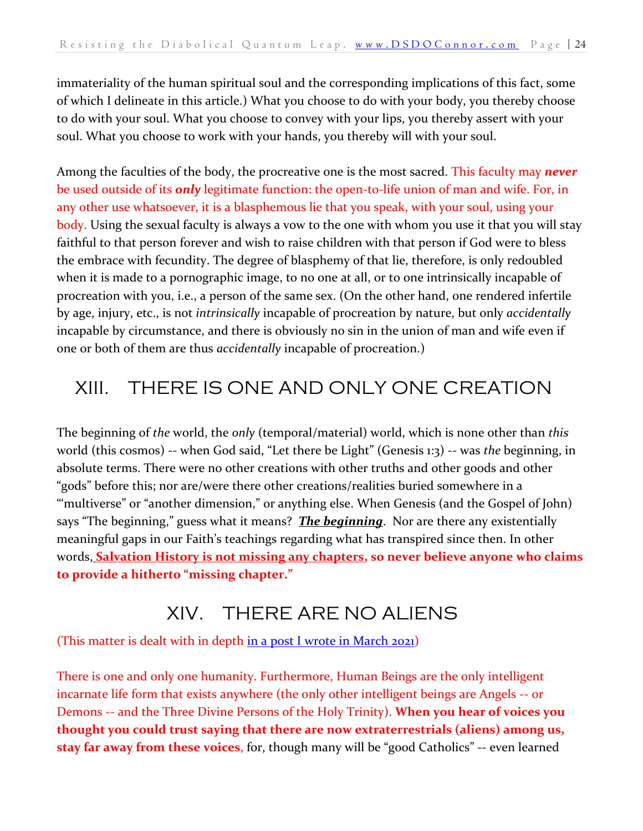immateriality of the human spiritual soul and the corresponding implications of this fact, some of which I delineate in this article.) What you choose to do with your body, you thereby choose to do with your soul. What you choose to convey with your lips, you thereby assert with your soul. What you choose to work with your hands, you thereby will with your soul.

Among the faculties of the body, the procreative one is the most sacred. This faculty may *never*  be used outside of its *only* legitimate function: the open-to-life union of man and wife. For, in any other use whatsoever, it is a blasphemous lie that you speak, with your soul, using your body. Using the sexual faculty is always a vow to the one with whom you use it that you will stay faithful to that person forever and wish to raise children with that person if God were to bless the embrace with fecundity. The degree of blasphemy of that lie, therefore, is only redoubled when it is made to a pornographic image, to no one at all, or to one intrinsically incapable of procreation with you, i.e., a person of the same sex. (On the other hand, one rendered infertile by age, injury, etc., is not *intrinsically* incapable of procreation by nature, but only *accidentally*  incapable by circumstance, and there is obviously no sin in the union of man and wife even if one or both of them are thus *accidentally* incapable of procreation.)

## <span id="page-23-0"></span>XIII. THERE IS ONE AND ONLY ONE CREATION

The beginning of *the* world, the *only* (temporal/material) world, which is none other than *this*  world (this cosmos) -- when God said, "Let there be Light" (Genesis 1:3) -- was *the* beginning, in absolute terms. There were no other creations with other truths and other goods and other "gods" before this; nor are/were there other creations/realities buried somewhere in a "'multiverse" or "another dimension," or anything else. When Genesis (and the Gospel of John) says "The beginning," guess what it means? *The beginning*. Nor are there any existentially meaningful gaps in our Faith's teachings regarding what has transpired since then. In other words, **Salvation History is not missing any chapters, so never believe anyone who claims to provide a hitherto "missing chapter."**

#### XIV. THERE ARE NO ALIENS

<span id="page-23-1"></span>(This matter is dealt with in depth [in a post I wrote in March 2021\)](https://dsdoconnor.com/2021/03/06/there-are-no-aliens/)

There is one and only one humanity. Furthermore, Human Beings are the only intelligent incarnate life form that exists anywhere (the only other intelligent beings are Angels -- or Demons -- and the Three Divine Persons of the Holy Trinity). **When you hear of voices you thought you could trust saying that there are now extraterrestrials (aliens) among us, stay far away from these voices**, for, though many will be "good Catholics" -- even learned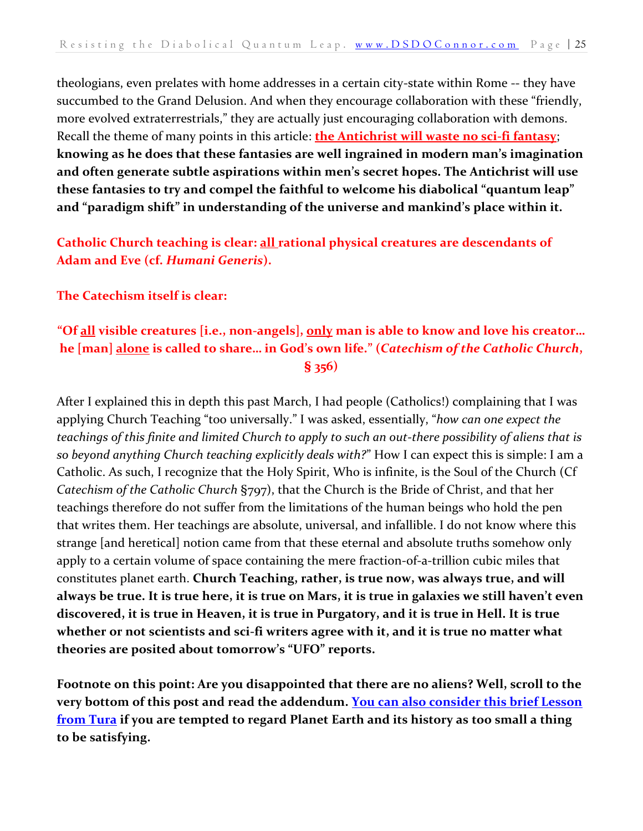theologians, even prelates with home addresses in a certain city-state within Rome -- they have succumbed to the Grand Delusion. And when they encourage collaboration with these "friendly, more evolved extraterrestrials," they are actually just encouraging collaboration with demons. Recall the theme of many points in this article: **the Antichrist will waste no sci-fi fantasy**; **knowing as he does that these fantasies are well ingrained in modern man's imagination and often generate subtle aspirations within men's secret hopes. The Antichrist will use these fantasies to try and compel the faithful to welcome his diabolical "quantum leap" and "paradigm shift" in understanding of the universe and mankind's place within it.** 

#### **Catholic Church teaching is clear: all rational physical creatures are descendants of Adam and Eve (cf.** *Humani Generis***).**

#### **The Catechism itself is clear:**

#### **"Of all visible creatures [i.e., non-angels], only man is able to know and love his creator… he [man] alone is called to share… in God's own life." (***Catechism of the Catholic Church***, § 356)**

After I explained this in depth this past March, I had people (Catholics!) complaining that I was applying Church Teaching "too universally." I was asked, essentially, "*how can one expect the teachings of this finite and limited Church to apply to such an out-there possibility of aliens that is so beyond anything Church teaching explicitly deals with?*" How I can expect this is simple: I am a Catholic. As such, I recognize that the Holy Spirit, Who is infinite, is the Soul of the Church (Cf *Catechism of the Catholic Church* §797), that the Church is the Bride of Christ, and that her teachings therefore do not suffer from the limitations of the human beings who hold the pen that writes them. Her teachings are absolute, universal, and infallible. I do not know where this strange [and heretical] notion came from that these eternal and absolute truths somehow only apply to a certain volume of space containing the mere fraction-of-a-trillion cubic miles that constitutes planet earth. **Church Teaching, rather, is true now, was always true, and will always be true. It is true here, it is true on Mars, it is true in galaxies we still haven't even discovered, it is true in Heaven, it is true in Purgatory, and it is true in Hell. It is true whether or not scientists and sci-fi writers agree with it, and it is true no matter what theories are posited about tomorrow's "UFO" reports.**

**Footnote on this point: Are you disappointed that there are no aliens? Well, scroll to the very bottom of this post and read the addendum. [You can also consider this brief Lesson](https://dsdoconnor.com/tura/)  [from Tura](https://dsdoconnor.com/tura/) if you are tempted to regard Planet Earth and its history as too small a thing to be satisfying.**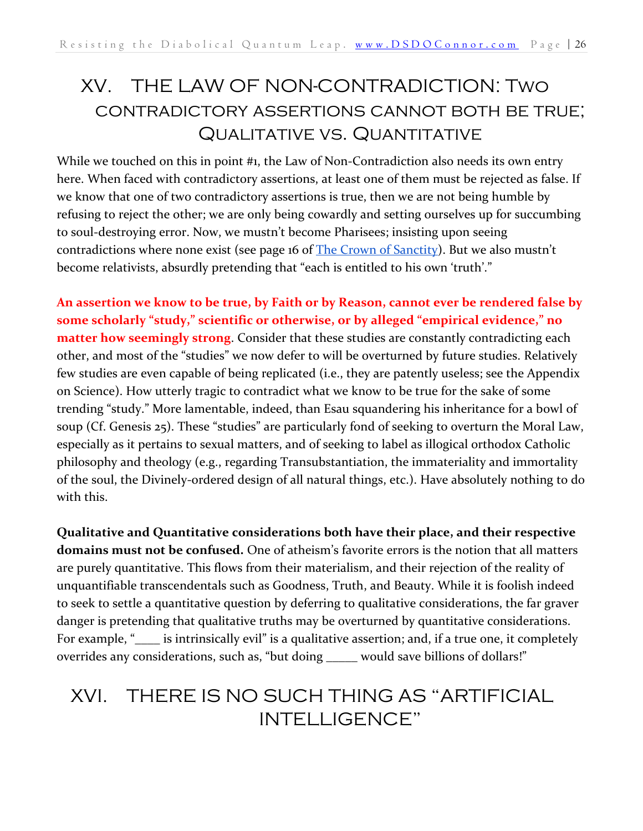## <span id="page-25-0"></span>XV. THE LAW OF NON-CONTRADICTION: Two contradictory assertions cannot both be true; Qualitative vs. Quantitative

While we touched on this in point #1, the Law of Non-Contradiction also needs its own entry here. When faced with contradictory assertions, at least one of them must be rejected as false. If we know that one of two contradictory assertions is true, then we are not being humble by refusing to reject the other; we are only being cowardly and setting ourselves up for succumbing to soul-destroying error. Now, we mustn't become Pharisees; insisting upon seeing contradictions where none exist (see page 16 of [The Crown of Sanctity](https://danieloconnor.files.wordpress.com/2019/07/the-crown-of-sanctity.pdf)). But we also mustn't become relativists, absurdly pretending that "each is entitled to his own 'truth'."

**An assertion we know to be true, by Faith or by Reason, cannot ever be rendered false by some scholarly "study," scientific or otherwise, or by alleged "empirical evidence," no matter how seemingly strong**. Consider that these studies are constantly contradicting each other, and most of the "studies" we now defer to will be overturned by future studies. Relatively few studies are even capable of being replicated (i.e., they are patently useless; see the Appendix on Science). How utterly tragic to contradict what we know to be true for the sake of some trending "study." More lamentable, indeed, than Esau squandering his inheritance for a bowl of soup (Cf. Genesis 25). These "studies" are particularly fond of seeking to overturn the Moral Law, especially as it pertains to sexual matters, and of seeking to label as illogical orthodox Catholic philosophy and theology (e.g., regarding Transubstantiation, the immateriality and immortality of the soul, the Divinely-ordered design of all natural things, etc.). Have absolutely nothing to do with this.

**Qualitative and Quantitative considerations both have their place, and their respective domains must not be confused.** One of atheism's favorite errors is the notion that all matters are purely quantitative. This flows from their materialism, and their rejection of the reality of unquantifiable transcendentals such as Goodness, Truth, and Beauty. While it is foolish indeed to seek to settle a quantitative question by deferring to qualitative considerations, the far graver danger is pretending that qualitative truths may be overturned by quantitative considerations. For example, "
is intrinsically evil" is a qualitative assertion; and, if a true one, it completely overrides any considerations, such as, "but doing \_\_\_\_\_ would save billions of dollars!"

## <span id="page-25-1"></span>XVI. THERE IS NO SUCH THING AS "ARTIFICIAL INTELLIGENCE"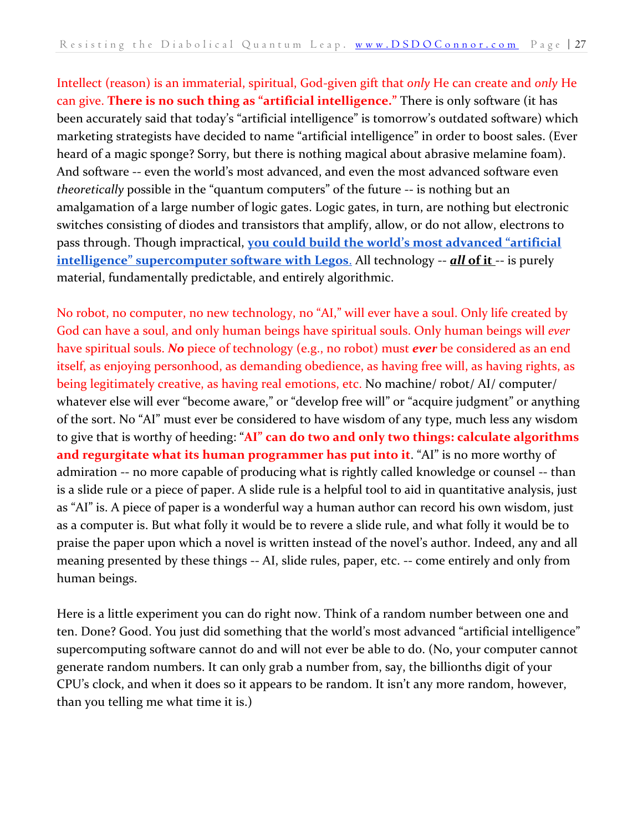Intellect (reason) is an immaterial, spiritual, God-given gift that *only* He can create and *only* He can give. **There is no such thing as "artificial intelligence."** There is only software (it has been accurately said that today's "artificial intelligence" is tomorrow's outdated software) which marketing strategists have decided to name "artificial intelligence" in order to boost sales. (Ever heard of a magic sponge? Sorry, but there is nothing magical about abrasive melamine foam). And software -- even the world's most advanced, and even the most advanced software even *theoretically* possible in the "quantum computers" of the future -- is nothing but an amalgamation of a large number of logic gates. Logic gates, in turn, are nothing but electronic switches consisting of diodes and transistors that amplify, allow, or do not allow, electrons to pass through. Though impractical, **[you could build the world's most advanced "artificial](https://youtu.be/5X_Ft4YR_wU)  [intelligence" supercomputer software with Legos](https://youtu.be/5X_Ft4YR_wU)[.](https://youtu.be/5X_Ft4YR_wU) All technology -- <b>***all* of it -- is purely material, fundamentally predictable, and entirely algorithmic.

No robot, no computer, no new technology, no "AI," will ever have a soul. Only life created by God can have a soul, and only human beings have spiritual souls. Only human beings will *ever*  have spiritual souls. *No* piece of technology (e.g., no robot) must *ever* be considered as an end itself, as enjoying personhood, as demanding obedience, as having free will, as having rights, as being legitimately creative, as having real emotions, etc. No machine/ robot/ AI/ computer/ whatever else will ever "become aware," or "develop free will" or "acquire judgment" or anything of the sort. No "AI" must ever be considered to have wisdom of any type, much less any wisdom to give that is worthy of heeding: "**AI" can do two and only two things: calculate algorithms and regurgitate what its human programmer has put into it**. "AI" is no more worthy of admiration -- no more capable of producing what is rightly called knowledge or counsel -- than is a slide rule or a piece of paper. A slide rule is a helpful tool to aid in quantitative analysis, just as "AI" is. A piece of paper is a wonderful way a human author can record his own wisdom, just as a computer is. But what folly it would be to revere a slide rule, and what folly it would be to praise the paper upon which a novel is written instead of the novel's author. Indeed, any and all meaning presented by these things -- AI, slide rules, paper, etc. -- come entirely and only from human beings.

Here is a little experiment you can do right now. Think of a random number between one and ten. Done? Good. You just did something that the world's most advanced "artificial intelligence" supercomputing software cannot do and will not ever be able to do. (No, your computer cannot generate random numbers. It can only grab a number from, say, the billionths digit of your CPU's clock, and when it does so it appears to be random. It isn't any more random, however, than you telling me what time it is.)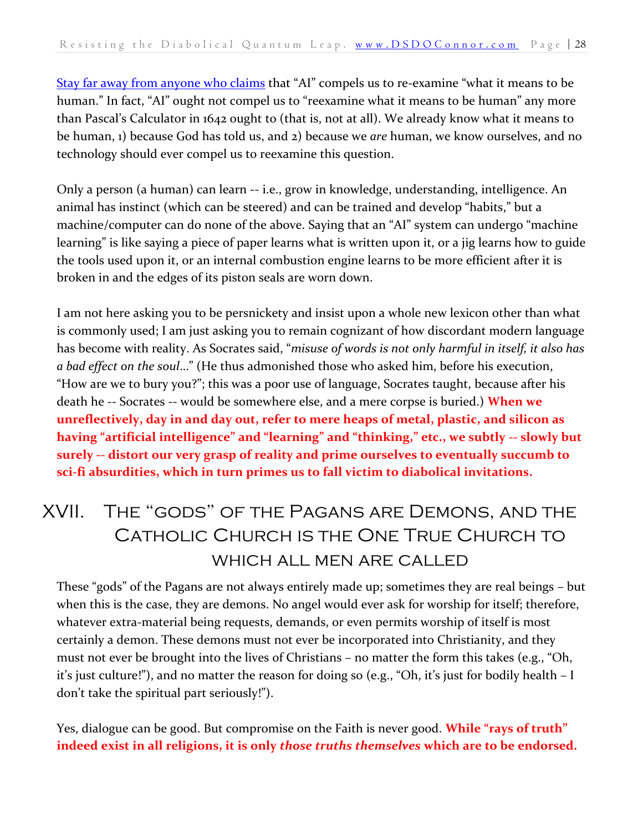[Stay far away from anyone who claims](https://www.ncregister.com/interview/italian-priest-artificial-intelligence-prompts-us-to-think-about-what-it-means-to-be-truly-human) that "AI" compels us to re-examine "what it means to be human." In fact, "AI" ought not compel us to "reexamine what it means to be human" any more than Pascal's Calculator in 1642 ought to (that is, not at all). We already know what it means to be human, 1) because God has told us, and 2) because we *are* human, we know ourselves, and no technology should ever compel us to reexamine this question.

Only a person (a human) can learn -- i.e., grow in knowledge, understanding, intelligence. An animal has instinct (which can be steered) and can be trained and develop "habits," but a machine/computer can do none of the above. Saying that an "AI" system can undergo "machine learning" is like saying a piece of paper learns what is written upon it, or a jig learns how to guide the tools used upon it, or an internal combustion engine learns to be more efficient after it is broken in and the edges of its piston seals are worn down.

I am not here asking you to be persnickety and insist upon a whole new lexicon other than what is commonly used; I am just asking you to remain cognizant of how discordant modern language has become with reality. As Socrates said, "*misuse of words is not only harmful in itself, it also has a bad effect on the soul*…" (He thus admonished those who asked him, before his execution, "How are we to bury you?"; this was a poor use of language, Socrates taught, because after his death he -- Socrates -- would be somewhere else, and a mere corpse is buried.) **When we unreflectively, day in and day out, refer to mere heaps of metal, plastic, and silicon as having "artificial intelligence" and "learning" and "thinking," etc., we subtly -- slowly but surely -- distort our very grasp of reality and prime ourselves to eventually succumb to sci-fi absurdities, which in turn primes us to fall victim to diabolical invitations.**

## <span id="page-27-0"></span>XVII. The "gods" of the Pagans are Demons, and the Catholic Church is the One True Church to which all men are called

These "gods" of the Pagans are not always entirely made up; sometimes they are real beings – but when this is the case, they are demons. No angel would ever ask for worship for itself; therefore, whatever extra-material being requests, demands, or even permits worship of itself is most certainly a demon. These demons must not ever be incorporated into Christianity, and they must not ever be brought into the lives of Christians – no matter the form this takes (e.g., "Oh, it's just culture!"), and no matter the reason for doing so (e.g., "Oh, it's just for bodily health – I don't take the spiritual part seriously!").

Yes, dialogue can be good. But compromise on the Faith is never good. **While "rays of truth" indeed exist in all religions, it is only** *those truths themselves* **which are to be endorsed.**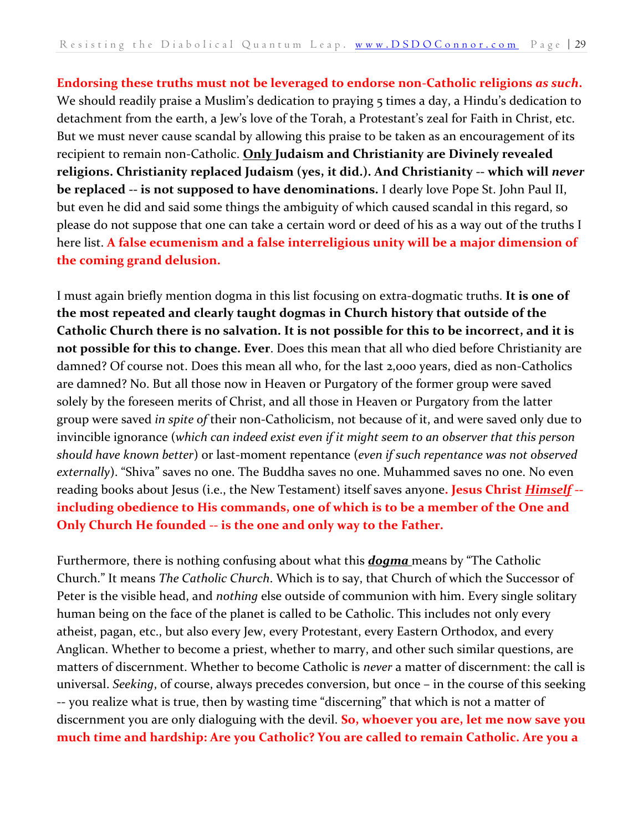**Endorsing these truths must not be leveraged to endorse non-Catholic religions** *as such***.**  We should readily praise a Muslim's dedication to praying 5 times a day, a Hindu's dedication to detachment from the earth, a Jew's love of the Torah, a Protestant's zeal for Faith in Christ, etc. But we must never cause scandal by allowing this praise to be taken as an encouragement of its recipient to remain non-Catholic. **Only Judaism and Christianity are Divinely revealed religions. Christianity replaced Judaism (yes, it did.). And Christianity -- which will** *never*  **be replaced -- is not supposed to have denominations.** I dearly love Pope St. John Paul II, but even he did and said some things the ambiguity of which caused scandal in this regard, so please do not suppose that one can take a certain word or deed of his as a way out of the truths I here list. **A false ecumenism and a false interreligious unity will be a major dimension of the coming grand delusion.**

I must again briefly mention dogma in this list focusing on extra-dogmatic truths. **It is one of the most repeated and clearly taught dogmas in Church history that outside of the Catholic Church there is no salvation. It is not possible for this to be incorrect, and it is not possible for this to change. Ever**. Does this mean that all who died before Christianity are damned? Of course not. Does this mean all who, for the last 2,000 years, died as non-Catholics are damned? No. But all those now in Heaven or Purgatory of the former group were saved solely by the foreseen merits of Christ, and all those in Heaven or Purgatory from the latter group were saved *in spite of* their non-Catholicism, not because of it, and were saved only due to invincible ignorance (*which can indeed exist even if it might seem to an observer that this person should have known better*) or last-moment repentance (*even if such repentance was not observed externally*). "Shiva" saves no one. The Buddha saves no one. Muhammed saves no one. No even reading books about Jesus (i.e., the New Testament) itself saves anyone**. Jesus Christ** *Himself* **- including obedience to His commands, one of which is to be a member of the One and Only Church He founded -- is the one and only way to the Father.**

Furthermore, there is nothing confusing about what this *dogma* means by "The Catholic Church." It means *The Catholic Church*. Which is to say, that Church of which the Successor of Peter is the visible head, and *nothing* else outside of communion with him. Every single solitary human being on the face of the planet is called to be Catholic. This includes not only every atheist, pagan, etc., but also every Jew, every Protestant, every Eastern Orthodox, and every Anglican. Whether to become a priest, whether to marry, and other such similar questions, are matters of discernment. Whether to become Catholic is *never* a matter of discernment: the call is universal. *Seeking*, of course, always precedes conversion, but once – in the course of this seeking -- you realize what is true, then by wasting time "discerning" that which is not a matter of discernment you are only dialoguing with the devil. **So, whoever you are, let me now save you much time and hardship: Are you Catholic? You are called to remain Catholic. Are you a**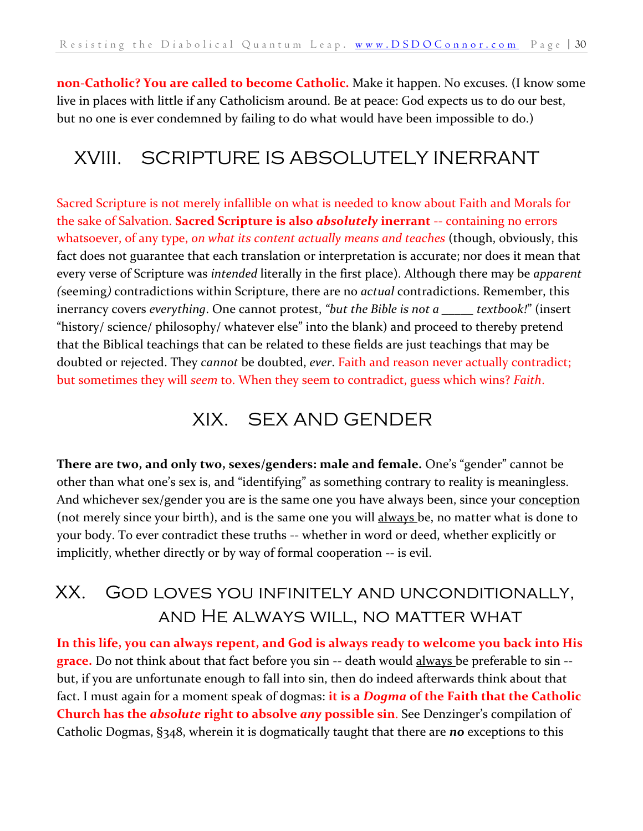**non-Catholic? You are called to become Catholic.** Make it happen. No excuses. (I know some live in places with little if any Catholicism around. Be at peace: God expects us to do our best, but no one is ever condemned by failing to do what would have been impossible to do.)

## <span id="page-29-0"></span>XVIII. SCRIPTURE IS ABSOLUTELY INERRANT

Sacred Scripture is not merely infallible on what is needed to know about Faith and Morals for the sake of Salvation. **Sacred Scripture is also** *absolutely* **inerrant** -- containing no errors whatsoever, of any type, *on what its content actually means and teaches* (though, obviously, this fact does not guarantee that each translation or interpretation is accurate; nor does it mean that every verse of Scripture was *intended* literally in the first place). Although there may be *apparent (*seeming*)* contradictions within Scripture, there are no *actual* contradictions. Remember, this inerrancy covers *everything*. One cannot protest, *"but the Bible is not a \_\_\_\_\_ textbook!*" (insert "history/ science/ philosophy/ whatever else" into the blank) and proceed to thereby pretend that the Biblical teachings that can be related to these fields are just teachings that may be doubted or rejected. They *cannot* be doubted, *ever*. Faith and reason never actually contradict; but sometimes they will *seem* to. When they seem to contradict, guess which wins? *Faith*.

#### XIX. SEX AND GENDER

<span id="page-29-1"></span>**There are two, and only two, sexes/genders: male and female.** One's "gender" cannot be other than what one's sex is, and "identifying" as something contrary to reality is meaningless. And whichever sex/gender you are is the same one you have always been, since your conception (not merely since your birth), and is the same one you will always be, no matter what is done to your body. To ever contradict these truths -- whether in word or deed, whether explicitly or implicitly, whether directly or by way of formal cooperation -- is evil.

## <span id="page-29-2"></span>XX. God loves you infinitely and unconditionally, and He always will, no matter what

**In this life, you can always repent, and God is always ready to welcome you back into His grace.** Do not think about that fact before you sin -- death would always be preferable to sin - but, if you are unfortunate enough to fall into sin, then do indeed afterwards think about that fact. I must again for a moment speak of dogmas: **it is a** *Dogma* **of the Faith that the Catholic Church has the** *absolute* **right to absolve** *any* **possible sin**. See Denzinger's compilation of Catholic Dogmas, §348, wherein it is dogmatically taught that there are *no* exceptions to this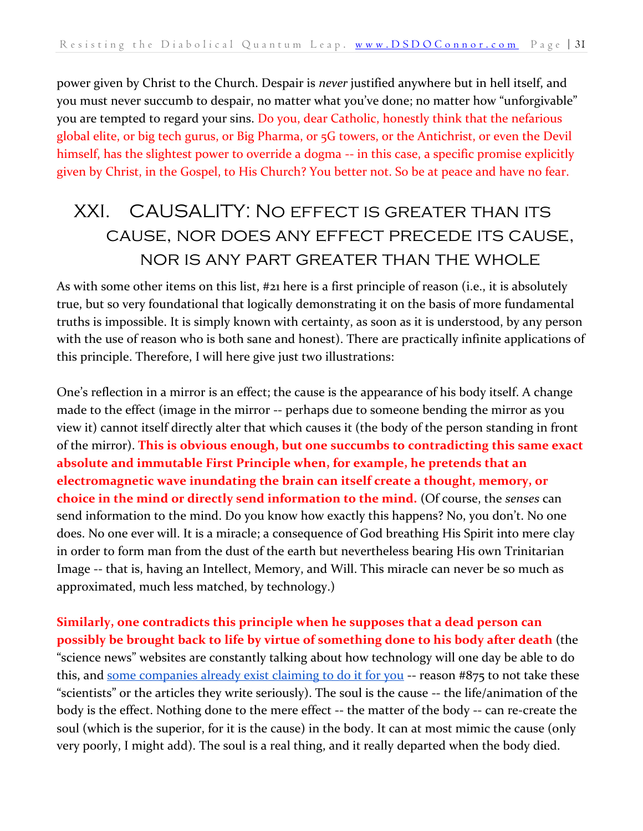power given by Christ to the Church. Despair is *never* justified anywhere but in hell itself, and you must never succumb to despair, no matter what you've done; no matter how "unforgivable" you are tempted to regard your sins. Do you, dear Catholic, honestly think that the nefarious global elite, or big tech gurus, or Big Pharma, or 5G towers, or the Antichrist, or even the Devil himself, has the slightest power to override a dogma -- in this case, a specific promise explicitly given by Christ, in the Gospel, to His Church? You better not. So be at peace and have no fear.

## <span id="page-30-0"></span>XXI. CAUSALITY: No effect is greater than its cause, nor does any effect precede its cause, nor is any part greater than the whole

As with some other items on this list, #21 here is a first principle of reason (i.e., it is absolutely true, but so very foundational that logically demonstrating it on the basis of more fundamental truths is impossible. It is simply known with certainty, as soon as it is understood, by any person with the use of reason who is both sane and honest). There are practically infinite applications of this principle. Therefore, I will here give just two illustrations:

One's reflection in a mirror is an effect; the cause is the appearance of his body itself. A change made to the effect (image in the mirror -- perhaps due to someone bending the mirror as you view it) cannot itself directly alter that which causes it (the body of the person standing in front of the mirror). **This is obvious enough, but one succumbs to contradicting this same exact absolute and immutable First Principle when, for example, he pretends that an electromagnetic wave inundating the brain can itself create a thought, memory, or choice in the mind or directly send information to the mind.** (Of course, the *senses* can send information to the mind. Do you know how exactly this happens? No, you don't. No one does. No one ever will. It is a miracle; a consequence of God breathing His Spirit into mere clay in order to form man from the dust of the earth but nevertheless bearing His own Trinitarian Image -- that is, having an Intellect, Memory, and Will. This miracle can never be so much as approximated, much less matched, by technology.)

**Similarly, one contradicts this principle when he supposes that a dead person can possibly be brought back to life by virtue of something done to his body after death** (the "science news" websites are constantly talking about how technology will one day be able to do this, and [some companies already exist claiming to do it for you](https://www.technologyreview.com/2018/03/13/144721/a-startup-is-pitching-a-mind-uploading-service-that-is-100-percent-fatal/) -- reason #875 to not take these "scientists" or the articles they write seriously). The soul is the cause -- the life/animation of the body is the effect. Nothing done to the mere effect -- the matter of the body -- can re-create the soul (which is the superior, for it is the cause) in the body. It can at most mimic the cause (only very poorly, I might add). The soul is a real thing, and it really departed when the body died.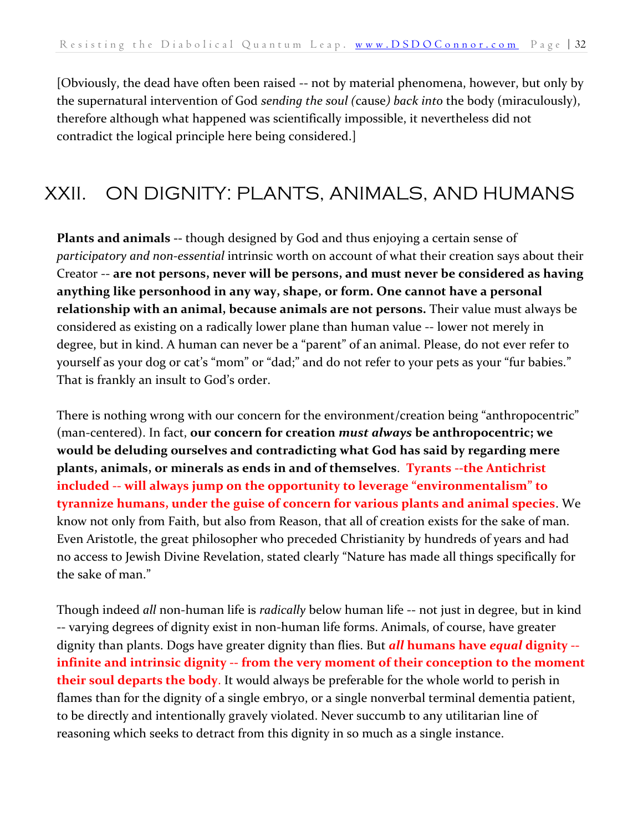[Obviously, the dead have often been raised -- not by material phenomena, however, but only by the supernatural intervention of God *sending the soul (*cause*) back into* the body (miraculously), therefore although what happened was scientifically impossible, it nevertheless did not contradict the logical principle here being considered.]

## <span id="page-31-0"></span>XXII. ON DIGNITY: PLANTS, ANIMALS, AND HUMANS

**Plants and animals --** though designed by God and thus enjoying a certain sense of *participatory and non-essential* intrinsic worth on account of what their creation says about their Creator -- **are not persons, never will be persons, and must never be considered as having anything like personhood in any way, shape, or form. One cannot have a personal relationship with an animal, because animals are not persons.** Their value must always be considered as existing on a radically lower plane than human value -- lower not merely in degree, but in kind. A human can never be a "parent" of an animal. Please, do not ever refer to yourself as your dog or cat's "mom" or "dad;" and do not refer to your pets as your "fur babies." That is frankly an insult to God's order.

There is nothing wrong with our concern for the environment/creation being "anthropocentric" (man-centered). In fact, **our concern for creation** *must always* **be anthropocentric; we would be deluding ourselves and contradicting what God has said by regarding mere plants, animals, or minerals as ends in and of themselves**. **Tyrants --the Antichrist included -- will always jump on the opportunity to leverage "environmentalism" to tyrannize humans, under the guise of concern for various plants and animal species**. We know not only from Faith, but also from Reason, that all of creation exists for the sake of man. Even Aristotle, the great philosopher who preceded Christianity by hundreds of years and had no access to Jewish Divine Revelation, stated clearly "Nature has made all things specifically for the sake of man."

Though indeed *all* non-human life is *radically* below human life -- not just in degree, but in kind -- varying degrees of dignity exist in non-human life forms. Animals, of course, have greater dignity than plants. Dogs have greater dignity than flies. But *all* **humans have** *equal* **dignity - infinite and intrinsic dignity -- from the very moment of their conception to the moment their soul departs the body**. It would always be preferable for the whole world to perish in flames than for the dignity of a single embryo, or a single nonverbal terminal dementia patient, to be directly and intentionally gravely violated. Never succumb to any utilitarian line of reasoning which seeks to detract from this dignity in so much as a single instance.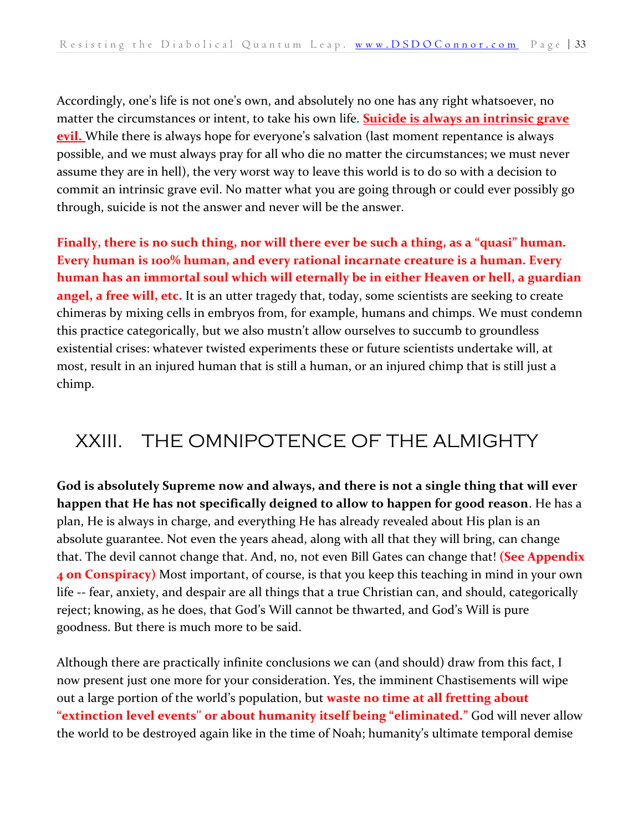Accordingly, one's life is not one's own, and absolutely no one has any right whatsoever, no matter the circumstances or intent, to take his own life. **Suicide is always an intrinsic grave evil.** While there is always hope for everyone's salvation (last moment repentance is always possible, and we must always pray for all who die no matter the circumstances; we must never assume they are in hell), the very worst way to leave this world is to do so with a decision to commit an intrinsic grave evil. No matter what you are going through or could ever possibly go through, suicide is not the answer and never will be the answer.

**Finally, there is no such thing, nor will there ever be such a thing, as a "quasi" human. Every human is 100% human, and every rational incarnate creature is a human. Every human has an immortal soul which will eternally be in either Heaven or hell, a guardian angel, a free will, etc.** It is an utter tragedy that, today, some scientists are seeking to create chimeras by mixing cells in embryos from, for example, humans and chimps. We must condemn this practice categorically, but we also mustn't allow ourselves to succumb to groundless existential crises: whatever twisted experiments these or future scientists undertake will, at most, result in an injured human that is still a human, or an injured chimp that is still just a chimp.

## <span id="page-32-0"></span>XXIII. THE OMNIPOTENCE OF THE ALMIGHTY

**God is absolutely Supreme now and always, and there is not a single thing that will ever happen that He has not specifically deigned to allow to happen for good reason**. He has a plan, He is always in charge, and everything He has already revealed about His plan is an absolute guarantee. Not even the years ahead, along with all that they will bring, can change that. The devil cannot change that. And, no, not even Bill Gates can change that! **(See Appendix 4 on Conspiracy)** Most important, of course, is that you keep this teaching in mind in your own life -- fear, anxiety, and despair are all things that a true Christian can, and should, categorically reject; knowing, as he does, that God's Will cannot be thwarted, and God's Will is pure goodness. But there is much more to be said.

Although there are practically infinite conclusions we can (and should) draw from this fact, I now present just one more for your consideration. Yes, the imminent Chastisements will wipe out a large portion of the world's population, but **waste no time at all fretting about "extinction level events'' or about humanity itself being "eliminated."** God will never allow the world to be destroyed again like in the time of Noah; humanity's ultimate temporal demise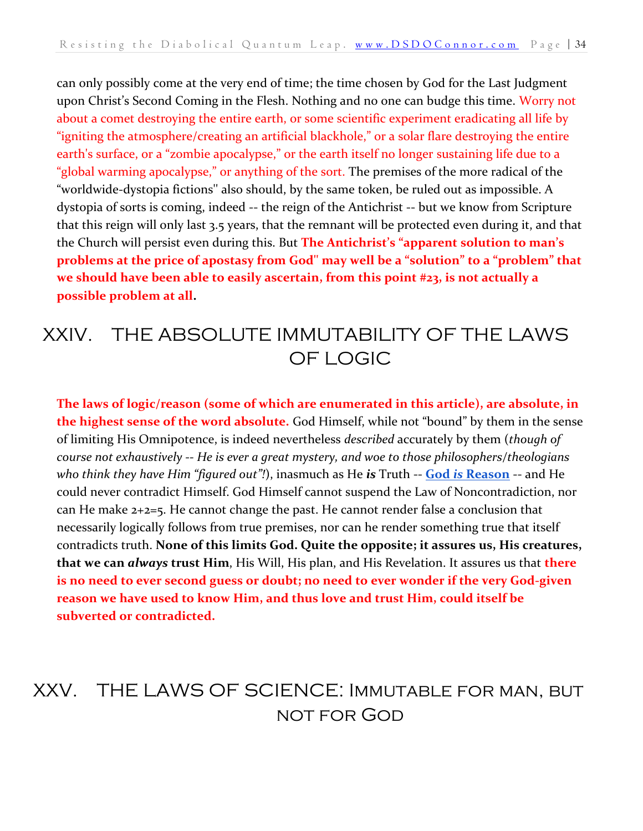can only possibly come at the very end of time; the time chosen by God for the Last Judgment upon Christ's Second Coming in the Flesh. Nothing and no one can budge this time. Worry not about a comet destroying the entire earth, or some scientific experiment eradicating all life by "igniting the atmosphere/creating an artificial blackhole," or a solar flare destroying the entire earth's surface, or a "zombie apocalypse," or the earth itself no longer sustaining life due to a "global warming apocalypse," or anything of the sort. The premises of the more radical of the "worldwide-dystopia fictions'' also should, by the same token, be ruled out as impossible. A dystopia of sorts is coming, indeed -- the reign of the Antichrist -- but we know from Scripture that this reign will only last 3.5 years, that the remnant will be protected even during it, and that the Church will persist even during this. But **The Antichrist's "apparent solution to man's problems at the price of apostasy from God'' may well be a "solution" to a "problem" that we should have been able to easily ascertain, from this point #23, is not actually a possible problem at all.** 

#### <span id="page-33-0"></span>XXIV. THE ABSOLUTE IMMUTABILITY OF THE LAWS OF LOGIC

**The laws of logic/reason (some of which are enumerated in this article), are absolute, in the highest sense of the word absolute.** God Himself, while not "bound" by them in the sense of limiting His Omnipotence, is indeed nevertheless *described* accurately by them (*though of course not exhaustively -- He is ever a great mystery, and woe to those philosophers/theologians who think they have Him "figured out"!*), inasmuch as He *is* Truth -- **[God](http://www.vatican.va/content/benedict-xvi/en/homilies/2011/documents/hf_ben-xvi_hom_20110612_pentecoste.html)** *[is](http://www.vatican.va/content/benedict-xvi/en/homilies/2011/documents/hf_ben-xvi_hom_20110612_pentecoste.html)* **[Reason](http://www.vatican.va/content/benedict-xvi/en/homilies/2011/documents/hf_ben-xvi_hom_20110612_pentecoste.html)** -- and He could never contradict Himself. God Himself cannot suspend the Law of Noncontradiction, nor can He make 2+2=5. He cannot change the past. He cannot render false a conclusion that necessarily logically follows from true premises, nor can he render something true that itself contradicts truth. **None of this limits God. Quite the opposite; it assures us, His creatures, that we can** *always* **trust Him**, His Will, His plan, and His Revelation. It assures us that **there is no need to ever second guess or doubt; no need to ever wonder if the very God-given reason we have used to know Him, and thus love and trust Him, could itself be subverted or contradicted.**

## <span id="page-33-1"></span>XXV. THE LAWS OF SCIENCE: Immutable for man, but not for God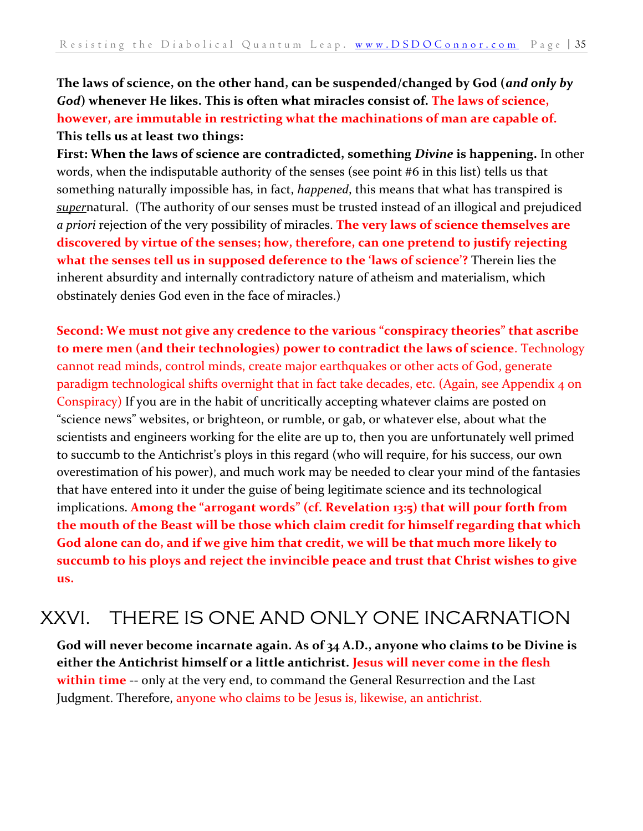**The laws of science, on the other hand, can be suspended/changed by God (***and only by God***) whenever He likes. This is often what miracles consist of. The laws of science, however, are immutable in restricting what the machinations of man are capable of. This tells us at least two things:**

**First: When the laws of science are contradicted, something** *Divine* **is happening.** In other words, when the indisputable authority of the senses (see point #6 in this list) tells us that something naturally impossible has, in fact, *happened*, this means that what has transpired is *super*natural. (The authority of our senses must be trusted instead of an illogical and prejudiced *a priori* rejection of the very possibility of miracles. **The very laws of science themselves are discovered by virtue of the senses; how, therefore, can one pretend to justify rejecting what the senses tell us in supposed deference to the 'laws of science'?** Therein lies the inherent absurdity and internally contradictory nature of atheism and materialism, which obstinately denies God even in the face of miracles.)

**Second: We must not give any credence to the various "conspiracy theories" that ascribe to mere men (and their technologies) power to contradict the laws of science**. Technology cannot read minds, control minds, create major earthquakes or other acts of God, generate paradigm technological shifts overnight that in fact take decades, etc. (Again, see Appendix 4 on Conspiracy) If you are in the habit of uncritically accepting whatever claims are posted on "science news" websites, or brighteon, or rumble, or gab, or whatever else, about what the scientists and engineers working for the elite are up to, then you are unfortunately well primed to succumb to the Antichrist's ploys in this regard (who will require, for his success, our own overestimation of his power), and much work may be needed to clear your mind of the fantasies that have entered into it under the guise of being legitimate science and its technological implications. **Among the "arrogant words" (cf. Revelation 13:5) that will pour forth from the mouth of the Beast will be those which claim credit for himself regarding that which God alone can do, and if we give him that credit, we will be that much more likely to succumb to his ploys and reject the invincible peace and trust that Christ wishes to give us.**

#### <span id="page-34-0"></span>XXVI. THERE IS ONE AND ONLY ONE INCARNATION

**God will never become incarnate again. As of 34 A.D., anyone who claims to be Divine is either the Antichrist himself or a little antichrist. Jesus will never come in the flesh within time** -- only at the very end, to command the General Resurrection and the Last Judgment. Therefore, anyone who claims to be Jesus is, likewise, an antichrist.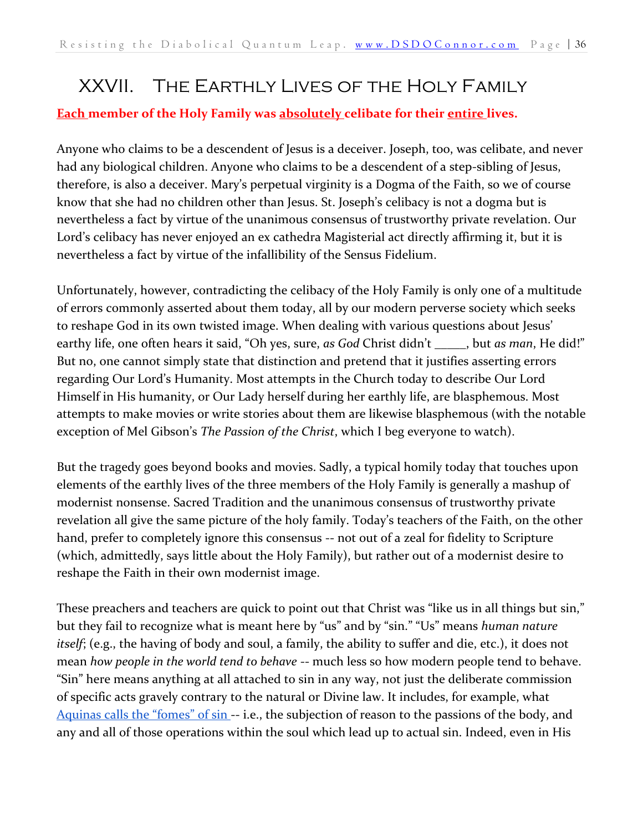## <span id="page-35-0"></span>XXVII. The Earthly Lives of the Holy Family

#### **Each member of the Holy Family was absolutely celibate for their entire lives.**

Anyone who claims to be a descendent of Jesus is a deceiver. Joseph, too, was celibate, and never had any biological children. Anyone who claims to be a descendent of a step-sibling of Jesus, therefore, is also a deceiver. Mary's perpetual virginity is a Dogma of the Faith, so we of course know that she had no children other than Jesus. St. Joseph's celibacy is not a dogma but is nevertheless a fact by virtue of the unanimous consensus of trustworthy private revelation. Our Lord's celibacy has never enjoyed an ex cathedra Magisterial act directly affirming it, but it is nevertheless a fact by virtue of the infallibility of the Sensus Fidelium.

Unfortunately, however, contradicting the celibacy of the Holy Family is only one of a multitude of errors commonly asserted about them today, all by our modern perverse society which seeks to reshape God in its own twisted image. When dealing with various questions about Jesus' earthy life, one often hears it said, "Oh yes, sure, *as God* Christ didn't \_\_\_\_\_, but *as man*, He did!" But no, one cannot simply state that distinction and pretend that it justifies asserting errors regarding Our Lord's Humanity. Most attempts in the Church today to describe Our Lord Himself in His humanity, or Our Lady herself during her earthly life, are blasphemous. Most attempts to make movies or write stories about them are likewise blasphemous (with the notable exception of Mel Gibson's *The Passion of the Christ*, which I beg everyone to watch).

But the tragedy goes beyond books and movies. Sadly, a typical homily today that touches upon elements of the earthly lives of the three members of the Holy Family is generally a mashup of modernist nonsense. Sacred Tradition and the unanimous consensus of trustworthy private revelation all give the same picture of the holy family. Today's teachers of the Faith, on the other hand, prefer to completely ignore this consensus -- not out of a zeal for fidelity to Scripture (which, admittedly, says little about the Holy Family), but rather out of a modernist desire to reshape the Faith in their own modernist image.

These preachers and teachers are quick to point out that Christ was "like us in all things but sin," but they fail to recognize what is meant here by "us" and by "sin." "Us" means *human nature itself*; (e.g., the having of body and soul, a family, the ability to suffer and die, etc.), it does not mean *how people in the world tend to behave* -- much less so how modern people tend to behave. "Sin" here means anything at all attached to sin in any way, not just the deliberate commission of specific acts gravely contrary to the natural or Divine law. It includes, for example, what [Aquinas calls the "fomes" of sin](https://www.newadvent.org/summa/4015.htm#article2) -- i.e., the subjection of reason to the passions of the body, and any and all of those operations within the soul which lead up to actual sin. Indeed, even in His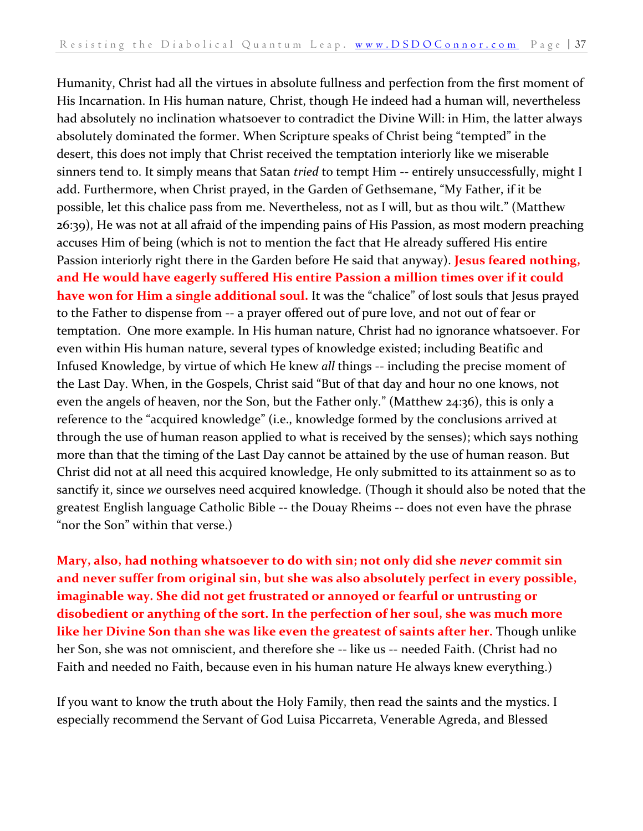Humanity, Christ had all the virtues in absolute fullness and perfection from the first moment of His Incarnation. In His human nature, Christ, though He indeed had a human will, nevertheless had absolutely no inclination whatsoever to contradict the Divine Will: in Him, the latter always absolutely dominated the former. When Scripture speaks of Christ being "tempted" in the desert, this does not imply that Christ received the temptation interiorly like we miserable sinners tend to. It simply means that Satan *tried* to tempt Him -- entirely unsuccessfully, might I add. Furthermore, when Christ prayed, in the Garden of Gethsemane, "My Father, if it be possible, let this chalice pass from me. Nevertheless, not as I will, but as thou wilt." (Matthew 26:39), He was not at all afraid of the impending pains of His Passion, as most modern preaching accuses Him of being (which is not to mention the fact that He already suffered His entire Passion interiorly right there in the Garden before He said that anyway). **Jesus feared nothing, and He would have eagerly suffered His entire Passion a million times over if it could have won for Him a single additional soul.** It was the "chalice" of lost souls that Jesus prayed to the Father to dispense from -- a prayer offered out of pure love, and not out of fear or temptation. One more example. In His human nature, Christ had no ignorance whatsoever. For even within His human nature, several types of knowledge existed; including Beatific and Infused Knowledge, by virtue of which He knew *all* things -- including the precise moment of the Last Day. When, in the Gospels, Christ said "But of that day and hour no one knows, not even the angels of heaven, nor the Son, but the Father only." (Matthew 24:36), this is only a reference to the "acquired knowledge" (i.e., knowledge formed by the conclusions arrived at through the use of human reason applied to what is received by the senses); which says nothing more than that the timing of the Last Day cannot be attained by the use of human reason. But Christ did not at all need this acquired knowledge, He only submitted to its attainment so as to sanctify it, since *we* ourselves need acquired knowledge. (Though it should also be noted that the greatest English language Catholic Bible -- the Douay Rheims -- does not even have the phrase "nor the Son" within that verse.)

**Mary, also, had nothing whatsoever to do with sin; not only did she** *never* **commit sin and never suffer from original sin, but she was also absolutely perfect in every possible, imaginable way. She did not get frustrated or annoyed or fearful or untrusting or disobedient or anything of the sort. In the perfection of her soul, she was much more like her Divine Son than she was like even the greatest of saints after her.** Though unlike her Son, she was not omniscient, and therefore she -- like us -- needed Faith. (Christ had no Faith and needed no Faith, because even in his human nature He always knew everything.)

If you want to know the truth about the Holy Family, then read the saints and the mystics. I especially recommend the Servant of God Luisa Piccarreta, Venerable Agreda, and Blessed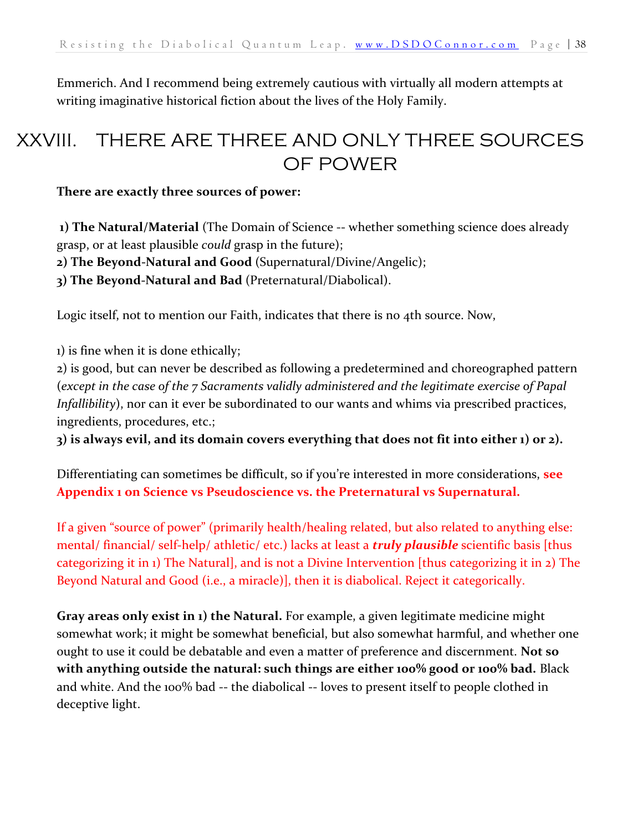<span id="page-37-0"></span>Emmerich. And I recommend being extremely cautious with virtually all modern attempts at writing imaginative historical fiction about the lives of the Holy Family.

## XXVIII. THERE ARE THREE AND ONLY THREE SOURCES OF POWER

#### **There are exactly three sources of power:**

**1) The Natural/Material** (The Domain of Science -- whether something science does already grasp, or at least plausible *could* grasp in the future);

**2) The Beyond-Natural and Good** (Supernatural/Divine/Angelic);

**3) The Beyond-Natural and Bad** (Preternatural/Diabolical).

Logic itself, not to mention our Faith, indicates that there is no 4th source. Now,

1) is fine when it is done ethically;

2) is good, but can never be described as following a predetermined and choreographed pattern (*except in the case of the 7 Sacraments validly administered and the legitimate exercise of Papal Infallibility*), nor can it ever be subordinated to our wants and whims via prescribed practices, ingredients, procedures, etc.;

**3) is always evil, and its domain covers everything that does not fit into either 1) or 2).** 

Differentiating can sometimes be difficult, so if you're interested in more considerations, **see Appendix 1 on Science vs Pseudoscience vs. the Preternatural vs Supernatural.**

If a given "source of power" (primarily health/healing related, but also related to anything else: mental/ financial/ self-help/ athletic/ etc.) lacks at least a *truly plausible* scientific basis [thus categorizing it in 1) The Natural], and is not a Divine Intervention [thus categorizing it in 2) The Beyond Natural and Good (i.e., a miracle)], then it is diabolical. Reject it categorically.

**Gray areas only exist in 1) the Natural.** For example, a given legitimate medicine might somewhat work; it might be somewhat beneficial, but also somewhat harmful, and whether one ought to use it could be debatable and even a matter of preference and discernment. **Not so with anything outside the natural: such things are either 100% good or 100% bad.** Black and white. And the 100% bad -- the diabolical -- loves to present itself to people clothed in deceptive light.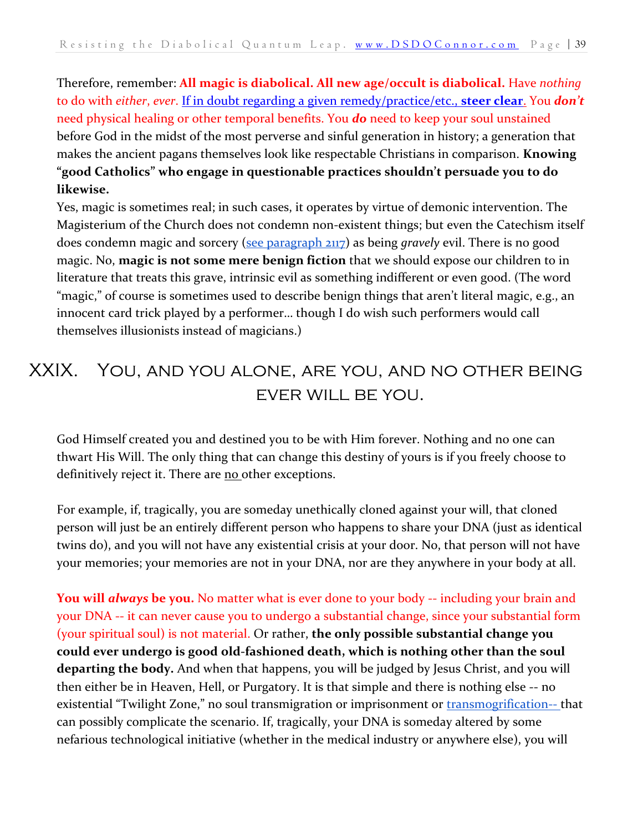Therefore, remember: **All magic is diabolical. All new age/occult is diabolical.** Have *nothing* to do with *either*, *ever*. [If in doubt regarding a given remedy/practice/etc.,](http://www.vatican.va/roman_curia/pontifical_councils/interelg/documents/rc_pc_interelg_doc_20030203_new-age_en.html) **[steer clear](http://www.vatican.va/roman_curia/pontifical_councils/interelg/documents/rc_pc_interelg_doc_20030203_new-age_en.html)**[.](http://www.vatican.va/roman_curia/pontifical_councils/interelg/documents/rc_pc_interelg_doc_20030203_new-age_en.html) You *don't* need physical healing or other temporal benefits. You *do* need to keep your soul unstained before God in the midst of the most perverse and sinful generation in history; a generation that makes the ancient pagans themselves look like respectable Christians in comparison. **Knowing "good Catholics" who engage in questionable practices shouldn't persuade you to do likewise.** 

Yes, magic is sometimes real; in such cases, it operates by virtue of demonic intervention. The Magisterium of the Church does not condemn non-existent things; but even the Catechism itself does condemn magic and sorcery [\(see paragraph 2117\)](https://www.vatican.va/archive/ENG0015/_P7E.HTM) as being *gravely* evil. There is no good magic. No, **magic is not some mere benign fiction** that we should expose our children to in literature that treats this grave, intrinsic evil as something indifferent or even good. (The word "magic," of course is sometimes used to describe benign things that aren't literal magic, e.g., an innocent card trick played by a performer… though I do wish such performers would call themselves illusionists instead of magicians.)

## <span id="page-38-0"></span>XXIX. You, and you alone, are you, and no other being EVER WILL BE YOU.

God Himself created you and destined you to be with Him forever. Nothing and no one can thwart His Will. The only thing that can change this destiny of yours is if you freely choose to definitively reject it. There are no other exceptions.

For example, if, tragically, you are someday unethically cloned against your will, that cloned person will just be an entirely different person who happens to share your DNA (just as identical twins do), and you will not have any existential crisis at your door. No, that person will not have your memories; your memories are not in your DNA, nor are they anywhere in your body at all.

**You will** *always* **be you.** No matter what is ever done to your body -- including your brain and your DNA -- it can never cause you to undergo a substantial change, since your substantial form (your spiritual soul) is not material. Or rather, **the only possible substantial change you could ever undergo is good old-fashioned death, which is nothing other than the soul departing the body.** And when that happens, you will be judged by Jesus Christ, and you will then either be in Heaven, Hell, or Purgatory. It is that simple and there is nothing else -- no existential "Twilight Zone," no soul transmigration or imprisonment or [transmogrification--](https://www.dictionary.com/browse/transmogrification) that can possibly complicate the scenario. If, tragically, your DNA is someday altered by some nefarious technological initiative (whether in the medical industry or anywhere else), you will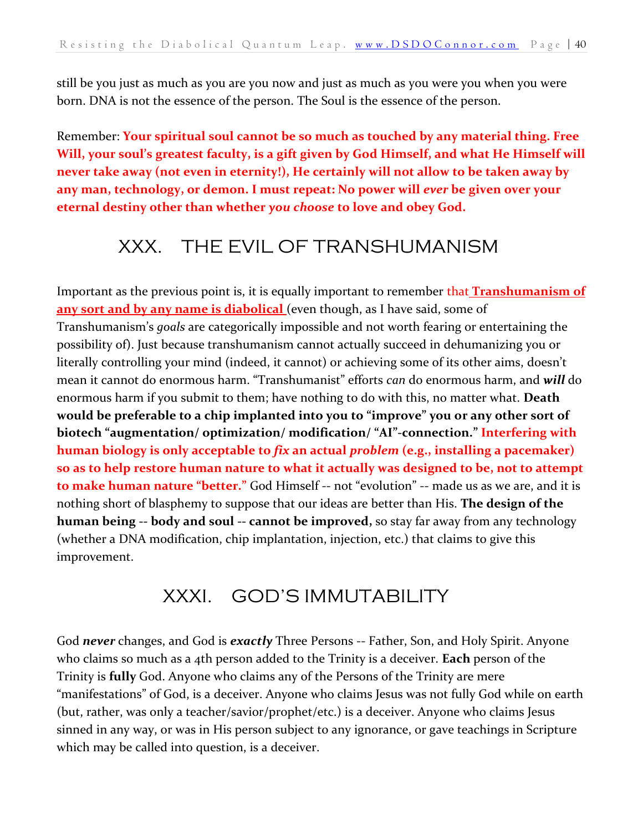still be you just as much as you are you now and just as much as you were you when you were born. DNA is not the essence of the person. The Soul is the essence of the person.

Remember: **Your spiritual soul cannot be so much as touched by any material thing. Free Will, your soul's greatest faculty, is a gift given by God Himself, and what He Himself will never take away (not even in eternity!), He certainly will not allow to be taken away by any man, technology, or demon. I must repeat: No power will** *ever* **be given over your eternal destiny other than whether** *you choose* **to love and obey God.**

#### <span id="page-39-0"></span>XXX. THE EVIL OF TRANSHUMANISM

Important as the previous point is, it is equally important to remember that **Transhumanism of any sort and by any name is diabolical** (even though, as I have said, some of Transhumanism's *goals* are categorically impossible and not worth fearing or entertaining the possibility of). Just because transhumanism cannot actually succeed in dehumanizing you or literally controlling your mind (indeed, it cannot) or achieving some of its other aims, doesn't mean it cannot do enormous harm. "Transhumanist" efforts *can* do enormous harm, and *will* do enormous harm if you submit to them; have nothing to do with this, no matter what. **Death would be preferable to a chip implanted into you to "improve" you or any other sort of biotech "augmentation/ optimization/ modification/ "AI"-connection." Interfering with human biology is only acceptable to** *fix* **an actual** *problem* **(e.g., installing a pacemaker) so as to help restore human nature to what it actually was designed to be, not to attempt to make human nature "better."** God Himself -- not "evolution" -- made us as we are, and it is nothing short of blasphemy to suppose that our ideas are better than His. **The design of the human being -- body and soul -- cannot be improved,** so stay far away from any technology (whether a DNA modification, chip implantation, injection, etc.) that claims to give this improvement.

#### XXXI. GOD'S IMMUTABILITY

<span id="page-39-1"></span>God *never* changes, and God is *exactly* Three Persons -- Father, Son, and Holy Spirit. Anyone who claims so much as a 4th person added to the Trinity is a deceiver. **Each** person of the Trinity is **fully** God. Anyone who claims any of the Persons of the Trinity are mere "manifestations" of God, is a deceiver. Anyone who claims Jesus was not fully God while on earth (but, rather, was only a teacher/savior/prophet/etc.) is a deceiver. Anyone who claims Jesus sinned in any way, or was in His person subject to any ignorance, or gave teachings in Scripture which may be called into question, is a deceiver.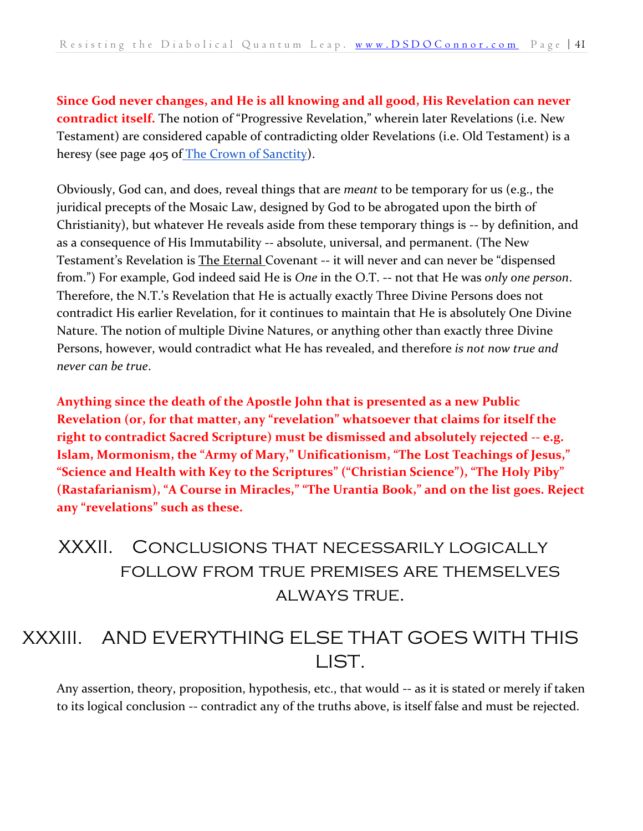**Since God never changes, and He is all knowing and all good, His Revelation can never contradict itself.** The notion of "Progressive Revelation," wherein later Revelations (i.e. New Testament) are considered capable of contradicting older Revelations (i.e. Old Testament) is a heresy (see page 405 of [The Crown of Sanctity\)](https://danieloconnor.files.wordpress.com/2019/07/the-crown-of-sanctity.pdf).

Obviously, God can, and does, reveal things that are *meant* to be temporary for us (e.g., the juridical precepts of the Mosaic Law, designed by God to be abrogated upon the birth of Christianity), but whatever He reveals aside from these temporary things is -- by definition, and as a consequence of His Immutability -- absolute, universal, and permanent. (The New Testament's Revelation is The Eternal Covenant -- it will never and can never be "dispensed from.") For example, God indeed said He is *One* in the O.T. -- not that He was *only one person*. Therefore, the N.T.'s Revelation that He is actually exactly Three Divine Persons does not contradict His earlier Revelation, for it continues to maintain that He is absolutely One Divine Nature. The notion of multiple Divine Natures, or anything other than exactly three Divine Persons, however, would contradict what He has revealed, and therefore *is not now true and never can be true*.

**Anything since the death of the Apostle John that is presented as a new Public Revelation (or, for that matter, any "revelation" whatsoever that claims for itself the right to contradict Sacred Scripture) must be dismissed and absolutely rejected -- e.g. Islam, Mormonism, the "Army of Mary," Unificationism, "The Lost Teachings of Jesus," "Science and Health with Key to the Scriptures" ("Christian Science"), "The Holy Piby" (Rastafarianism), "A Course in Miracles," "The Urantia Book," and on the list goes. Reject any "revelations" such as these.**

<span id="page-40-0"></span>XXXII. Conclusions that necessarily logically follow from true premises are themselves always true.

## <span id="page-40-1"></span>XXXIII. AND EVERYTHING ELSE THAT GOES WITH THIS LIST.

Any assertion, theory, proposition, hypothesis, etc., that would -- as it is stated or merely if taken to its logical conclusion -- contradict any of the truths above, is itself false and must be rejected.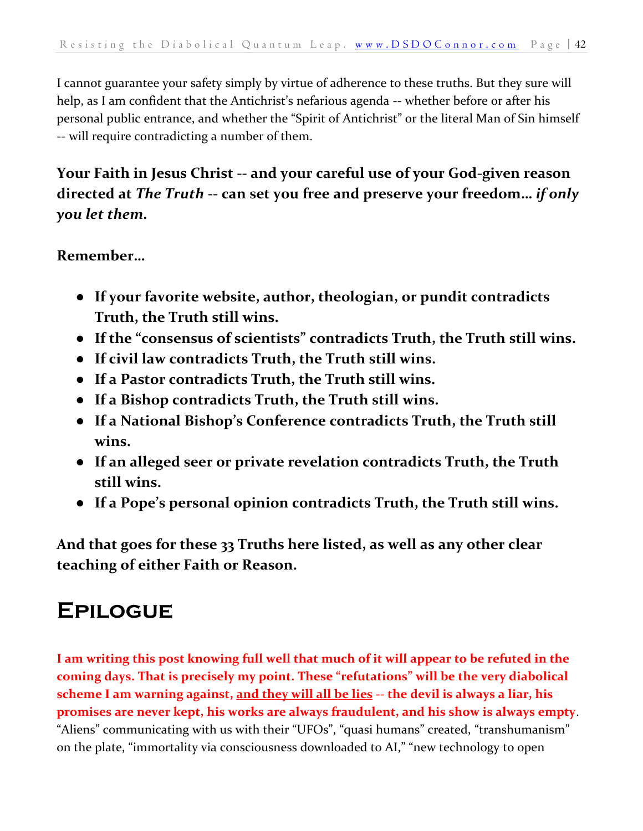I cannot guarantee your safety simply by virtue of adherence to these truths. But they sure will help, as I am confident that the Antichrist's nefarious agenda -- whether before or after his personal public entrance, and whether the "Spirit of Antichrist" or the literal Man of Sin himself -- will require contradicting a number of them.

#### **Your Faith in Jesus Christ -- and your careful use of your God-given reason directed at** *The Truth* **-- can set you free and preserve your freedom…** *if only you let them***.**

#### **Remember…**

- **If your favorite website, author, theologian, or pundit contradicts Truth, the Truth still wins.**
- **If the "consensus of scientists" contradicts Truth, the Truth still wins.**
- **If civil law contradicts Truth, the Truth still wins.**
- **If a Pastor contradicts Truth, the Truth still wins.**
- **If a Bishop contradicts Truth, the Truth still wins.**
- **If a National Bishop's Conference contradicts Truth, the Truth still wins.**
- **If an alleged seer or private revelation contradicts Truth, the Truth still wins.**
- **If a Pope's personal opinion contradicts Truth, the Truth still wins.**

**And that goes for these 33 Truths here listed, as well as any other clear teaching of either Faith or Reason.** 

# <span id="page-41-0"></span>**Epilogue**

**I am writing this post knowing full well that much of it will appear to be refuted in the coming days. That is precisely my point. These "refutations" will be the very diabolical scheme I am warning against, and they will all be lies -- the devil is always a liar, his promises are never kept, his works are always fraudulent, and his show is always empty**. "Aliens" communicating with us with their "UFOs", "quasi humans" created, "transhumanism" on the plate, "immortality via consciousness downloaded to AI," "new technology to open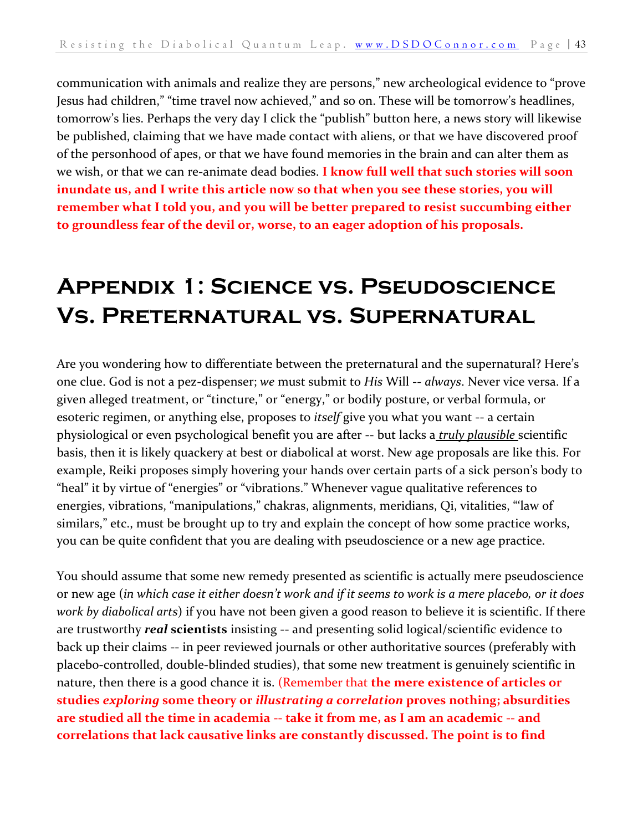communication with animals and realize they are persons," new archeological evidence to "prove Jesus had children," "time travel now achieved," and so on. These will be tomorrow's headlines, tomorrow's lies. Perhaps the very day I click the "publish" button here, a news story will likewise be published, claiming that we have made contact with aliens, or that we have discovered proof of the personhood of apes, or that we have found memories in the brain and can alter them as we wish, or that we can re-animate dead bodies. **I know full well that such stories will soon inundate us, and I write this article now so that when you see these stories, you will remember what I told you, and you will be better prepared to resist succumbing either to groundless fear of the devil or, worse, to an eager adoption of his proposals.**

# <span id="page-42-0"></span>**Appendix 1: Science vs. Pseudoscience Vs. Preternatural vs. Supernatural**

Are you wondering how to differentiate between the preternatural and the supernatural? Here's one clue. God is not a pez-dispenser; *we* must submit to *His* Will -- *always*. Never vice versa. If a given alleged treatment, or "tincture," or "energy," or bodily posture, or verbal formula, or esoteric regimen, or anything else, proposes to *itself* give you what you want -- a certain physiological or even psychological benefit you are after -- but lacks a *truly plausible* scientific basis, then it is likely quackery at best or diabolical at worst. New age proposals are like this. For example, Reiki proposes simply hovering your hands over certain parts of a sick person's body to "heal" it by virtue of "energies" or "vibrations." Whenever vague qualitative references to energies, vibrations, "manipulations," chakras, alignments, meridians, Qi, vitalities, "'law of similars," etc., must be brought up to try and explain the concept of how some practice works, you can be quite confident that you are dealing with pseudoscience or a new age practice.

You should assume that some new remedy presented as scientific is actually mere pseudoscience or new age (*in which case it either doesn't work and if it seems to work is a mere placebo, or it does work by diabolical arts*) if you have not been given a good reason to believe it is scientific. If there are trustworthy *real* **scientists** insisting -- and presenting solid logical/scientific evidence to back up their claims -- in peer reviewed journals or other authoritative sources (preferably with placebo-controlled, double-blinded studies), that some new treatment is genuinely scientific in nature, then there is a good chance it is. (Remember that **the mere existence of articles or studies** *exploring* **some theory or** *illustrating a correlation* **proves nothing; absurdities are studied all the time in academia -- take it from me, as I am an academic -- and correlations that lack causative links are constantly discussed. The point is to find**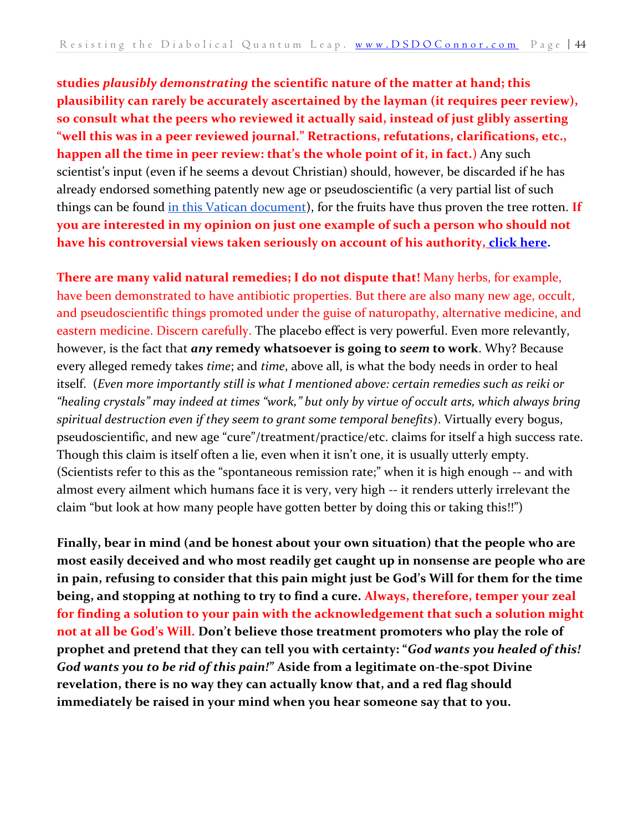**studies** *plausibly demonstrating* **the scientific nature of the matter at hand; this plausibility can rarely be accurately ascertained by the layman (it requires peer review), so consult what the peers who reviewed it actually said, instead of just glibly asserting "well this was in a peer reviewed journal." Retractions, refutations, clarifications, etc., happen all the time in peer review: that's the whole point of it, in fact.**) Any such scientist's input (even if he seems a devout Christian) should, however, be discarded if he has already endorsed something patently new age or pseudoscientific (a very partial list of such things can be found [in this Vatican document\)](http://www.vatican.va/roman_curia/pontifical_councils/interelg/documents/rc_pc_interelg_doc_20030203_new-age_en.html), for the fruits have thus proven the tree rotten. **If you are interested in my opinion on just one example of such a person who should not have his controversial views taken seriously on account of his authority[,](https://dsdoconnor.com/mercola/) [click here.](https://dsdoconnor.com/mercola/)** 

**There are many valid natural remedies; I do not dispute that!** Many herbs, for example, have been demonstrated to have antibiotic properties. But there are also many new age, occult, and pseudoscientific things promoted under the guise of naturopathy, alternative medicine, and eastern medicine. Discern carefully. The placebo effect is very powerful. Even more relevantly, however, is the fact that *any* **remedy whatsoever is going to** *seem* **to work**. Why? Because every alleged remedy takes *time*; and *time*, above all, is what the body needs in order to heal itself. (*Even more importantly still is what I mentioned above: certain remedies such as reiki or "healing crystals" may indeed at times "work," but only by virtue of occult arts, which always bring spiritual destruction even if they seem to grant some temporal benefits*). Virtually every bogus, pseudoscientific, and new age "cure"/treatment/practice/etc. claims for itself a high success rate. Though this claim is itself often a lie, even when it isn't one, it is usually utterly empty. (Scientists refer to this as the "spontaneous remission rate;" when it is high enough -- and with almost every ailment which humans face it is very, very high -- it renders utterly irrelevant the claim "but look at how many people have gotten better by doing this or taking this!!")

**Finally, bear in mind (and be honest about your own situation) that the people who are most easily deceived and who most readily get caught up in nonsense are people who are in pain, refusing to consider that this pain might just be God's Will for them for the time being, and stopping at nothing to try to find a cure. Always, therefore, temper your zeal for finding a solution to your pain with the acknowledgement that such a solution might not at all be God's Will. Don't believe those treatment promoters who play the role of prophet and pretend that they can tell you with certainty: "***God wants you healed of this! God wants you to be rid of this pain!***" Aside from a legitimate on-the-spot Divine revelation, there is no way they can actually know that, and a red flag should immediately be raised in your mind when you hear someone say that to you.**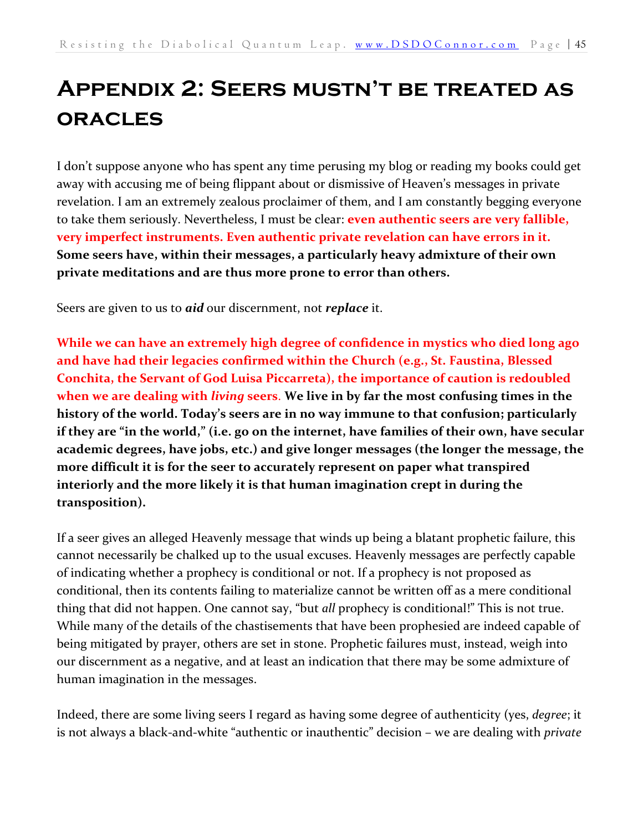# <span id="page-44-0"></span>**Appendix 2: Seers mustn't be treated as oracles**

I don't suppose anyone who has spent any time perusing my blog or reading my books could get away with accusing me of being flippant about or dismissive of Heaven's messages in private revelation. I am an extremely zealous proclaimer of them, and I am constantly begging everyone to take them seriously. Nevertheless, I must be clear: **even authentic seers are very fallible, very imperfect instruments. Even authentic private revelation can have errors in it. Some seers have, within their messages, a particularly heavy admixture of their own private meditations and are thus more prone to error than others.**

Seers are given to us to *aid* our discernment, not *replace* it.

**While we can have an extremely high degree of confidence in mystics who died long ago and have had their legacies confirmed within the Church (e.g., St. Faustina, Blessed Conchita, the Servant of God Luisa Piccarreta), the importance of caution is redoubled when we are dealing with** *living* **seers**. **We live in by far the most confusing times in the history of the world. Today's seers are in no way immune to that confusion; particularly if they are "in the world," (i.e. go on the internet, have families of their own, have secular academic degrees, have jobs, etc.) and give longer messages (the longer the message, the more difficult it is for the seer to accurately represent on paper what transpired interiorly and the more likely it is that human imagination crept in during the transposition).** 

If a seer gives an alleged Heavenly message that winds up being a blatant prophetic failure, this cannot necessarily be chalked up to the usual excuses. Heavenly messages are perfectly capable of indicating whether a prophecy is conditional or not. If a prophecy is not proposed as conditional, then its contents failing to materialize cannot be written off as a mere conditional thing that did not happen. One cannot say, "but *all* prophecy is conditional!" This is not true. While many of the details of the chastisements that have been prophesied are indeed capable of being mitigated by prayer, others are set in stone. Prophetic failures must, instead, weigh into our discernment as a negative, and at least an indication that there may be some admixture of human imagination in the messages.

Indeed, there are some living seers I regard as having some degree of authenticity (yes, *degree*; it is not always a black-and-white "authentic or inauthentic" decision – we are dealing with *private*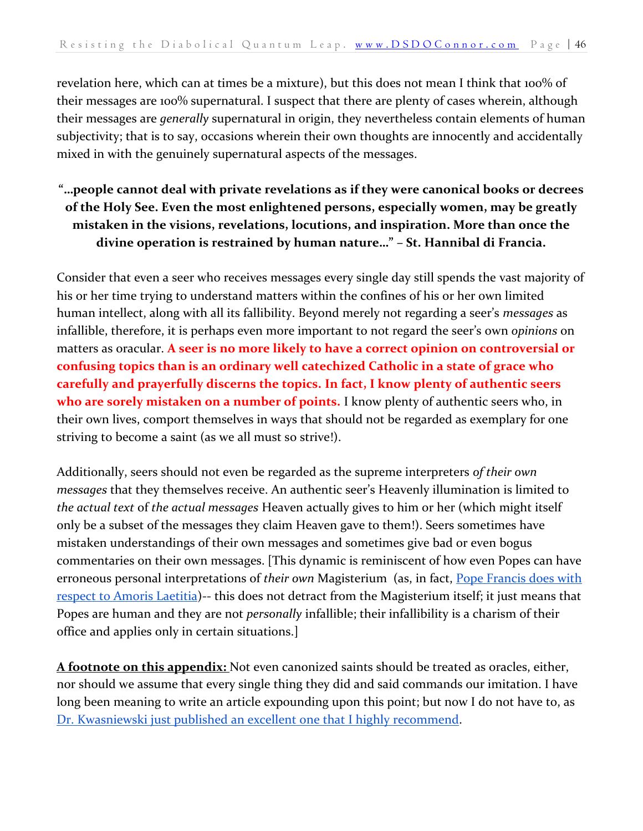revelation here, which can at times be a mixture), but this does not mean I think that 100% of their messages are 100% supernatural. I suspect that there are plenty of cases wherein, although their messages are *generally* supernatural in origin, they nevertheless contain elements of human subjectivity; that is to say, occasions wherein their own thoughts are innocently and accidentally mixed in with the genuinely supernatural aspects of the messages.

#### **"…people cannot deal with private revelations as if they were canonical books or decrees of the Holy See. Even the most enlightened persons, especially women, may be greatly mistaken in the visions, revelations, locutions, and inspiration. More than once the divine operation is restrained by human nature…" – St. Hannibal di Francia.**

Consider that even a seer who receives messages every single day still spends the vast majority of his or her time trying to understand matters within the confines of his or her own limited human intellect, along with all its fallibility. Beyond merely not regarding a seer's *messages* as infallible, therefore, it is perhaps even more important to not regard the seer's own *opinions* on matters as oracular. **A seer is no more likely to have a correct opinion on controversial or confusing topics than is an ordinary well catechized Catholic in a state of grace who carefully and prayerfully discerns the topics. In fact, I know plenty of authentic seers who are sorely mistaken on a number of points.** I know plenty of authentic seers who, in their own lives, comport themselves in ways that should not be regarded as exemplary for one striving to become a saint (as we all must so strive!).

Additionally, seers should not even be regarded as the supreme interpreters *of their own messages* that they themselves receive. An authentic seer's Heavenly illumination is limited to *the actual text* of *the actual messages* Heaven actually gives to him or her (which might itself only be a subset of the messages they claim Heaven gave to them!). Seers sometimes have mistaken understandings of their own messages and sometimes give bad or even bogus commentaries on their own messages. [This dynamic is reminiscent of how even Popes can have erroneous personal interpretations of *their own* Magisterium (as, in fact, [Pope Francis does with](https://dsdoconnor.com/stephen-walfords-heretical-fallacious-and-oblivious-attack-on-jpii-the-four-cardinals-and-the-polish-canadian-and-african-bishops/)  [respect to Amoris Laetitia\)](https://dsdoconnor.com/stephen-walfords-heretical-fallacious-and-oblivious-attack-on-jpii-the-four-cardinals-and-the-polish-canadian-and-african-bishops/)-- this does not detract from the Magisterium itself; it just means that Popes are human and they are not *personally* infallible; their infallibility is a charism of their office and applies only in certain situations.]

**A footnote on this appendix:** Not even canonized saints should be treated as oracles, either, nor should we assume that every single thing they did and said commands our imitation. I have long been meaning to write an article expounding upon this point; but now I do not have to, a[s](https://www.lifesitenews.com/blogs/we-shouldnt-take-holiness-as-blanket-approval-even-saints-have-their-blind-spots) [Dr. Kwasniewski just published an excellent one that I highly recommend.](https://www.lifesitenews.com/blogs/we-shouldnt-take-holiness-as-blanket-approval-even-saints-have-their-blind-spots)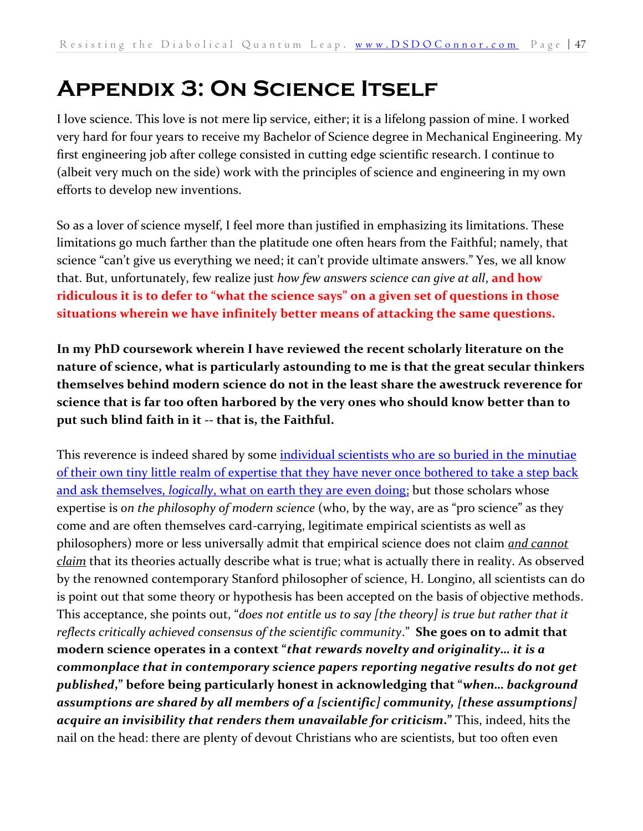# <span id="page-46-0"></span>**Appendix 3: On Science Itself**

I love science. This love is not mere lip service, either; it is a lifelong passion of mine. I worked very hard for four years to receive my Bachelor of Science degree in Mechanical Engineering. My first engineering job after college consisted in cutting edge scientific research. I continue to (albeit very much on the side) work with the principles of science and engineering in my own efforts to develop new inventions.

So as a lover of science myself, I feel more than justified in emphasizing its limitations. These limitations go much farther than the platitude one often hears from the Faithful; namely, that science "can't give us everything we need; it can't provide ultimate answers." Yes, we all know that. But, unfortunately, few realize just *how few answers science can give at all*, **and how ridiculous it is to defer to "what the science says" on a given set of questions in those situations wherein we have infinitely better means of attacking the same questions.**

**In my PhD coursework wherein I have reviewed the recent scholarly literature on the nature of science, what is particularly astounding to me is that the great secular thinkers themselves behind modern science do not in the least share the awestruck reverence for science that is far too often harbored by the very ones who should know better than to put such blind faith in it -- that is, the Faithful.** 

This reverence is indeed shared by some individual scientists who are so buried in the minutiae of their own tiny little realm of expertise that they have never once bothered to take a step back and ask themselves, *logically*[, what on earth they are even doing;](https://dsdoconnor.com/tyson/) but those scholars whose expertise is *on the philosophy of modern science* (who, by the way, are as "pro science" as they come and are often themselves card-carrying, legitimate empirical scientists as well as philosophers) more or less universally admit that empirical science does not claim *and cannot claim* that its theories actually describe what is true; what is actually there in reality. As observed by the renowned contemporary Stanford philosopher of science, H. Longino, all scientists can do is point out that some theory or hypothesis has been accepted on the basis of objective methods. This acceptance, she points out, "*does not entitle us to say [the theory] is true but rather that it reflects critically achieved consensus of the scientific community*." **She goes on to admit that modern science operates in a context "***that rewards novelty and originality… it is a commonplace that in contemporary science papers reporting negative results do not get published***," before being particularly honest in acknowledging that "***when… background assumptions are shared by all members of a [scientific] community, [these assumptions] acquire an invisibility that renders them unavailable for criticism***."** This, indeed, hits the nail on the head: there are plenty of devout Christians who are scientists, but too often even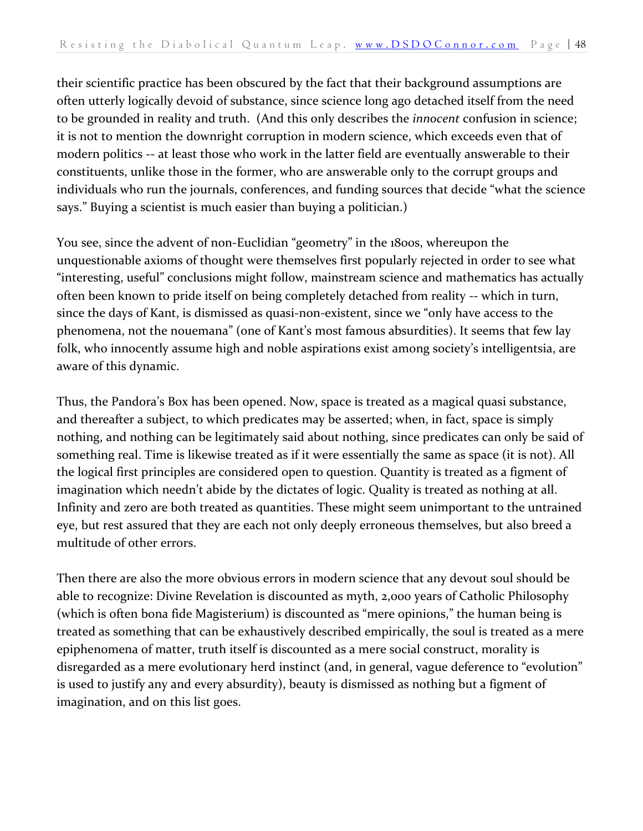their scientific practice has been obscured by the fact that their background assumptions are often utterly logically devoid of substance, since science long ago detached itself from the need to be grounded in reality and truth. (And this only describes the *innocent* confusion in science; it is not to mention the downright corruption in modern science, which exceeds even that of modern politics -- at least those who work in the latter field are eventually answerable to their constituents, unlike those in the former, who are answerable only to the corrupt groups and individuals who run the journals, conferences, and funding sources that decide "what the science says." Buying a scientist is much easier than buying a politician.)

You see, since the advent of non-Euclidian "geometry" in the 1800s, whereupon the unquestionable axioms of thought were themselves first popularly rejected in order to see what "interesting, useful" conclusions might follow, mainstream science and mathematics has actually often been known to pride itself on being completely detached from reality -- which in turn, since the days of Kant, is dismissed as quasi-non-existent, since we "only have access to the phenomena, not the nouemana" (one of Kant's most famous absurdities). It seems that few lay folk, who innocently assume high and noble aspirations exist among society's intelligentsia, are aware of this dynamic.

Thus, the Pandora's Box has been opened. Now, space is treated as a magical quasi substance, and thereafter a subject, to which predicates may be asserted; when, in fact, space is simply nothing, and nothing can be legitimately said about nothing, since predicates can only be said of something real. Time is likewise treated as if it were essentially the same as space (it is not). All the logical first principles are considered open to question. Quantity is treated as a figment of imagination which needn't abide by the dictates of logic. Quality is treated as nothing at all. Infinity and zero are both treated as quantities. These might seem unimportant to the untrained eye, but rest assured that they are each not only deeply erroneous themselves, but also breed a multitude of other errors.

Then there are also the more obvious errors in modern science that any devout soul should be able to recognize: Divine Revelation is discounted as myth, 2,000 years of Catholic Philosophy (which is often bona fide Magisterium) is discounted as "mere opinions," the human being is treated as something that can be exhaustively described empirically, the soul is treated as a mere epiphenomena of matter, truth itself is discounted as a mere social construct, morality is disregarded as a mere evolutionary herd instinct (and, in general, vague deference to "evolution" is used to justify any and every absurdity), beauty is dismissed as nothing but a figment of imagination, and on this list goes.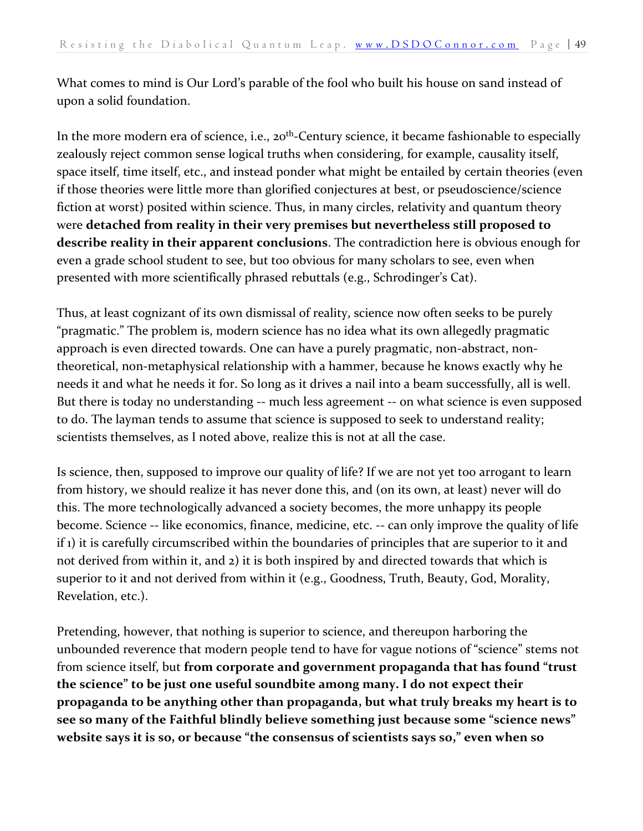What comes to mind is Our Lord's parable of the fool who built his house on sand instead of upon a solid foundation.

In the more modern era of science, i.e., 20<sup>th</sup>-Century science, it became fashionable to especially zealously reject common sense logical truths when considering, for example, causality itself, space itself, time itself, etc., and instead ponder what might be entailed by certain theories (even if those theories were little more than glorified conjectures at best, or pseudoscience/science fiction at worst) posited within science. Thus, in many circles, relativity and quantum theory were **detached from reality in their very premises but nevertheless still proposed to describe reality in their apparent conclusions**. The contradiction here is obvious enough for even a grade school student to see, but too obvious for many scholars to see, even when presented with more scientifically phrased rebuttals (e.g., Schrodinger's Cat).

Thus, at least cognizant of its own dismissal of reality, science now often seeks to be purely "pragmatic." The problem is, modern science has no idea what its own allegedly pragmatic approach is even directed towards. One can have a purely pragmatic, non-abstract, nontheoretical, non-metaphysical relationship with a hammer, because he knows exactly why he needs it and what he needs it for. So long as it drives a nail into a beam successfully, all is well. But there is today no understanding -- much less agreement -- on what science is even supposed to do. The layman tends to assume that science is supposed to seek to understand reality; scientists themselves, as I noted above, realize this is not at all the case.

Is science, then, supposed to improve our quality of life? If we are not yet too arrogant to learn from history, we should realize it has never done this, and (on its own, at least) never will do this. The more technologically advanced a society becomes, the more unhappy its people become. Science -- like economics, finance, medicine, etc. -- can only improve the quality of life if 1) it is carefully circumscribed within the boundaries of principles that are superior to it and not derived from within it, and 2) it is both inspired by and directed towards that which is superior to it and not derived from within it (e.g., Goodness, Truth, Beauty, God, Morality, Revelation, etc.).

Pretending, however, that nothing is superior to science, and thereupon harboring the unbounded reverence that modern people tend to have for vague notions of "science" stems not from science itself, but **from corporate and government propaganda that has found "trust the science" to be just one useful soundbite among many. I do not expect their propaganda to be anything other than propaganda, but what truly breaks my heart is to see so many of the Faithful blindly believe something just because some "science news" website says it is so, or because "the consensus of scientists says so," even when so**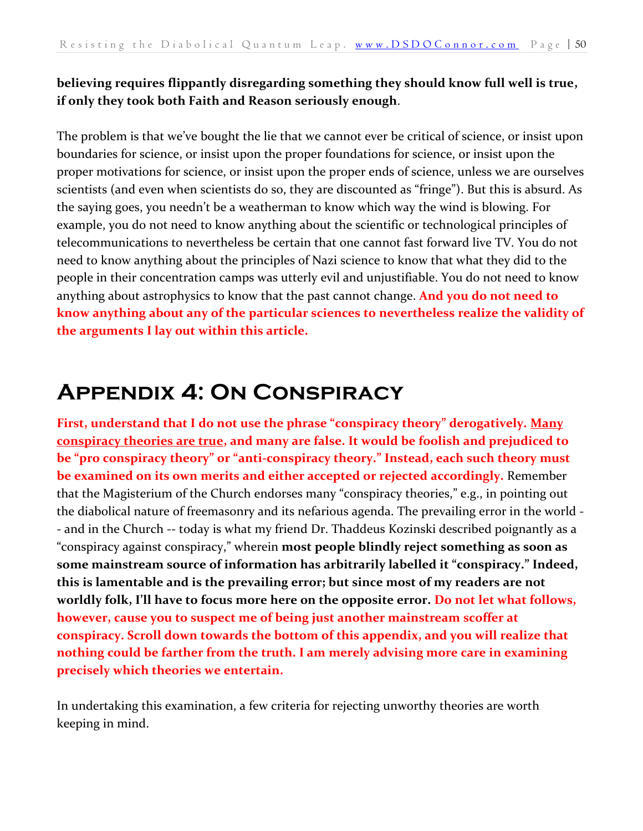#### **believing requires flippantly disregarding something they should know full well is true, if only they took both Faith and Reason seriously enough**.

The problem is that we've bought the lie that we cannot ever be critical of science, or insist upon boundaries for science, or insist upon the proper foundations for science, or insist upon the proper motivations for science, or insist upon the proper ends of science, unless we are ourselves scientists (and even when scientists do so, they are discounted as "fringe"). But this is absurd. As the saying goes, you needn't be a weatherman to know which way the wind is blowing. For example, you do not need to know anything about the scientific or technological principles of telecommunications to nevertheless be certain that one cannot fast forward live TV. You do not need to know anything about the principles of Nazi science to know that what they did to the people in their concentration camps was utterly evil and unjustifiable. You do not need to know anything about astrophysics to know that the past cannot change. **And you do not need to know anything about any of the particular sciences to nevertheless realize the validity of the arguments I lay out within this article.**

## <span id="page-49-0"></span>**Appendix 4: On Conspiracy**

First, understand that I do not use the phrase "conspiracy theory" derogatively. Many **conspiracy theories are true, and many are false. It would be foolish and prejudiced to be "pro conspiracy theory" or "anti-conspiracy theory." Instead, each such theory must be examined on its own merits and either accepted or rejected accordingly.** Remember that the Magisterium of the Church endorses many "conspiracy theories," e.g., in pointing out the diabolical nature of freemasonry and its nefarious agenda. The prevailing error in the world - - and in the Church -- today is what my friend Dr. Thaddeus Kozinski described poignantly as a "conspiracy against conspiracy," wherein **most people blindly reject something as soon as some mainstream source of information has arbitrarily labelled it "conspiracy." Indeed, this is lamentable and is the prevailing error; but since most of my readers are not worldly folk, I'll have to focus more here on the opposite error. Do not let what follows, however, cause you to suspect me of being just another mainstream scoffer at conspiracy. Scroll down towards the bottom of this appendix, and you will realize that nothing could be farther from the truth. I am merely advising more care in examining precisely which theories we entertain.**

In undertaking this examination, a few criteria for rejecting unworthy theories are worth keeping in mind.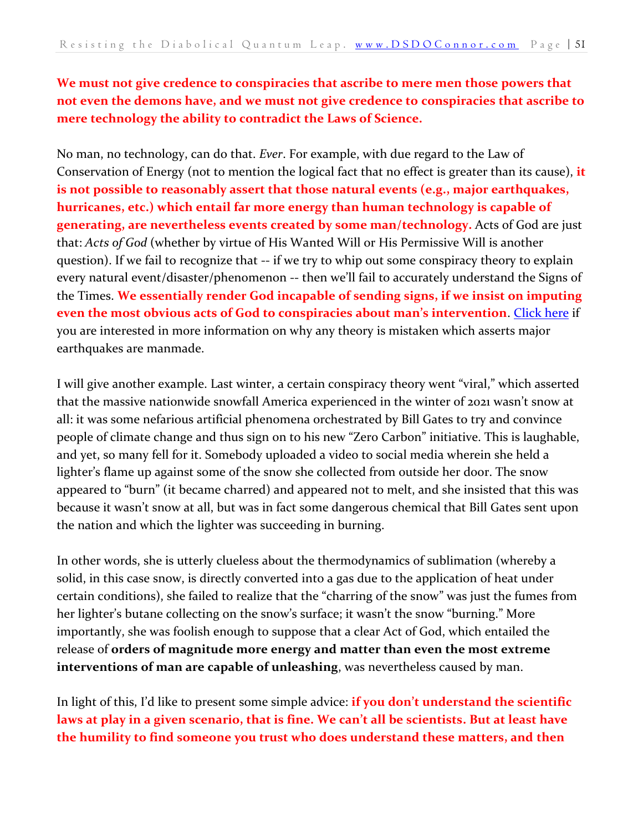#### **We must not give credence to conspiracies that ascribe to mere men those powers that not even the demons have, and we must not give credence to conspiracies that ascribe to mere technology the ability to contradict the Laws of Science.**

No man, no technology, can do that. *Ever*. For example, with due regard to the Law of Conservation of Energy (not to mention the logical fact that no effect is greater than its cause), **it is not possible to reasonably assert that those natural events (e.g., major earthquakes, hurricanes, etc.) which entail far more energy than human technology is capable of generating, are nevertheless events created by some man/technology.** Acts of God are just that: *Acts of God* (whether by virtue of His Wanted Will or His Permissive Will is another question). If we fail to recognize that -- if we try to whip out some conspiracy theory to explain every natural event/disaster/phenomenon -- then we'll fail to accurately understand the Signs of the Times. **We essentially render God incapable of sending signs, if we insist on imputing even the most obvious acts of God to conspiracies about man's intervention**. [Click here](https://dsdoconnor.com/haarp/) if you are interested in more information on why any theory is mistaken which asserts major earthquakes are manmade.

I will give another example. Last winter, a certain conspiracy theory went "viral," which asserted that the massive nationwide snowfall America experienced in the winter of 2021 wasn't snow at all: it was some nefarious artificial phenomena orchestrated by Bill Gates to try and convince people of climate change and thus sign on to his new "Zero Carbon" initiative. This is laughable, and yet, so many fell for it. Somebody uploaded a video to social media wherein she held a lighter's flame up against some of the snow she collected from outside her door. The snow appeared to "burn" (it became charred) and appeared not to melt, and she insisted that this was because it wasn't snow at all, but was in fact some dangerous chemical that Bill Gates sent upon the nation and which the lighter was succeeding in burning.

In other words, she is utterly clueless about the thermodynamics of sublimation (whereby a solid, in this case snow, is directly converted into a gas due to the application of heat under certain conditions), she failed to realize that the "charring of the snow" was just the fumes from her lighter's butane collecting on the snow's surface; it wasn't the snow "burning." More importantly, she was foolish enough to suppose that a clear Act of God, which entailed the release of **orders of magnitude more energy and matter than even the most extreme interventions of man are capable of unleashing**, was nevertheless caused by man.

In light of this, I'd like to present some simple advice: **if you don't understand the scientific laws at play in a given scenario, that is fine. We can't all be scientists. But at least have the humility to find someone you trust who does understand these matters, and then**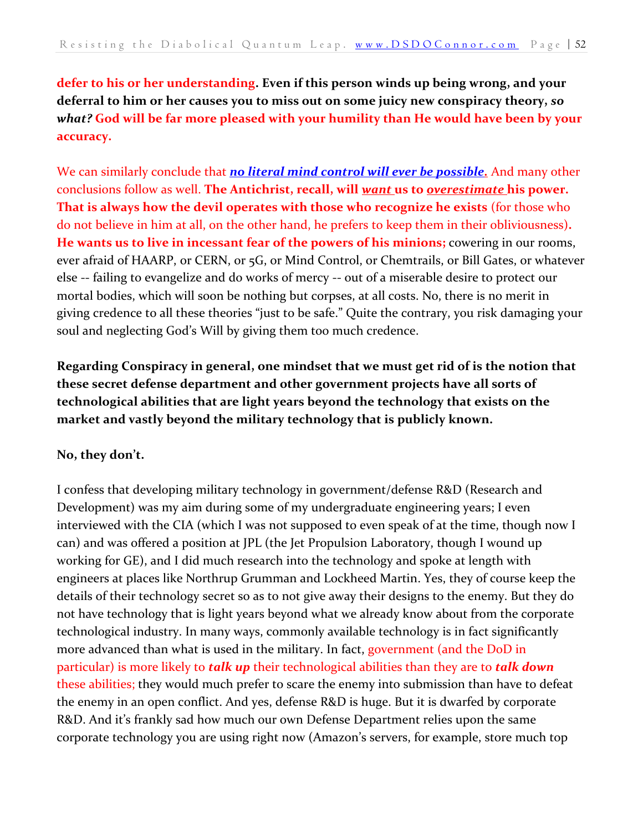**defer to his or her understanding. Even if this person winds up being wrong, and your deferral to him or her causes you to miss out on some juicy new conspiracy theory,** *so what?* **God will be far more pleased with your humility than He would have been by your accuracy.** 

We can similarly conclude that *[no literal mind control will ever be possible.](https://dsdoconnor.com/mind/)* And many other conclusions follow as well. **The Antichrist, recall, will** *want* **us to** *overestimate* **his power. That is always how the devil operates with those who recognize he exists** (for those who do not believe in him at all, on the other hand, he prefers to keep them in their obliviousness)**. He wants us to live in incessant fear of the powers of his minions;** cowering in our rooms, ever afraid of HAARP, or CERN, or 5G, or Mind Control, or Chemtrails, or Bill Gates, or whatever else -- failing to evangelize and do works of mercy -- out of a miserable desire to protect our mortal bodies, which will soon be nothing but corpses, at all costs. No, there is no merit in giving credence to all these theories "just to be safe." Quite the contrary, you risk damaging your soul and neglecting God's Will by giving them too much credence.

**Regarding Conspiracy in general, one mindset that we must get rid of is the notion that these secret defense department and other government projects have all sorts of technological abilities that are light years beyond the technology that exists on the market and vastly beyond the military technology that is publicly known.**

#### **No, they don't.**

I confess that developing military technology in government/defense R&D (Research and Development) was my aim during some of my undergraduate engineering years; I even interviewed with the CIA (which I was not supposed to even speak of at the time, though now I can) and was offered a position at JPL (the Jet Propulsion Laboratory, though I wound up working for GE), and I did much research into the technology and spoke at length with engineers at places like Northrup Grumman and Lockheed Martin. Yes, they of course keep the details of their technology secret so as to not give away their designs to the enemy. But they do not have technology that is light years beyond what we already know about from the corporate technological industry. In many ways, commonly available technology is in fact significantly more advanced than what is used in the military. In fact, government (and the DoD in particular) is more likely to *talk up* their technological abilities than they are to *talk down* these abilities; they would much prefer to scare the enemy into submission than have to defeat the enemy in an open conflict. And yes, defense R&D is huge. But it is dwarfed by corporate R&D. And it's frankly sad how much our own Defense Department relies upon the same corporate technology you are using right now (Amazon's servers, for example, store much top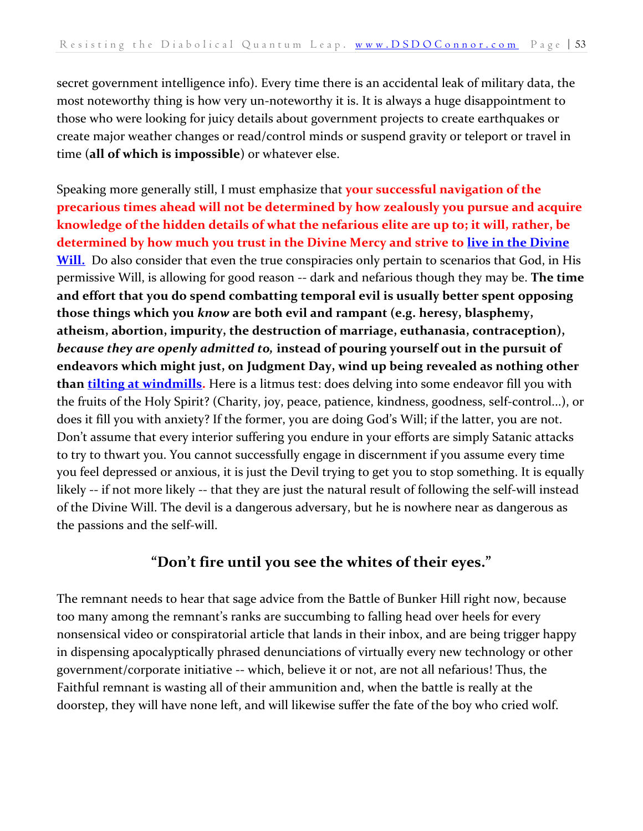secret government intelligence info). Every time there is an accidental leak of military data, the most noteworthy thing is how very un-noteworthy it is. It is always a huge disappointment to those who were looking for juicy details about government projects to create earthquakes or create major weather changes or read/control minds or suspend gravity or teleport or travel in time (**all of which is impossible**) or whatever else.

Speaking more generally still, I must emphasize that **your successful navigation of the precarious times ahead will not be determined by how zealously you pursue and acquire knowledge of the hidden details of what the nefarious elite are up to; it will, rather, be determined by how much you trust in the Divine Mercy and strive to live [in the Divine](https://danieloconnor.files.wordpress.com/2019/07/the-crown-of-sanctity.pdf)  [Will.](https://danieloconnor.files.wordpress.com/2019/07/the-crown-of-sanctity.pdf)** Do also consider that even the true conspiracies only pertain to scenarios that God, in His permissive Will, is allowing for good reason -- dark and nefarious though they may be. **The time and effort that you do spend combatting temporal evil is usually better spent opposing those things which you** *know* **are both evil and rampant (e.g. heresy, blasphemy, atheism, abortion, impurity, the destruction of marriage, euthanasia, contraception),**  *because they are openly admitted to,* **instead of pouring yourself out in the pursuit of endeavors which might just, on Judgment Day, wind up being revealed as nothing other than [tilting at windmills.](https://en.wikipedia.org/wiki/Tilting_at_windmills_(disambiguation))** Here is a litmus test: does delving into some endeavor fill you with the fruits of the Holy Spirit? (Charity, joy, peace, patience, kindness, goodness, self-control...), or does it fill you with anxiety? If the former, you are doing God's Will; if the latter, you are not. Don't assume that every interior suffering you endure in your efforts are simply Satanic attacks to try to thwart you. You cannot successfully engage in discernment if you assume every time you feel depressed or anxious, it is just the Devil trying to get you to stop something. It is equally likely -- if not more likely -- that they are just the natural result of following the self-will instead of the Divine Will. The devil is a dangerous adversary, but he is nowhere near as dangerous as the passions and the self-will.

#### **"Don't fire until you see the whites of their eyes."**

The remnant needs to hear that sage advice from the Battle of Bunker Hill right now, because too many among the remnant's ranks are succumbing to falling head over heels for every nonsensical video or conspiratorial article that lands in their inbox, and are being trigger happy in dispensing apocalyptically phrased denunciations of virtually every new technology or other government/corporate initiative -- which, believe it or not, are not all nefarious! Thus, the Faithful remnant is wasting all of their ammunition and, when the battle is really at the doorstep, they will have none left, and will likewise suffer the fate of the boy who cried wolf.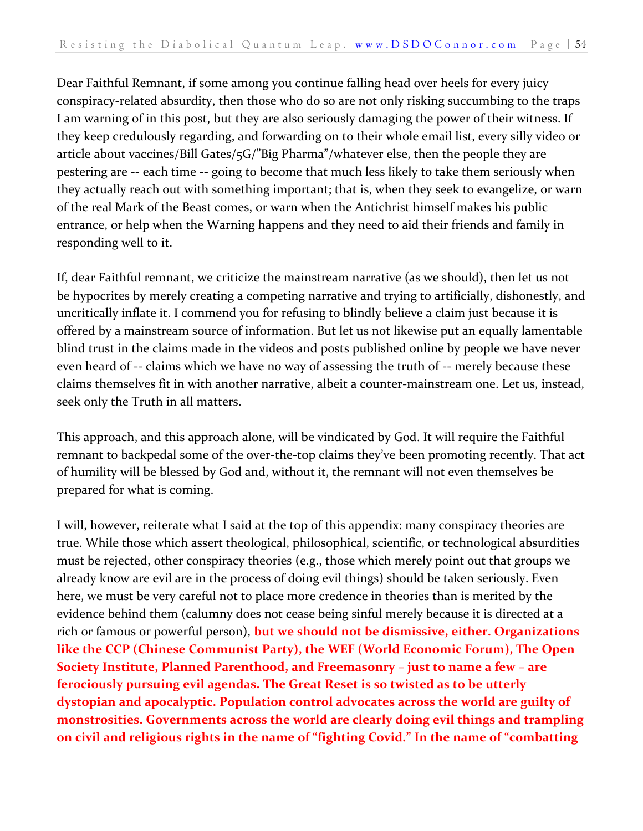Dear Faithful Remnant, if some among you continue falling head over heels for every juicy conspiracy-related absurdity, then those who do so are not only risking succumbing to the traps I am warning of in this post, but they are also seriously damaging the power of their witness. If they keep credulously regarding, and forwarding on to their whole email list, every silly video or article about vaccines/Bill Gates/5G/"Big Pharma"/whatever else, then the people they are pestering are -- each time -- going to become that much less likely to take them seriously when they actually reach out with something important; that is, when they seek to evangelize, or warn of the real Mark of the Beast comes, or warn when the Antichrist himself makes his public entrance, or help when the Warning happens and they need to aid their friends and family in responding well to it.

If, dear Faithful remnant, we criticize the mainstream narrative (as we should), then let us not be hypocrites by merely creating a competing narrative and trying to artificially, dishonestly, and uncritically inflate it. I commend you for refusing to blindly believe a claim just because it is offered by a mainstream source of information. But let us not likewise put an equally lamentable blind trust in the claims made in the videos and posts published online by people we have never even heard of -- claims which we have no way of assessing the truth of -- merely because these claims themselves fit in with another narrative, albeit a counter-mainstream one. Let us, instead, seek only the Truth in all matters.

This approach, and this approach alone, will be vindicated by God. It will require the Faithful remnant to backpedal some of the over-the-top claims they've been promoting recently. That act of humility will be blessed by God and, without it, the remnant will not even themselves be prepared for what is coming.

I will, however, reiterate what I said at the top of this appendix: many conspiracy theories are true. While those which assert theological, philosophical, scientific, or technological absurdities must be rejected, other conspiracy theories (e.g., those which merely point out that groups we already know are evil are in the process of doing evil things) should be taken seriously. Even here, we must be very careful not to place more credence in theories than is merited by the evidence behind them (calumny does not cease being sinful merely because it is directed at a rich or famous or powerful person), **but we should not be dismissive, either. Organizations like the CCP (Chinese Communist Party), the WEF (World Economic Forum), The Open Society Institute, Planned Parenthood, and Freemasonry – just to name a few – are ferociously pursuing evil agendas. The Great Reset is so twisted as to be utterly dystopian and apocalyptic. Population control advocates across the world are guilty of monstrosities. Governments across the world are clearly doing evil things and trampling on civil and religious rights in the name of "fighting Covid." In the name of "combatting**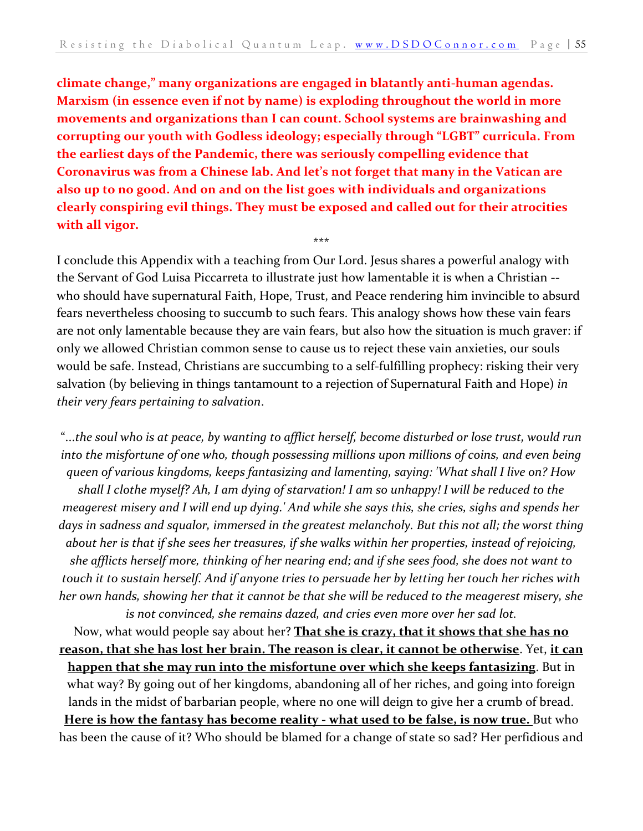**climate change," many organizations are engaged in blatantly anti-human agendas. Marxism (in essence even if not by name) is exploding throughout the world in more movements and organizations than I can count. School systems are brainwashing and corrupting our youth with Godless ideology; especially through "LGBT" curricula. From the earliest days of the Pandemic, there was seriously compelling evidence that Coronavirus was from a Chinese lab. And let's not forget that many in the Vatican are also up to no good. And on and on the list goes with individuals and organizations clearly conspiring evil things. They must be exposed and called out for their atrocities with all vigor.**

I conclude this Appendix with a teaching from Our Lord. Jesus shares a powerful analogy with the Servant of God Luisa Piccarreta to illustrate just how lamentable it is when a Christian - who should have supernatural Faith, Hope, Trust, and Peace rendering him invincible to absurd fears nevertheless choosing to succumb to such fears. This analogy shows how these vain fears are not only lamentable because they are vain fears, but also how the situation is much graver: if only we allowed Christian common sense to cause us to reject these vain anxieties, our souls would be safe. Instead, Christians are succumbing to a self-fulfilling prophecy: risking their very salvation (by believing in things tantamount to a rejection of Supernatural Faith and Hope) *in their very fears pertaining to salvation*.

\*\*\*

"...*the soul who is at peace, by wanting to afflict herself, become disturbed or lose trust, would run into the misfortune of one who, though possessing millions upon millions of coins, and even being queen of various kingdoms, keeps fantasizing and lamenting, saying: 'What shall I live on? How shall I clothe myself? Ah, I am dying of starvation! I am so unhappy! I will be reduced to the meagerest misery and I will end up dying.' And while she says this, she cries, sighs and spends her days in sadness and squalor, immersed in the greatest melancholy. But this not all; the worst thing about her is that if she sees her treasures, if she walks within her properties, instead of rejoicing, she afflicts herself more, thinking of her nearing end; and if she sees food, she does not want to touch it to sustain herself. And if anyone tries to persuade her by letting her touch her riches with her own hands, showing her that it cannot be that she will be reduced to the meagerest misery, she is not convinced, she remains dazed, and cries even more over her sad lot.*

Now, what would people say about her? **That she is crazy, that it shows that she has no reason, that she has lost her brain. The reason is clear, it cannot be otherwise**. Yet, **it can happen that she may run into the misfortune over which she keeps fantasizing**. But in what way? By going out of her kingdoms, abandoning all of her riches, and going into foreign lands in the midst of barbarian people, where no one will deign to give her a crumb of bread. **Here is how the fantasy has become reality - what used to be false, is now true.** But who has been the cause of it? Who should be blamed for a change of state so sad? Her perfidious and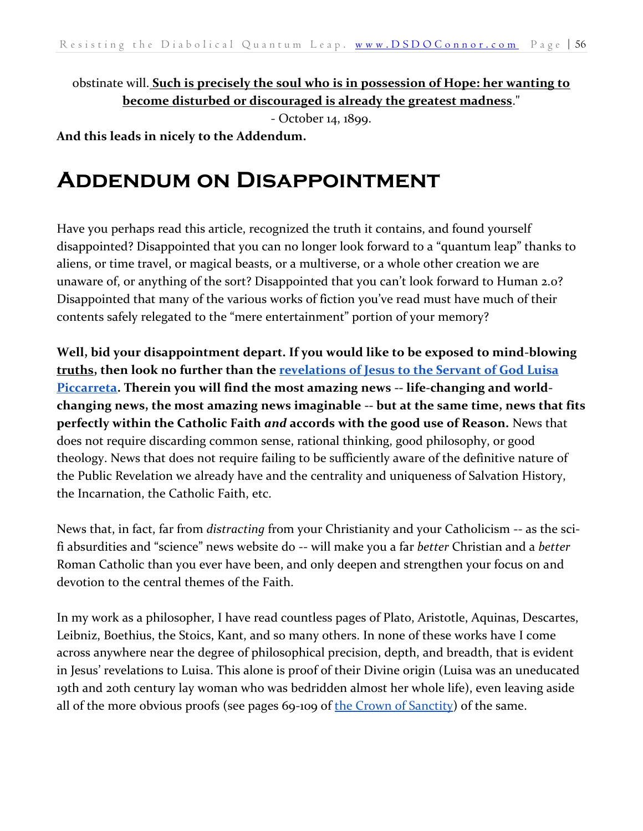obstinate will. **Such is precisely the soul who is in possession of Hope: her wanting to become disturbed or discouraged is already the greatest madness**."

- October 14, 1899.

<span id="page-55-0"></span>**And this leads in nicely to the Addendum.**

## **Addendum on Disappointment**

Have you perhaps read this article, recognized the truth it contains, and found yourself disappointed? Disappointed that you can no longer look forward to a "quantum leap" thanks to aliens, or time travel, or magical beasts, or a multiverse, or a whole other creation we are unaware of, or anything of the sort? Disappointed that you can't look forward to Human 2.0? Disappointed that many of the various works of fiction you've read must have much of their contents safely relegated to the "mere entertainment" portion of your memory?

**Well, bid your disappointment depart. If you would like to be exposed to mind-blowing truths, then look no further than the [revelations of Jesus to the Servant of God Luisa](https://danieloconnor.files.wordpress.com/2019/07/the-crown-of-sanctity.pdf)  [Piccarreta.](https://danieloconnor.files.wordpress.com/2019/07/the-crown-of-sanctity.pdf) Therein you will find the most amazing news -- life-changing and worldchanging news, the most amazing news imaginable -- but at the same time, news that fits perfectly within the Catholic Faith** *and* **accords with the good use of Reason.** News that does not require discarding common sense, rational thinking, good philosophy, or good theology. News that does not require failing to be sufficiently aware of the definitive nature of the Public Revelation we already have and the centrality and uniqueness of Salvation History, the Incarnation, the Catholic Faith, etc.

News that, in fact, far from *distracting* from your Christianity and your Catholicism -- as the scifi absurdities and "science" news website do -- will make you a far *better* Christian and a *better*  Roman Catholic than you ever have been, and only deepen and strengthen your focus on and devotion to the central themes of the Faith.

In my work as a philosopher, I have read countless pages of Plato, Aristotle, Aquinas, Descartes, Leibniz, Boethius, the Stoics, Kant, and so many others. In none of these works have I come across anywhere near the degree of philosophical precision, depth, and breadth, that is evident in Jesus' revelations to Luisa. This alone is proof of their Divine origin (Luisa was an uneducated 19th and 20th century lay woman who was bedridden almost her whole life), even leaving aside all of the more obvious proofs (see pages 69-109 of [the Crown of Sanctity\)](https://danieloconnor.files.wordpress.com/2019/07/the-crown-of-sanctity.pdf) of the same.